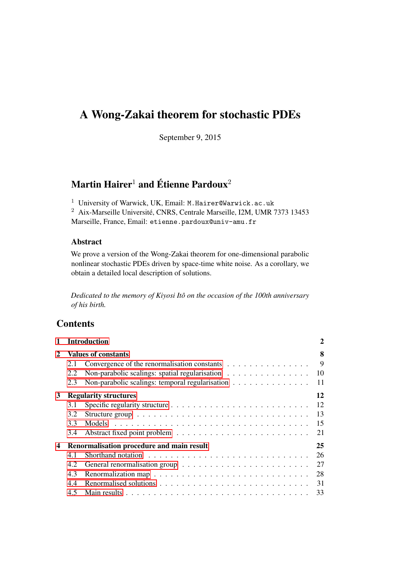# A Wong-Zakai theorem for stochastic PDEs

September 9, 2015

# Martin Hairer<sup>1</sup> and Étienne Pardoux<sup>2</sup>

 $^{\rm 1}$ University of Warwick, UK, Email: M.Hairer@Warwick.ac.uk

<sup>2</sup> Aix-Marseille Université, CNRS, Centrale Marseille, I2M, UMR 7373 13453 Marseille, France, Email: etienne.pardoux@univ-amu.fr

# Abstract

We prove a version of the Wong-Zakai theorem for one-dimensional parabolic nonlinear stochastic PDEs driven by space-time white noise. As a corollary, we obtain a detailed local description of solutions.

*Dedicated to the memory of Kiyosi Itô on the occasion of the 100th anniversary of his birth.*

# **Contents**

| 1 |     | <b>Introduction</b>                             | $\mathbf 2$ |
|---|-----|-------------------------------------------------|-------------|
| 2 |     | <b>Values of constants</b>                      | 8           |
|   | 2.1 | Convergence of the renormalisation constants    | 9           |
|   | 2.2 | Non-parabolic scalings: spatial regularisation  | 10          |
|   | 2.3 | Non-parabolic scalings: temporal regularisation | 11          |
| 3 |     | <b>Regularity structures</b>                    | 12          |
|   | 3.1 |                                                 | 12          |
|   | 3.2 |                                                 | 13          |
|   | 3.3 |                                                 | 15          |
|   | 3.4 |                                                 | 21          |
| 4 |     | Renormalisation procedure and main result       | 25          |
|   | 4.1 |                                                 | 26          |
|   | 4.2 |                                                 | 27          |
|   | 4.3 |                                                 | 28          |
|   | 4.4 |                                                 | 31          |
|   | 4.5 |                                                 | 33          |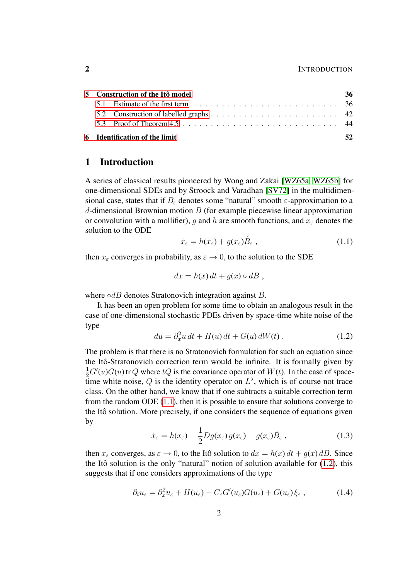### 2 INTRODUCTION

|  | 5 - Construction of the Itô model | 36 |
|--|-----------------------------------|----|
|  |                                   |    |
|  |                                   |    |
|  |                                   |    |
|  | 6 Identification of the limit     |    |

# <span id="page-1-0"></span>1 Introduction

A series of classical results pioneered by Wong and Zakai [\[WZ65a,](#page-56-0) [WZ65b\]](#page-56-1) for one-dimensional SDEs and by Stroock and Varadhan [\[SV72\]](#page-55-0) in the multidimensional case, states that if  $B_{\varepsilon}$  denotes some "natural" smooth  $\varepsilon$ -approximation to a  $d$ -dimensional Brownian motion  $B$  (for example piecewise linear approximation or convolution with a mollifier), g and h are smooth functions, and  $x_{\varepsilon}$  denotes the solution to the ODE

<span id="page-1-1"></span>
$$
\dot{x}_{\varepsilon} = h(x_{\varepsilon}) + g(x_{\varepsilon}) \dot{B}_{\varepsilon} , \qquad (1.1)
$$

then  $x_{\varepsilon}$  converges in probability, as  $\varepsilon \to 0$ , to the solution to the SDE

<span id="page-1-2"></span>
$$
dx = h(x) dt + g(x) \circ dB ,
$$

where  $\circ dB$  denotes Stratonovich integration against B.

It has been an open problem for some time to obtain an analogous result in the case of one-dimensional stochastic PDEs driven by space-time white noise of the type

$$
du = \partial_x^2 u \, dt + H(u) \, dt + G(u) \, dW(t) \,. \tag{1.2}
$$

The problem is that there is no Stratonovich formulation for such an equation since the Itô-Stratonovich correction term would be infinite. It is formally given by  $\frac{1}{2}G'(u)G(u)$  tr Q where  $tQ$  is the covariance operator of  $W(t)$ . In the case of spacetime white noise,  $Q$  is the identity operator on  $L^2$ , which is of course not trace class. On the other hand, we know that if one subtracts a suitable correction term from the random ODE [\(1.1\)](#page-1-1), then it is possible to ensure that solutions converge to the Itô solution. More precisely, if one considers the sequence of equations given by

<span id="page-1-3"></span>
$$
\dot{x}_{\varepsilon} = h(x_{\varepsilon}) - \frac{1}{2} Dg(x_{\varepsilon}) g(x_{\varepsilon}) + g(x_{\varepsilon}) \dot{B}_{\varepsilon} , \qquad (1.3)
$$

then  $x_{\varepsilon}$  converges, as  $\varepsilon \to 0$ , to the Itô solution to  $dx = h(x) dt + g(x) dB$ . Since the Itô solution is the only "natural" notion of solution available for  $(1.2)$ , this suggests that if one considers approximations of the type

$$
\partial_t u_{\varepsilon} = \partial_x^2 u_{\varepsilon} + H(u_{\varepsilon}) - C_{\varepsilon} G'(u_{\varepsilon}) G(u_{\varepsilon}) + G(u_{\varepsilon}) \xi_{\varepsilon} , \qquad (1.4)
$$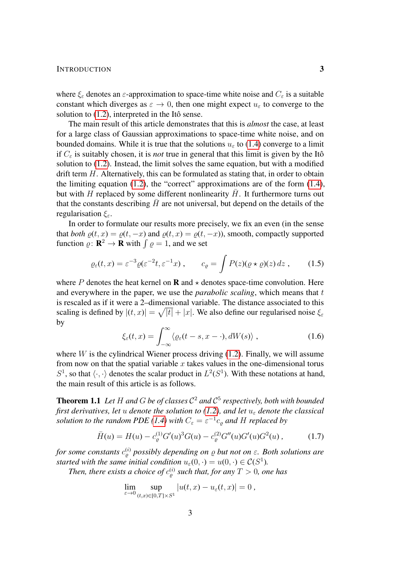#### INTRODUCTION 3

where  $\xi_{\varepsilon}$  denotes an  $\varepsilon$ -approximation to space-time white noise and  $C_{\varepsilon}$  is a suitable constant which diverges as  $\varepsilon \to 0$ , then one might expect  $u_{\varepsilon}$  to converge to the solution to  $(1.2)$ , interpreted in the Itô sense.

The main result of this article demonstrates that this is *almost* the case, at least for a large class of Gaussian approximations to space-time white noise, and on bounded domains. While it is true that the solutions  $u_{\varepsilon}$  to [\(1.4\)](#page-1-3) converge to a limit if  $C_{\varepsilon}$  is suitably chosen, it is *not* true in general that this limit is given by the Itô solution to [\(1.2\)](#page-1-2). Instead, the limit solves the same equation, but with a modified drift term  $H$ . Alternatively, this can be formulated as stating that, in order to obtain the limiting equation [\(1.2\)](#page-1-2), the "correct" approximations are of the form [\(1.4\)](#page-1-3), but with H replaced by some different nonlinearity  $\bar{H}$ . It furthermore turns out that the constants describing  $\bar{H}$  are not universal, but depend on the details of the regularisation  $\xi_{\varepsilon}$ .

In order to formulate our results more precisely, we fix an even (in the sense that *both*  $\rho(t, x) = \rho(t, -x)$  and  $\rho(t, x) = \rho(t, -x)$ , smooth, compactly supported function  $\rho: \mathbf{R}^2 \to \mathbf{R}$  with  $\int \rho = 1$ , and we set

$$
\varrho_{\varepsilon}(t,x) = \varepsilon^{-3} \varrho(\varepsilon^{-2}t, \varepsilon^{-1}x), \qquad c_{\varrho} = \int P(z)(\varrho \star \varrho)(z) \, dz \;, \tag{1.5}
$$

where P denotes the heat kernel on **R** and  $\star$  denotes space-time convolution. Here and everywhere in the paper, we use the *parabolic scaling*, which means that t is rescaled as if it were a 2–dimensional variable. The distance associated to this scaling is defined by  $|(t, x)| = \sqrt{|t|} + |x|$ . We also define our regularised noise  $\xi_{\varepsilon}$ by

<span id="page-2-3"></span><span id="page-2-2"></span>
$$
\xi_{\varepsilon}(t,x) = \int_{-\infty}^{\infty} \langle \varrho_{\varepsilon}(t-s,x-\cdot), dW(s) \rangle , \qquad (1.6)
$$

where  $W$  is the cylindrical Wiener process driving [\(1.2\)](#page-1-2). Finally, we will assume from now on that the spatial variable  $x$  takes values in the one-dimensional torus  $S^1$ , so that  $\langle \cdot, \cdot \rangle$  denotes the scalar product in  $L^2(S^1)$ . With these notations at hand, the main result of this article is as follows.

<span id="page-2-0"></span>Theorem 1.1 *Let* H *and* G *be of classes* C <sup>2</sup> *and* C 5 *respectively, both with bounded first derivatives, let* u *denote the solution to [\(1.2\)](#page-1-2), and let*  $u_{\varepsilon}$  *denote the classical solution to the random PDE* [\(1.4\)](#page-1-3) with  $C_{\varepsilon} = \varepsilon^{-1} c_{\varrho}$  and H replaced by

$$
\bar{H}(u) = H(u) - c_{\varrho}^{(1)} G'(u)^3 G(u) - c_{\varrho}^{(2)} G''(u) G'(u) G^2(u) , \qquad (1.7)
$$

*for some constants* c (i) % *possibly depending on* % *but not on* ε*. Both solutions are started with the same initial condition*  $u_{\varepsilon}(0, \cdot) = u(0, \cdot) \in C(S^1)$ .

Then, there exists a choice of  $c_{\varrho}^{(i)}$  such that, for any  $T > 0$ , one has

<span id="page-2-1"></span>
$$
\lim_{\varepsilon \to 0} \sup_{(t,x)\in [0,T]\times S^1} |u(t,x) - u_{\varepsilon}(t,x)| = 0,
$$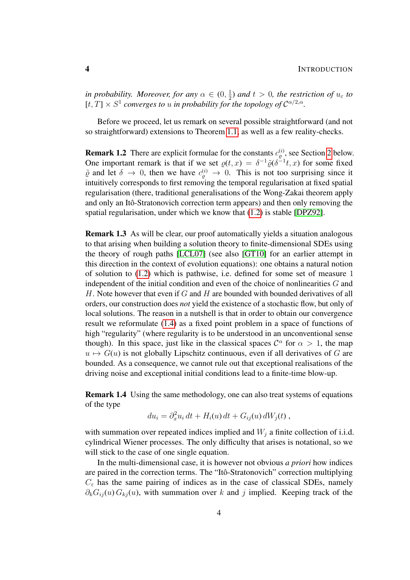*in probability. Moreover, for any*  $\alpha \in (0, \frac{1}{2})$  $\frac{1}{2}$ ) and  $t > 0$ , the restriction of  $u_{\varepsilon}$  to  $[t, T] \times S^1$  converges to u in probability for the topology of  $C^{\alpha/2, \alpha}$ .

Before we proceed, let us remark on several possible straightforward (and not so straightforward) extensions to Theorem [1.1,](#page-2-0) as well as a few reality-checks.

**Remark 1.2** There are explicit formulae for the constants  $c_{\varrho}^{(i)}$ , see Section [2](#page-7-0) below. One important remark is that if we set  $\rho(t, x) = \delta^{-1} \tilde{\varrho}(\delta^{-1}t, x)$  for some fixed  $\tilde{\varrho}$  and let  $\delta \to 0$ , then we have  $c_{\varrho}^{(i)} \to 0$ . This is not too surprising since it intuitively corresponds to first removing the temporal regularisation at fixed spatial regularisation (there, traditional generalisations of the Wong-Zakai theorem apply and only an Itô-Stratonovich correction term appears) and then only removing the spatial regularisation, under which we know that [\(1.2\)](#page-1-2) is stable [\[DPZ92\]](#page-54-0).

Remark 1.3 As will be clear, our proof automatically yields a situation analogous to that arising when building a solution theory to finite-dimensional SDEs using the theory of rough paths [\[LCL07\]](#page-55-1) (see also [\[GT10\]](#page-55-2) for an earlier attempt in this direction in the context of evolution equations): one obtains a natural notion of solution to [\(1.2\)](#page-1-2) which is pathwise, i.e. defined for some set of measure 1 independent of the initial condition and even of the choice of nonlinearities G and H. Note however that even if  $G$  and  $H$  are bounded with bounded derivatives of all orders, our construction does *not* yield the existence of a stochastic flow, but only of local solutions. The reason in a nutshell is that in order to obtain our convergence result we reformulate [\(1.4\)](#page-1-3) as a fixed point problem in a space of functions of high "regularity" (where regularity is to be understood in an unconventional sense though). In this space, just like in the classical spaces  $\mathcal{C}^{\alpha}$  for  $\alpha > 1$ , the map  $u \mapsto G(u)$  is not globally Lipschitz continuous, even if all derivatives of G are bounded. As a consequence, we cannot rule out that exceptional realisations of the driving noise and exceptional initial conditions lead to a finite-time blow-up.

Remark 1.4 Using the same methodology, one can also treat systems of equations of the type

$$
du_i = \partial_x^2 u_i dt + H_i(u) dt + G_{ij}(u) dW_j(t) ,
$$

with summation over repeated indices implied and  $W_i$  a finite collection of i.i.d. cylindrical Wiener processes. The only difficulty that arises is notational, so we will stick to the case of one single equation.

In the multi-dimensional case, it is however not obvious *a priori* how indices are paired in the correction terms. The "Itô-Stratonovich" correction multiplying  $C_{\varepsilon}$  has the same pairing of indices as in the case of classical SDEs, namely  $\partial_k G_{ij}(u) G_{kj}(u)$ , with summation over k and j implied. Keeping track of the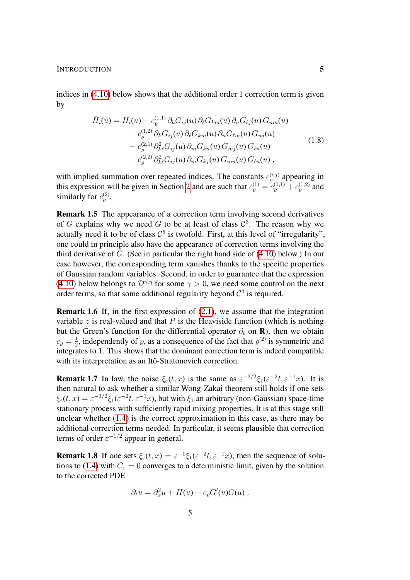INTRODUCTION 5

indices in [\(4.10\)](#page-31-0) below shows that the additional order 1 correction term is given by

$$
\bar{H}_i(u) = H_i(u) - c_{\varrho}^{(1,1)} \partial_k G_{ij}(u) \partial_\ell G_{km}(u) \partial_n G_{\ell j}(u) G_{nm}(u) \n- c_{\varrho}^{(1,2)} \partial_k G_{ij}(u) \partial_\ell G_{km}(u) \partial_n G_{\ell m}(u) G_{nj}(u) \n- c_{\varrho}^{(2,1)} \partial_{k\ell}^2 G_{ij}(u) \partial_m G_{kn}(u) G_{mj}(u) G_{\ell n}(u) \n- c_{\varrho}^{(2,2)} \partial_{k\ell}^2 G_{ij}(u) \partial_m G_{kj}(u) G_{mn}(u) G_{\ell n}(u) ,
$$
\n(1.8)

with implied summation over repeated indices. The constants  $c_{\varrho}^{(i,j)}$  appearing in this expression will be given in Section [2](#page-7-0) and are such that  $c_{\varrho}^{(1)} = c_{\varrho}^{(1,1)} + c_{\varrho}^{(1,2)}$  and similarly for  $c_{\varrho}^{(2)}$ .

Remark 1.5 The appearance of a correction term involving second derivatives of G explains why we need G to be at least of class  $C^3$ . The reason why we actually need it to be of class  $C^5$  is twofold. First, at this level of "irregularity", one could in principle also have the appearance of correction terms involving the third derivative of G. (See in particular the right hand side of [\(4.10\)](#page-31-0) below.) In our case however, the corresponding term vanishes thanks to the specific properties of Gaussian random variables. Second, in order to guarantee that the expression [\(4.10\)](#page-31-0) below belongs to  $\mathcal{D}^{\gamma,\eta}$  for some  $\gamma > 0$ , we need some control on the next order terms, so that some additional regularity beyond  $C<sup>4</sup>$  is required.

Remark 1.6 If, in the first expression of [\(2.1\)](#page-7-1), we assume that the integration variable z is real-valued and that  $P$  is the Heaviside function (which is nothing but the Green's function for the differential operator  $\partial_t$  on **R**), then we obtain  $c_{\varrho} = \frac{1}{2}$  $\frac{1}{2}$ , independently of  $\varrho$ , as a consequence of the fact that  $\varrho^{(2)}$  is symmetric and integrates to 1. This shows that the dominant correction term is indeed compatible with its interpretation as an Itô-Stratonovich correction.

**Remark 1.7** In law, the noise  $\xi_{\varepsilon}(t, x)$  is the same as  $\varepsilon^{-3/2}\xi_1(\varepsilon^{-2}t, \varepsilon^{-1}x)$ . It is then natural to ask whether a similar Wong-Zakai theorem still holds if one sets  $\xi_{\varepsilon}(t,x) = \varepsilon^{-3/2} \xi_1(\varepsilon^{-2}t, \varepsilon^{-1}x)$ , but with  $\xi_1$  an arbitrary (non-Gaussian) space-time stationary process with sufficiently rapid mixing properties. It is at this stage still unclear whether [\(1.4\)](#page-1-3) is the correct approximation in this case, as there may be additional correction terms needed. In particular, it seems plausible that correction terms of order  $\varepsilon^{-1/2}$  appear in general.

**Remark 1.8** If one sets  $\xi_{\varepsilon}(t, x) = \varepsilon^{-1} \xi_1(\varepsilon^{-2}t, \varepsilon^{-1}x)$ , then the sequence of solu-tions to [\(1.4\)](#page-1-3) with  $C_{\varepsilon} = 0$  converges to a deterministic limit, given by the solution to the corrected PDE

$$
\partial_t u = \partial_x^2 u + H(u) + c_{\varrho} G'(u) G(u) .
$$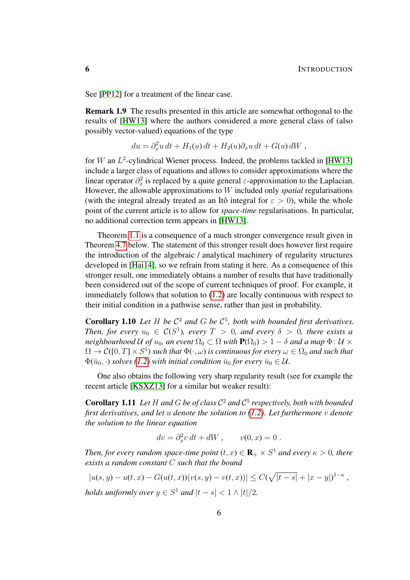See [\[PP12\]](#page-55-3) for a treatment of the linear case.

Remark 1.9 The results presented in this article are somewhat orthogonal to the results of [\[HW13\]](#page-55-4) where the authors considered a more general class of (also possibly vector-valued) equations of the type

$$
du = \partial_x^2 u dt + H_1(u) dt + H_2(u) \partial_x u dt + G(u) dW,
$$

for W an  $L^2$ -cylindrical Wiener process. Indeed, the problems tackled in [\[HW13\]](#page-55-4) include a larger class of equations and allows to consider approximations where the linear operator  $\partial_x^2$  is replaced by a quite general  $\varepsilon$ -approximation to the Laplacian. However, the allowable approximations to W included only *spatial* regularisations (with the integral already treated as an Itô integral for  $\varepsilon > 0$ ), while the whole point of the current article is to allow for *space-time* regularisations. In particular, no additional correction term appears in [\[HW13\]](#page-55-4).

Theorem [1.1](#page-2-0) is a consequence of a much stronger convergence result given in Theorem [4.7](#page-33-0) below. The statement of this stronger result does however first require the introduction of the algebraic / analytical machinery of regularity structures developed in [\[Hai14\]](#page-55-5), so we refrain from stating it here. As a consequence of this stronger result, one immediately obtains a number of results that have traditionally been considered out of the scope of current techniques of proof. For example, it immediately follows that solution to [\(1.2\)](#page-1-2) are locally continuous with respect to their initial condition in a pathwise sense, rather than just in probability.

<span id="page-5-0"></span>**Corollary 1.10** Let H be  $C^2$  and G be  $C^5$ , both with bounded first derivatives. *Then, for every*  $u_0 \in C(S^1)$ , every  $T > 0$ , and every  $\delta > 0$ , there exists a *neighbourhood* U of  $u_0$ , an event  $\Omega_0 \subset \Omega$  *with*  $P(\Omega_0) > 1 - \delta$  *and a map*  $\Phi: U \times$  $\Omega \to \mathcal{C}([0,T]\times S^1)$  such that  $\Phi(\cdot,\omega)$  is continuous for every  $\omega\in\Omega_0$  and such that  $\Phi(\bar{u}_0, \cdot)$  *solves* [\(1.2\)](#page-1-2) with initial condition  $\bar{u}_0$  for every  $\bar{u}_0 \in \mathcal{U}$ .

One also obtains the following very sharp regularity result (see for example the recent article [\[KSXZ13\]](#page-55-6) for a similar but weaker result):

<span id="page-5-1"></span>**Corollary 1.11** Let H and G be of class  $C^2$  and  $C^5$  respectively, both with bounded *first derivatives, and let* u *denote the solution to [\(1.2\)](#page-1-2). Let furthermore* v *denote the solution to the linear equation*

$$
dv = \partial_x^2 v dt + dW, \qquad v(0, x) = 0.
$$

*Then, for every random space-time point*  $(t, x) \in \mathbf{R}_+ \times S^1$  *and every*  $\kappa > 0$ *, there exists a random constant* C *such that the bound*

$$
|u(s, y) - u(t, x) - G(u(t, x))(v(s, y) - v(t, x))| \le C(\sqrt{|t - s|} + |x - y|)^{1 - \kappa},
$$
  
holds uniformly over  $y \in S^1$  and  $|t - s| < 1 \wedge |t|/2$ .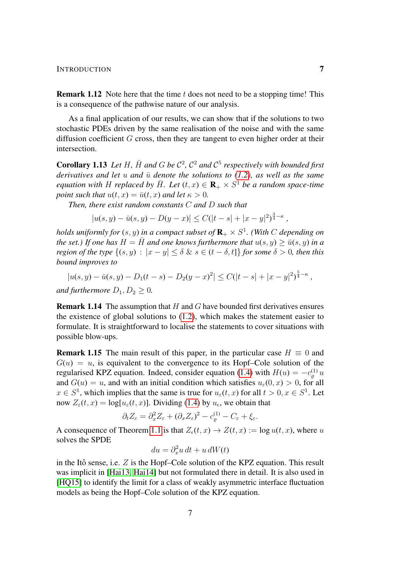#### INTRODUCTION 7

**Remark 1.12** Note here that the time  $t$  does not need to be a stopping time! This is a consequence of the pathwise nature of our analysis.

As a final application of our results, we can show that if the solutions to two stochastic PDEs driven by the same realisation of the noise and with the same diffusion coefficient  $G$  cross, then they are tangent to even higher order at their intersection.

<span id="page-6-0"></span>**Corollary 1.13** Let H,  $\bar{H}$  and G be  $C^2$ ,  $C^2$  and  $C^5$  respectively with bounded first *derivatives and let*  $u$  *and*  $\bar{u}$  *denote the solutions to [\(1.2\)](#page-1-2), as well as the same equation with* H *replaced by*  $\overline{H}$ *. Let*  $(t, x) \in \mathbf{R}_{+} \times S^{1}$  *be a random space-time point such that*  $u(t, x) = \bar{u}(t, x)$  *and let*  $\kappa > 0$ *.* 

*Then, there exist random constants* C *and* D *such that*

$$
|u(s,y) - \bar{u}(s,y) - D(y-x)| \leq C(|t-s| + |x-y|^2)^{\frac{3}{4} - \kappa},
$$

holds uniformly for  $(s, y)$  in a compact subset of  $\mathbf{R}_+ \times S^1$ . (With  $C$  depending on *the set.)* If one has  $H = \overline{H}$  and one knows furthermore that  $u(s, y) > \overline{u}(s, y)$  in a *region of the type*  $\{(s, y) : |x - y| \leq \delta \& s \in (t - \delta, t]\}$  *for some*  $\delta > 0$ *, then this bound improves to*

$$
|u(s,y) - \bar{u}(s,y) - D_1(t-s) - D_2(y-x)^2| \le C(|t-s| + |x-y|^2)^{\frac{5}{4} - \kappa},
$$

*and furthermore*  $D_1, D_2 \geq 0$ *.* 

**Remark 1.14** The assumption that  $H$  and  $G$  have bounded first derivatives ensures the existence of global solutions to [\(1.2\)](#page-1-2), which makes the statement easier to formulate. It is straightforward to localise the statements to cover situations with possible blow-ups.

**Remark 1.15** The main result of this paper, in the particular case  $H \equiv 0$  and  $G(u) = u$ , is equivalent to the convergence to its Hopf–Cole solution of the regularised KPZ equation. Indeed, consider equation [\(1.4\)](#page-1-3) with  $H(u) = -c_{\varrho}^{(1)} u$ and  $G(u) = u$ , and with an initial condition which satisfies  $u_{\epsilon}(0, x) > 0$ , for all  $x \in S^1$ , which implies that the same is true for  $u_\varepsilon(t, x)$  for all  $t > 0, x \in S^1$ . Let now  $Z_{\varepsilon}(t, x) = \log[u_{\varepsilon}(t, x)]$ . Dividing [\(1.4\)](#page-1-3) by  $u_{\varepsilon}$ , we obtain that

$$
\partial_t Z_{\varepsilon} = \partial_x^2 Z_{\varepsilon} + (\partial_x Z_{\varepsilon})^2 - c_{\varrho}^{(1)} - C_{\varepsilon} + \xi_{\varepsilon}.
$$

A consequence of Theorem [1.1](#page-2-0) is that  $Z_{\epsilon}(t, x) \to Z(t, x) := \log u(t, x)$ , where u solves the SPDE

$$
du = \partial_x^2 u \, dt + u \, dW(t)
$$

in the Itô sense, i.e.  $Z$  is the Hopf–Cole solution of the KPZ equation. This result was implicit in [\[Hai13,](#page-55-7) [Hai14\]](#page-55-5) but not formulated there in detail. It is also used in [\[HQ15\]](#page-55-8) to identify the limit for a class of weakly asymmetric interface fluctuation models as being the Hopf–Cole solution of the KPZ equation.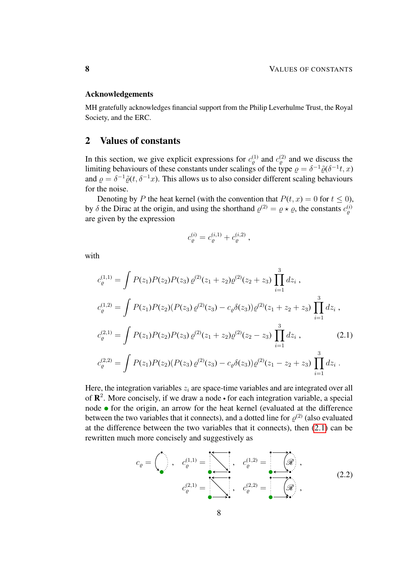## Acknowledgements

MH gratefully acknowledges financial support from the Philip Leverhulme Trust, the Royal Society, and the ERC.

# <span id="page-7-0"></span>2 Values of constants

In this section, we give explicit expressions for  $c_{\varrho}^{(1)}$  and  $c_{\varrho}^{(2)}$  and we discuss the limiting behaviours of these constants under scalings of the type  $\rho = \delta^{-1} \tilde{\varrho}(\delta^{-1} t, x)$ and  $\rho = \delta^{-1}\tilde{\varrho}(t, \delta^{-1}x)$ . This allows us to also consider different scaling behaviours for the noise.

Denoting by P the heat kernel (with the convention that  $P(t, x) = 0$  for  $t \le 0$ ), by  $\delta$  the Dirac at the origin, and using the shorthand  $\varrho^{(2)} = \varrho \star \varrho$ , the constants  $c_{\varrho}^{(i)}$ are given by the expression

<span id="page-7-1"></span>
$$
c_{\varrho}^{(i)} = c_{\varrho}^{(i,1)} + c_{\varrho}^{(i,2)} \;,
$$

with

$$
c_{\varrho}^{(1,1)} = \int P(z_1)P(z_2)P(z_3)\,\varrho^{(2)}(z_1+z_2)\varrho^{(2)}(z_2+z_3)\,\prod_{i=1}^3 dz_i,
$$
  
\n
$$
c_{\varrho}^{(1,2)} = \int P(z_1)P(z_2)(P(z_3)\,\varrho^{(2)}(z_3) - c_{\varrho}\delta(z_3))\varrho^{(2)}(z_1+z_2+z_3)\,\prod_{i=1}^3 dz_i,
$$
  
\n
$$
c_{\varrho}^{(2,1)} = \int P(z_1)P(z_2)P(z_3)\,\varrho^{(2)}(z_1+z_2)\varrho^{(2)}(z_2-z_3)\,\prod_{i=1}^3 dz_i,
$$
  
\n
$$
c_{\varrho}^{(2,2)} = \int P(z_1)P(z_2)(P(z_3)\,\varrho^{(2)}(z_3) - c_{\varrho}\delta(z_3))\varrho^{(2)}(z_1-z_2+z_3)\,\prod_{i=1}^3 dz_i.
$$
 (2.1)

Here, the integration variables  $z_i$  are space-time variables and are integrated over all of  $\mathbb{R}^2$ . More concisely, if we draw a node • for each integration variable, a special node  $\bullet$  for the origin, an arrow for the heat kernel (evaluated at the difference between the two variables that it connects), and a dotted line for  $\varrho^{(2)}$  (also evaluated at the difference between the two variables that it connects), then [\(2.1\)](#page-7-1) can be rewritten much more concisely and suggestively as

<span id="page-7-2"></span>
$$
c_{\varrho} = \begin{pmatrix} 1 \\ 1 \end{pmatrix}, \quad c_{\varrho}^{(1,1)} = \begin{pmatrix} 1 \\ 1 \end{pmatrix}, \quad c_{\varrho}^{(1,2)} = \begin{pmatrix} 1 \\ 1 \end{pmatrix}, \quad c_{\varrho}^{(2,2)} = \begin{pmatrix} 1 \\ 1 \end{pmatrix}, \quad c_{\varrho}^{(2,2)} = \begin{pmatrix} 1 \\ 1 \end{pmatrix}, \quad c_{\varrho}^{(2,2)} = \begin{pmatrix} 1 \\ 1 \end{pmatrix}, \quad c_{\varrho}^{(2,2)} = \begin{pmatrix} 1 \\ 1 \end{pmatrix}, \quad c_{\varrho}^{(2,2)} = \begin{pmatrix} 1 \\ 1 \end{pmatrix}, \quad c_{\varrho}^{(2,2)} = \begin{pmatrix} 1 \\ 1 \end{pmatrix}, \quad c_{\varrho}^{(2,2)} = \begin{pmatrix} 1 \\ 1 \end{pmatrix}, \quad c_{\varrho}^{(2,2)} = \begin{pmatrix} 1 \\ 1 \end{pmatrix}, \quad c_{\varrho}^{(2,2)} = \begin{pmatrix} 1 \\ 1 \end{pmatrix}, \quad c_{\varrho}^{(2,2)} = \begin{pmatrix} 1 \\ 1 \end{pmatrix}, \quad c_{\varrho}^{(2,2)} = \begin{pmatrix} 1 \\ 1 \end{pmatrix}, \quad c_{\varrho}^{(2,2)} = \begin{pmatrix} 1 \\ 1 \end{pmatrix}, \quad c_{\varrho}^{(2,2)} = \begin{pmatrix} 1 \\ 1 \end{pmatrix}, \quad c_{\varrho}^{(2,2)} = \begin{pmatrix} 1 \\ 1 \end{pmatrix}, \quad c_{\varrho}^{(2,2)} = \begin{pmatrix} 1 \\ 1 \end{pmatrix}, \quad c_{\varrho}^{(2,2)} = \begin{pmatrix} 1 \\ 1 \end{pmatrix}, \quad c_{\varrho}^{(2,2)} = \begin{pmatrix} 1 \\ 1 \end{pmatrix}, \quad c_{\varrho}^{(2,2)} = \begin{pmatrix} 1 \\ 1 \end{pmatrix}, \quad c_{\varrho}^{(2,2)} = \begin{pmatrix} 1 \\ 1 \end{pmatrix}, \quad c_{\varrho}^{(2,2)} = \begin{pmatrix} 1 \\ 1 \end{pmatrix}, \quad c_{\varrho}^{(2,2)} = \begin{pmatrix} 1 \\ 1 \end{pmatrix
$$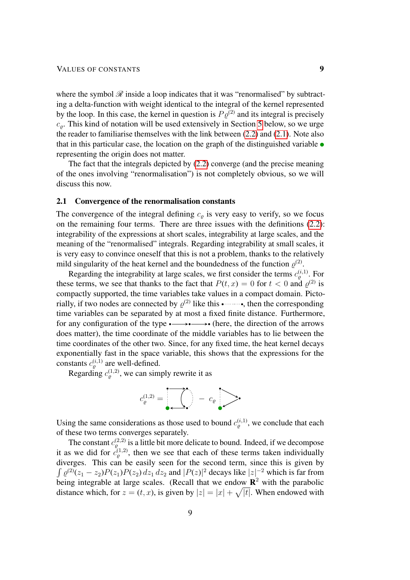where the symbol  $\mathcal R$  inside a loop indicates that it was "renormalised" by subtracting a delta-function with weight identical to the integral of the kernel represented by the loop. In this case, the kernel in question is  $P\varrho^{(2)}$  and its integral is precisely  $c<sub>o</sub>$ . This kind of notation will be used extensively in Section [5](#page-35-0) below, so we urge the reader to familiarise themselves with the link between [\(2.2\)](#page-7-2) and [\(2.1\)](#page-7-1). Note also that in this particular case, the location on the graph of the distinguished variable  $\bullet$ representing the origin does not matter.

The fact that the integrals depicted by [\(2.2\)](#page-7-2) converge (and the precise meaning of the ones involving "renormalisation") is not completely obvious, so we will discuss this now.

## <span id="page-8-0"></span>2.1 Convergence of the renormalisation constants

The convergence of the integral defining  $c<sub>o</sub>$  is very easy to verify, so we focus on the remaining four terms. There are three issues with the definitions [\(2.2\)](#page-7-2): integrability of the expressions at short scales, integrability at large scales, and the meaning of the "renormalised" integrals. Regarding integrability at small scales, it is very easy to convince oneself that this is not a problem, thanks to the relatively mild singularity of the heat kernel and the boundedness of the function  $\varrho^{(2)}$ .

Regarding the integrability at large scales, we first consider the terms  $c_{\varrho}^{(i,1)}$ . For these terms, we see that thanks to the fact that  $P(t, x) = 0$  for  $t < 0$  and  $\varrho^{(2)}$  is compactly supported, the time variables take values in a compact domain. Pictorially, if two nodes are connected by  $\varrho^{(2)}$  like this • mand the corresponding time variables can be separated by at most a fixed finite distance. Furthermore, for any configuration of the type (here, the direction of the arrows does matter), the time coordinate of the middle variables has to lie between the time coordinates of the other two. Since, for any fixed time, the heat kernel decays exponentially fast in the space variable, this shows that the expressions for the constants  $c_{\varrho}^{(i,1)}$  are well-defined.

Regarding  $c_{\varrho}^{(1,2)}$ , we can simply rewrite it as



Using the same considerations as those used to bound  $c_{\varrho}^{(i,1)}$ , we conclude that each of these two terms converges separately.

The constant  $c_{\varrho}^{(2,2)}$  is a little bit more delicate to bound. Indeed, if we decompose it as we did for  $\tilde{c}_{\varrho}^{(1,2)}$ , then we see that each of these terms taken individually diverges. This can be easily seen for the second term, since this is given by  $\int \varrho^{(2)}(z_1 - z_2) P(z_1) P(z_2) dz_1 dz_2$  and  $|P(z)|^2$  decays like  $|z|^{-2}$  which is far from being integrable at large scales. (Recall that we endow  $\mathbb{R}^2$  with the parabolic distance which, for  $z = (t, x)$ , is given by  $|z| = |x| + \sqrt{|t|}$ . When endowed with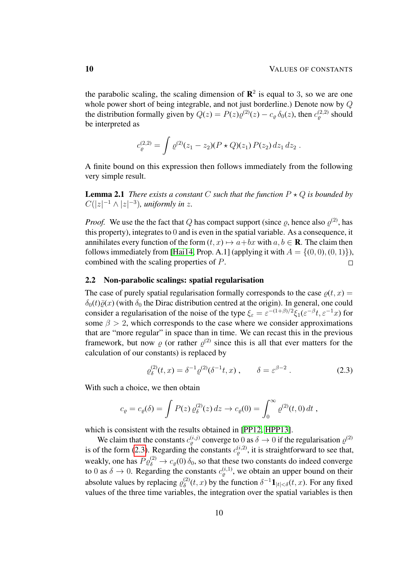the parabolic scaling, the scaling dimension of  $\mathbb{R}^2$  is equal to 3, so we are one whole power short of being integrable, and not just borderline.) Denote now by Q the distribution formally given by  $Q(z) = P(z)\varrho^{(2)}(z) - c_{\varrho} \delta_0(z)$ , then  $c_{\varrho}^{(2,2)}$  should be interpreted as

$$
c_{\varrho}^{(2,2)} = \int \varrho^{(2)}(z_1 - z_2)(P \star Q)(z_1) P(z_2) dz_1 dz_2.
$$

A finite bound on this expression then follows immediately from the following very simple result.

**Lemma 2.1** *There exists a constant* C *such that the function*  $P \star Q$  *is bounded by*  $C(|z|^{-1} \wedge |z|^{-3})$ , uniformly in z.

*Proof.* We use the the fact that Q has compact support (since  $\varrho$ , hence also  $\varrho^{(2)}$ , has this property), integrates to 0 and is even in the spatial variable. As a consequence, it annihilates every function of the form  $(t, x) \mapsto a+bx$  with  $a, b \in \mathbb{R}$ . The claim then follows immediately from [\[Hai14,](#page-55-5) Prop. A.1] (applying it with  $A = \{(0, 0), (0, 1)\}\)$ , combined with the scaling properties of P.  $\Box$ 

#### <span id="page-9-0"></span>2.2 Non-parabolic scalings: spatial regularisation

The case of purely spatial regularisation formally corresponds to the case  $\rho(t, x)$  =  $\delta_0(t)\bar{g}(x)$  (with  $\delta_0$  the Dirac distribution centred at the origin). In general, one could consider a regularisation of the noise of the type  $\xi_{\varepsilon} = \varepsilon^{-(1+\beta)/2} \xi_1(\varepsilon^{-\beta}t, \varepsilon^{-1}x)$  for some  $\beta > 2$ , which corresponds to the case where we consider approximations that are "more regular" in space than in time. We can recast this in the previous framework, but now  $\rho$  (or rather  $\rho^{(2)}$  since this is all that ever matters for the calculation of our constants) is replaced by

<span id="page-9-1"></span>
$$
\varrho_{\delta}^{(2)}(t,x) = \delta^{-1} \varrho^{(2)}(\delta^{-1}t,x) , \qquad \delta = \varepsilon^{\beta - 2} . \tag{2.3}
$$

With such a choice, we then obtain

$$
c_{\varrho} = c_{\varrho}(\delta) = \int P(z) \, \varrho_{\delta}^{(2)}(z) \, dz \to c_{\varrho}(0) = \int_0^\infty \varrho^{(2)}(t,0) \, dt \ ,
$$

which is consistent with the results obtained in [\[PP12,](#page-55-3) [HPP13\]](#page-55-9).

We claim that the constants  $c_{\varrho}^{(i,j)}$  converge to 0 as  $\delta \to 0$  if the regularisation  $\varrho^{(2)}$ is of the form [\(2.3\)](#page-9-1). Regarding the constants  $c_{\varrho}^{(i,2)}$ , it is straightforward to see that, weakly, one has  $P \varrho_{\delta}^{(2)} \to c_{\varrho}(0) \delta_0$ , so that these two constants do indeed converge to 0 as  $\delta \to 0$ . Regarding the constants  $c_{\varrho}^{(i,1)}$ , we obtain an upper bound on their absolute values by replacing  $\varrho_{\delta}^{(2)}$  $\delta^{(2)}(t, x)$  by the function  $\delta^{-1} \mathbf{1}_{|t| < \delta}(t, x)$ . For any fixed values of the three time variables, the integration over the spatial variables is then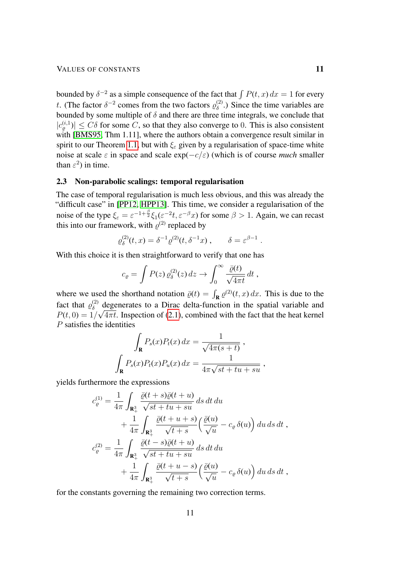bounded by  $\delta^{-2}$  as a simple consequence of the fact that  $\int P(t, x) dx = 1$  for every t. (The factor  $\delta^{-2}$  comes from the two factors  $\varrho_{\delta}^{(2)}$  $\delta^{(2)}$ .) Since the time variables are bounded by some multiple of  $\delta$  and there are three time integrals, we conclude that  $|c_{\varrho}^{(i,1)}| \leq C\delta$  for some C, so that they also converge to 0. This is also consistent with [\[BMS95,](#page-54-1) Thm 1.11], where the authors obtain a convergence result similar in spirit to our Theorem [1.1,](#page-2-0) but with  $\xi_{\varepsilon}$  given by a regularisation of space-time white noise at scale  $\varepsilon$  in space and scale  $\exp(-c/\varepsilon)$  (which is of course *much* smaller than  $\varepsilon^2$ ) in time.

## <span id="page-10-0"></span>2.3 Non-parabolic scalings: temporal regularisation

The case of temporal regularisation is much less obvious, and this was already the "difficult case" in [\[PP12,](#page-55-3) [HPP13\]](#page-55-9). This time, we consider a regularisation of the noise of the type  $\xi_{\varepsilon} = \varepsilon^{-1+\frac{\beta}{2}} \xi_1(\varepsilon^{-2}t, \varepsilon^{-\beta}x)$  for some  $\beta > 1$ . Again, we can recast this into our framework, with  $\varrho^{(2)}$  replaced by

$$
\varrho_\delta^{(2)}(t,x) = \delta^{-1} \varrho^{(2)}(t,\delta^{-1}x) , \qquad \delta = \varepsilon^{\beta - 1} .
$$

With this choice it is then straightforward to verify that one has

$$
c_{\varrho} = \int P(z) \, \varrho_{\delta}^{(2)}(z) \, dz \to \int_0^\infty \frac{\bar{\varrho}(t)}{\sqrt{4\pi t}} \, dt \;,
$$

where we used the shorthand notation  $\bar{\varrho}(t) = \int_{\mathbf{R}} \varrho^{(2)}(t, x) dx$ . This is due to the fact that  $\varrho_{\delta}^{(2)}$  $\delta$  degenerates to a Dirac delta-function in the spatial variable and  $P(t, 0) = 1/\sqrt{4\pi t}$ . Inspection of [\(2.1\)](#page-7-1), combined with the fact that the heat kernel P satisfies the identities

$$
\int_{\mathbf{R}} P_s(x) P_t(x) dx = \frac{1}{\sqrt{4\pi(s+t)}},
$$

$$
\int_{\mathbf{R}} P_s(x) P_t(x) P_u(x) dx = \frac{1}{4\pi\sqrt{st+tu+su}},
$$

yields furthermore the expressions

$$
c_{\varrho}^{(1)} = \frac{1}{4\pi} \int_{\mathbf{R}^3_+} \frac{\bar{\varrho}(t+s)\bar{\varrho}(t+u)}{\sqrt{st+tu+su}} ds dt du
$$
  
+ 
$$
\frac{1}{4\pi} \int_{\mathbf{R}^3_+} \frac{\bar{\varrho}(t+u+s)}{\sqrt{t+s}} \left(\frac{\bar{\varrho}(u)}{\sqrt{u}} - c_{\varrho} \delta(u)\right) du ds dt ,
$$
  

$$
c_{\varrho}^{(2)} = \frac{1}{4\pi} \int_{\mathbf{R}^3_+} \frac{\bar{\varrho}(t-s)\bar{\varrho}(t+u)}{\sqrt{st+tu+su}} ds dt du
$$
  
+ 
$$
\frac{1}{4\pi} \int_{\mathbf{R}^3_+} \frac{\bar{\varrho}(t+u-s)}{\sqrt{t+s}} \left(\frac{\bar{\varrho}(u)}{\sqrt{u}} - c_{\varrho} \delta(u)\right) du ds dt ,
$$

for the constants governing the remaining two correction terms.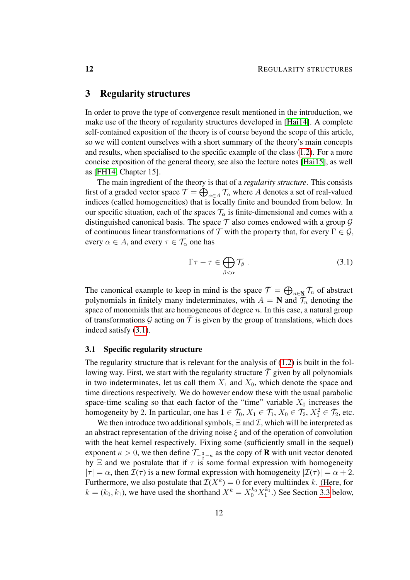# <span id="page-11-0"></span>3 Regularity structures

In order to prove the type of convergence result mentioned in the introduction, we make use of the theory of regularity structures developed in [\[Hai14\]](#page-55-5). A complete self-contained exposition of the theory is of course beyond the scope of this article, so we will content ourselves with a short summary of the theory's main concepts and results, when specialised to the specific example of the class [\(1.2\)](#page-1-2). For a more concise exposition of the general theory, see also the lecture notes [\[Hai15\]](#page-55-10), as well as [\[FH14,](#page-55-11) Chapter 15].

The main ingredient of the theory is that of a *regularity structure*. This consists first of a graded vector space  $\mathcal{T}=\bigoplus_{\alpha\in A}\mathcal{T}_\alpha$  where  $A$  denotes a set of real-valued indices (called homogeneities) that is locally finite and bounded from below. In our specific situation, each of the spaces  $\mathcal{T}_{\alpha}$  is finite-dimensional and comes with a distinguished canonical basis. The space  $\mathcal T$  also comes endowed with a group  $\mathcal G$ of continuous linear transformations of T with the property that, for every  $\Gamma \in \mathcal{G}$ , every  $\alpha \in A$ , and every  $\tau \in \mathcal{T}_{\alpha}$  one has

<span id="page-11-2"></span>
$$
\Gamma \tau - \tau \in \bigoplus_{\beta < \alpha} \mathcal{T}_{\beta} \,. \tag{3.1}
$$

The canonical example to keep in mind is the space  $\bar{\mathcal{T}} = \bigoplus_{n \in \mathbb{N}} \bar{\mathcal{T}}_n$  of abstract polynomials in finitely many indeterminates, with  $A = N$  and  $\overline{\mathcal{T}}_n$  denoting the space of monomials that are homogeneous of degree  $n$ . In this case, a natural group of transformations G acting on  $\overline{T}$  is given by the group of translations, which does indeed satisfy [\(3.1\)](#page-11-2).

#### <span id="page-11-1"></span>3.1 Specific regularity structure

The regularity structure that is relevant for the analysis of [\(1.2\)](#page-1-2) is built in the following way. First, we start with the regularity structure  $\bar{\mathcal{T}}$  given by all polynomials in two indeterminates, let us call them  $X_1$  and  $X_0$ , which denote the space and time directions respectively. We do however endow these with the usual parabolic space-time scaling so that each factor of the "time" variable  $X_0$  increases the homogeneity by 2. In particular, one has  $\mathbf{1} \in \overline{\mathcal{T}}_0$ ,  $X_1 \in \overline{\mathcal{T}}_1$ ,  $X_0 \in \overline{\mathcal{T}}_2$ ,  $X_1^2 \in \overline{\mathcal{T}}_2$ , etc.

We then introduce two additional symbols,  $\Xi$  and  $\mathcal{I}$ , which will be interpreted as an abstract representation of the driving noise  $\xi$  and of the operation of convolution with the heat kernel respectively. Fixing some (sufficiently small in the sequel) exponent  $\kappa > 0$ , we then define  $\mathcal{T}_{-\frac{3}{2}-\kappa}$  as the copy of **R** with unit vector denoted by  $\Xi$  and we postulate that if  $\tau$  is some formal expression with homogeneity  $|\tau| = \alpha$ , then  $\mathcal{I}(\tau)$  is a new formal expression with homogeneity  $|\mathcal{I}(\tau)| = \alpha + 2$ . Furthermore, we also postulate that  $\mathcal{I}(X^k) = 0$  for every multiindex k. (Here, for  $k = (k_0, k_1)$ , we have used the shorthand  $X^k = X_0^{k_0} X_1^{k_1}$ .) See Section [3.3](#page-14-0) below,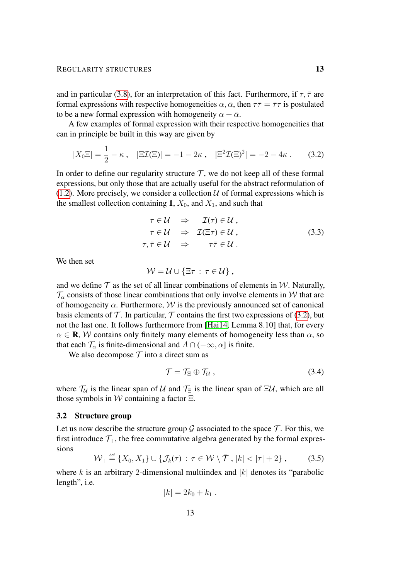and in particular [\(3.8\)](#page-14-1), for an interpretation of this fact. Furthermore, if  $\tau$ ,  $\bar{\tau}$  are formal expressions with respective homogeneities  $\alpha$ ,  $\bar{\alpha}$ , then  $\tau \bar{\tau} = \bar{\tau} \tau$  is postulated to be a new formal expression with homogeneity  $\alpha + \bar{\alpha}$ .

A few examples of formal expression with their respective homogeneities that can in principle be built in this way are given by

$$
|X_0 \Xi| = \frac{1}{2} - \kappa \,, \quad |\Xi \mathcal{I}(\Xi)| = -1 - 2\kappa \,, \quad |\Xi^2 \mathcal{I}(\Xi)^2| = -2 - 4\kappa \,. \tag{3.2}
$$

In order to define our regularity structure  $\mathcal{T}$ , we do not keep all of these formal expressions, but only those that are actually useful for the abstract reformulation of  $(1.2)$ . More precisely, we consider a collection U of formal expressions which is the smallest collection containing 1,  $X_0$ , and  $X_1$ , and such that

<span id="page-12-1"></span>
$$
\tau \in \mathcal{U} \Rightarrow \mathcal{I}(\tau) \in \mathcal{U},
$$
  
\n
$$
\tau \in \mathcal{U} \Rightarrow \mathcal{I}(\Xi \tau) \in \mathcal{U},
$$
  
\n
$$
\tau, \overline{\tau} \in \mathcal{U} \Rightarrow \tau \overline{\tau} \in \mathcal{U}.
$$
  
\n(3.3)

We then set

$$
\mathcal{W} = \mathcal{U} \cup \{\Xi \tau : \tau \in \mathcal{U}\},\,
$$

and we define  $\mathcal T$  as the set of all linear combinations of elements in W. Naturally,  $\mathcal{T}_{\alpha}$  consists of those linear combinations that only involve elements in W that are of homogeneity  $\alpha$ . Furthermore,  $W$  is the previously announced set of canonical basis elements of  $\mathcal T$ . In particular,  $\mathcal T$  contains the first two expressions of [\(3.2\)](#page-12-1), but not the last one. It follows furthermore from [\[Hai14,](#page-55-5) Lemma 8.10] that, for every  $\alpha \in \mathbf{R}$ , W contains only finitely many elements of homogeneity less than  $\alpha$ , so that each  $\mathcal{T}_{\alpha}$  is finite-dimensional and  $A \cap (-\infty, \alpha]$  is finite.

We also decompose  $T$  into a direct sum as

<span id="page-12-2"></span>
$$
\mathcal{T} = \mathcal{T}_{\Xi} \oplus \mathcal{T}_{\mathcal{U}} , \qquad (3.4)
$$

where  $\mathcal{T}_U$  is the linear span of U and  $\mathcal{T}_\Xi$  is the linear span of  $\Xi U$ , which are all those symbols in W containing a factor  $\Xi$ .

#### <span id="page-12-0"></span>3.2 Structure group

Let us now describe the structure group G associated to the space  $\mathcal T$ . For this, we first introduce  $\mathcal{T}_+$ , the free commutative algebra generated by the formal expressions

$$
\mathcal{W}_+ \stackrel{\text{def}}{=} \{X_0, X_1\} \cup \{\mathcal{J}_k(\tau) : \tau \in \mathcal{W} \setminus \overline{\mathcal{T}}, |k| < |\tau| + 2\},\qquad(3.5)
$$

where k is an arbitrary 2-dimensional multiindex and  $|k|$  denotes its "parabolic length", i.e.

<span id="page-12-3"></span>
$$
|k| = 2k_0 + k_1.
$$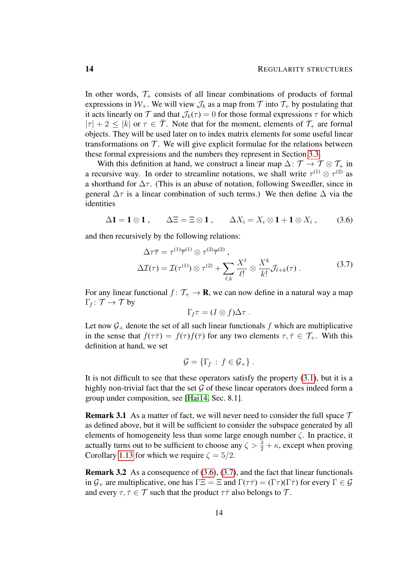In other words,  $\mathcal{T}_+$  consists of all linear combinations of products of formal expressions in  $W_+$ . We will view  $\mathcal{J}_k$  as a map from  $\mathcal T$  into  $\mathcal T_+$  by postulating that it acts linearly on T and that  $\mathcal{J}_k(\tau) = 0$  for those formal expressions  $\tau$  for which  $|\tau| + 2 \leq |k|$  or  $\tau \in \overline{T}$ . Note that for the moment, elements of  $\mathcal{T}_+$  are formal objects. They will be used later on to index matrix elements for some useful linear transformations on  $T$ . We will give explicit formulae for the relations between these formal expressions and the numbers they represent in Section [3.3.](#page-14-0)

With this definition at hand, we construct a linear map  $\Delta: \mathcal{T} \to \mathcal{T} \otimes \mathcal{T}_+$  in a recursive way. In order to streamline notations, we shall write  $\tau^{(1)} \otimes \tau^{(2)}$  as a shorthand for  $\Delta \tau$ . (This is an abuse of notation, following Sweedler, since in general  $\Delta \tau$  is a linear combination of such terms.) We then define  $\Delta$  via the identities

$$
\Delta \mathbf{1} = \mathbf{1} \otimes \mathbf{1} , \qquad \Delta \Xi = \Xi \otimes \mathbf{1} , \qquad \Delta X_i = X_i \otimes \mathbf{1} + \mathbf{1} \otimes X_i , \tag{3.6}
$$

and then recursively by the following relations:

$$
\Delta \tau \overline{\tau} = \tau^{(1)} \overline{\tau}^{(1)} \otimes \tau^{(2)} \overline{\tau}^{(2)},
$$
  

$$
\Delta \mathcal{I}(\tau) = \mathcal{I}(\tau^{(1)}) \otimes \tau^{(2)} + \sum_{\ell,k} \frac{X^{\ell}}{\ell!} \otimes \frac{X^{k}}{k!} \mathcal{J}_{\ell+k}(\tau).
$$
 (3.7)

For any linear functional  $f: \mathcal{T}_+ \to \mathbf{R}$ , we can now define in a natural way a map  $\Gamma_f \colon \mathcal{T} \to \mathcal{T}$  by

<span id="page-13-1"></span><span id="page-13-0"></span>
$$
\Gamma_f \tau = (I \otimes f) \Delta \tau .
$$

Let now  $G<sub>+</sub>$  denote the set of all such linear functionals f which are multiplicative in the sense that  $f(\tau \bar{\tau}) = f(\tau) f(\bar{\tau})$  for any two elements  $\tau, \bar{\tau} \in \mathcal{T}_+$ . With this definition at hand, we set

$$
\mathcal{G} = \{ \Gamma_f : f \in \mathcal{G}_+ \} .
$$

It is not difficult to see that these operators satisfy the property [\(3.1\)](#page-11-2), but it is a highly non-trivial fact that the set  $\mathcal G$  of these linear operators does indeed form a group under composition, see [\[Hai14,](#page-55-5) Sec. 8.1].

<span id="page-13-2"></span>**Remark 3.1** As a matter of fact, we will never need to consider the full space  $T$ as defined above, but it will be sufficient to consider the subspace generated by all elements of homogeneity less than some large enough number ζ. In practice, it actually turns out to be sufficient to choose any  $\zeta > \frac{3}{2} + \kappa$ , except when proving Corollary [1.13](#page-6-0) for which we require  $\zeta = 5/2$ .

<span id="page-13-3"></span>Remark 3.2 As a consequence of [\(3.6\)](#page-13-0), [\(3.7\)](#page-13-1), and the fact that linear functionals in  $\mathcal{G}_+$  are multiplicative, one has  $\Gamma \Xi = \Xi$  and  $\Gamma(\tau \overline{\tau}) = (\Gamma \tau)(\Gamma \overline{\tau})$  for every  $\Gamma \in \mathcal{G}$ and every  $\tau, \bar{\tau} \in \mathcal{T}$  such that the product  $\tau \bar{\tau}$  also belongs to  $\mathcal{T}$ .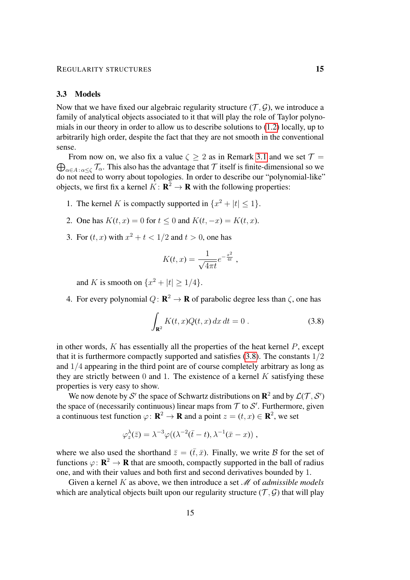## <span id="page-14-0"></span>3.3 Models

Now that we have fixed our algebraic regularity structure  $(\mathcal{T}, \mathcal{G})$ , we introduce a family of analytical objects associated to it that will play the role of Taylor polynomials in our theory in order to allow us to describe solutions to [\(1.2\)](#page-1-2) locally, up to arbitrarily high order, despite the fact that they are not smooth in the conventional sense.

 $\bigoplus_{\alpha\in A\colon \alpha\leq\zeta}\mathcal{T}_\alpha$ . This also has the advantage that  $\mathcal T$  itself is finite-dimensional so we From now on, we also fix a value  $\zeta \geq 2$  as in Remark [3.1](#page-13-2) and we set  $\mathcal{T} =$ do not need to worry about topologies. In order to describe our "polynomial-like" objects, we first fix a kernel  $K: \mathbf{R}^2 \to \mathbf{R}$  with the following properties:

- 1. The kernel K is compactly supported in  $\{x^2 + |t| \le 1\}$ .
- 2. One has  $K(t, x) = 0$  for  $t \le 0$  and  $K(t, -x) = K(t, x)$ .
- 3. For  $(t, x)$  with  $x^2 + t < 1/2$  and  $t > 0$ , one has

$$
K(t,x) = \frac{1}{\sqrt{4\pi t}} e^{-\frac{x^2}{4t}},
$$

and K is smooth on  $\{x^2 + |t| \ge 1/4\}.$ 

4. For every polynomial  $Q: \mathbf{R}^2 \to \mathbf{R}$  of parabolic degree less than  $\zeta$ , one has

<span id="page-14-1"></span>
$$
\int_{\mathbf{R}^2} K(t, x) Q(t, x) dx dt = 0.
$$
\n(3.8)

in other words,  $K$  has essentially all the properties of the heat kernel  $P$ , except that it is furthermore compactly supported and satisfies  $(3.8)$ . The constants  $1/2$ and 1/4 appearing in the third point are of course completely arbitrary as long as they are strictly between 0 and 1. The existence of a kernel  $K$  satisfying these properties is very easy to show.

We now denote by S' the space of Schwartz distributions on  $\mathbb{R}^2$  and by  $\mathcal{L}(\mathcal{T}, \mathcal{S}')$ the space of (necessarily continuous) linear maps from  $\mathcal T$  to  $\mathcal S'$ . Furthermore, given a continuous test function  $\varphi: \mathbf{R}^2 \to \mathbf{R}$  and a point  $z = (t, x) \in \mathbf{R}^2$ , we set

$$
\varphi_z^{\lambda}(\bar{z}) = \lambda^{-3} \varphi((\lambda^{-2}(\bar{t}-t), \lambda^{-1}(\bar{x}-x)),
$$

where we also used the shorthand  $\bar{z} = (\bar{t}, \bar{x})$ . Finally, we write B for the set of functions  $\varphi: \mathbf{R}^2 \to \mathbf{R}$  that are smooth, compactly supported in the ball of radius one, and with their values and both first and second derivatives bounded by 1.

Given a kernel K as above, we then introduce a set M of *admissible models* which are analytical objects built upon our regularity structure  $(\mathcal{T}, \mathcal{G})$  that will play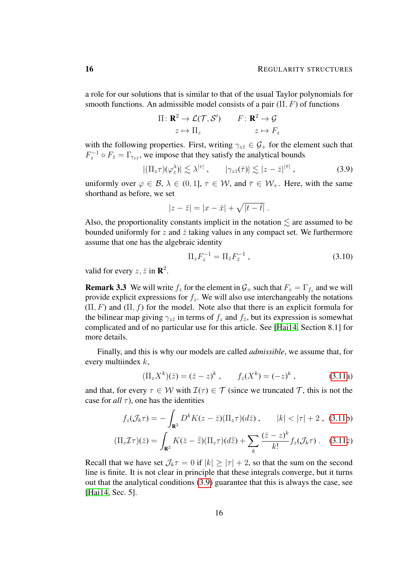a role for our solutions that is similar to that of the usual Taylor polynomials for smooth functions. An admissible model consists of a pair  $(\Pi, F)$  of functions

$$
\Pi: \mathbf{R}^2 \to \mathcal{L}(\mathcal{T}, \mathcal{S}') \qquad F: \mathbf{R}^2 \to \mathcal{G}
$$

$$
z \mapsto \Pi_z \qquad \qquad z \mapsto F_z
$$

with the following properties. First, writing  $\gamma_{z\bar{z}} \in \mathcal{G}_+$  for the element such that  $F_z^{-1} \circ F_{\bar{z}} = \Gamma_{\gamma_{z\bar{z}}}$ , we impose that they satisfy the analytical bounds

$$
|(\Pi_z \tau)(\varphi_z^{\lambda})| \lesssim \lambda^{|\tau|} , \qquad |\gamma_{z\bar{z}}(\bar{\tau})| \lesssim |z-\bar{z}|^{|\bar{\tau}|} , \qquad (3.9)
$$

uniformly over  $\varphi \in \mathcal{B}$ ,  $\lambda \in (0,1]$ ,  $\tau \in \mathcal{W}$ , and  $\bar{\tau} \in \mathcal{W}_+$ . Here, with the same shorthand as before, we set

$$
|z-\overline{z}| = |x-\overline{x}| + \sqrt{|t-\overline{t}|}.
$$

Also, the proportionality constants implicit in the notation  $\leq$  are assumed to be bounded uniformly for z and  $\bar{z}$  taking values in any compact set. We furthermore assume that one has the algebraic identity

<span id="page-15-3"></span><span id="page-15-1"></span>
$$
\Pi_z F_z^{-1} = \Pi_{\bar{z}} F_{\bar{z}}^{-1} , \qquad (3.10)
$$

valid for every  $z, \bar{z}$  in  $\mathbb{R}^2$ .

**Remark 3.3** We will write  $f_z$  for the element in  $\mathcal{G}_+$  such that  $F_z = \Gamma_{f_z}$  and we will provide explicit expressions for  $f_z$ . We will also use interchangeably the notations  $(\Pi, F)$  and  $(\Pi, f)$  for the model. Note also that there is an explicit formula for the bilinear map giving  $\gamma_{z\bar{z}}$  in terms of  $f_z$  and  $f_{\bar{z}}$ , but its expression is somewhat complicated and of no particular use for this article. See [\[Hai14,](#page-55-5) Section 8.1] for more details.

Finally, and this is why our models are called *admissible*, we assume that, for every multiindex  $k$ ,

<span id="page-15-0"></span>
$$
(\Pi_z X^k)(\bar{z}) = (\bar{z} - z)^k , \qquad f_z(X^k) = (-z)^k , \qquad (3.11a)
$$

and that, for every  $\tau \in W$  with  $\mathcal{I}(\tau) \in \mathcal{T}$  (since we truncated  $\mathcal{T}$ , this is not the case for  $all \tau$ ), one has the identities

$$
f_z(\mathcal{J}_k \tau) = -\int_{\mathbf{R}^2} D^k K(z - \bar{z}) (\Pi_z \tau) (d\bar{z}), \qquad |k| < |\tau| + 2 , \tag{3.11b}
$$

$$
(\Pi_z \mathcal{I}\tau)(\bar{z}) = \int_{\mathbf{R}^2} K(\bar{z} - \bar{\bar{z}})(\Pi_z \tau)(d\bar{\bar{z}}) + \sum_k \frac{(\bar{z} - z)^k}{k!} f_z(\mathcal{J}_k \tau).
$$
 (3.11c)

<span id="page-15-2"></span>Recall that we have set  $\mathcal{J}_k \tau = 0$  if  $|k| \ge |\tau| + 2$ , so that the sum on the second line is finite. It is not clear in principle that these integrals converge, but it turns out that the analytical conditions [\(3.9\)](#page-15-1) guarantee that this is always the case, see [\[Hai14,](#page-55-5) Sec. 5].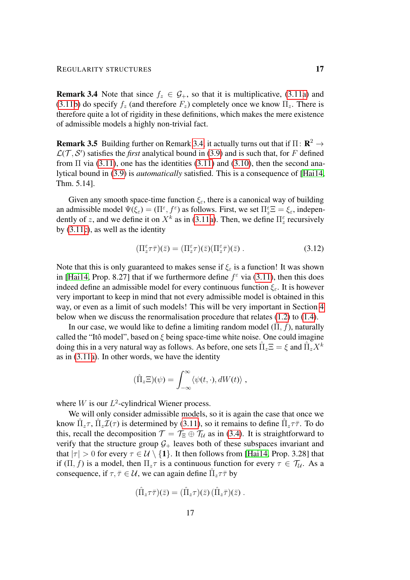#### REGULARITY STRUCTURES 17

**Remark 3.4** Note that since  $f_z \in \mathcal{G}_+$ , so that it is multiplicative, [\(3.11a\)](#page-15-0) and [\(3.11b\)](#page-15-0) do specify  $f_z$  (and therefore  $F_z$ ) completely once we know  $\Pi_z$ . There is therefore quite a lot of rigidity in these definitions, which makes the mere existence of admissible models a highly non-trivial fact.

**Remark 3.5** Building further on Remark [3.4,](#page-15-2) it actually turns out that if  $\Pi \colon \mathbb{R}^2 \to$  $\mathcal{L}(\mathcal{T}, \mathcal{S}')$  satisfies the *first* analytical bound in [\(3.9\)](#page-15-1) and is such that, for F defined from  $\Pi$  via [\(3.11\)](#page-15-0), one has the identities (3.11) and [\(3.10\)](#page-15-3), then the second analytical bound in [\(3.9\)](#page-15-1) is *automatically* satisfied. This is a consequence of [\[Hai14,](#page-55-5) Thm. 5.14].

Given any smooth space-time function  $\xi_{\varepsilon}$ , there is a canonical way of building an admissible model  $\Psi(\xi_{\varepsilon}) = (\Pi^{\varepsilon}, f^{\varepsilon})$  as follows. First, we set  $\Pi^{\varepsilon}_{z} \Xi = \xi_{\varepsilon}$ , independently of z, and we define it on  $X^k$  as in [\(3.11a\)](#page-15-0). Then, we define  $\Pi_z^{\varepsilon}$  recursively by [\(3.11c\)](#page-15-0), as well as the identity

<span id="page-16-0"></span>
$$
(\Pi_z^{\varepsilon}\tau\bar{\tau})(\bar{z}) = (\Pi_z^{\varepsilon}\tau)(\bar{z})(\Pi_z^{\varepsilon}\bar{\tau})(\bar{z}) . \tag{3.12}
$$

Note that this is only guaranteed to makes sense if  $\xi_{\varepsilon}$  is a function! It was shown in [\[Hai14,](#page-55-5) Prop. 8.27] that if we furthermore define  $f^{\epsilon}$  via [\(3.11\)](#page-15-0), then this does indeed define an admissible model for every continuous function  $\xi$ . It is however very important to keep in mind that not every admissible model is obtained in this way, or even as a limit of such models! This will be very important in Section [4](#page-24-0) below when we discuss the renormalisation procedure that relates  $(1.2)$  to  $(1.4)$ .

In our case, we would like to define a limiting random model  $(\hat{\Pi}, \hat{f})$ , naturally called the "Itô model", based on  $\xi$  being space-time white noise. One could imagine doing this in a very natural way as follows. As before, one sets  $\hat{\Pi}_z \Xi = \xi$  and  $\hat{\Pi}_z X^k$ as in [\(3.11a\)](#page-15-0). In other words, we have the identity

$$
(\hat{\Pi}_z \Xi)(\psi) = \int_{-\infty}^{\infty} \langle \psi(t, \cdot), dW(t) \rangle,
$$

where  $W$  is our  $L^2$ -cylindrical Wiener process.

We will only consider admissible models, so it is again the case that once we know  $\hat{\Pi}_z \tau$ ,  $\hat{\Pi}_z \tilde{\mathcal{I}}(\tau)$  is determined by [\(3.11\)](#page-15-0), so it remains to define  $\hat{\Pi}_z \tau \bar{\tau}$ . To do this, recall the decomposition  $\mathcal{T} = \mathcal{T}_{\Xi} \oplus \mathcal{T}_{\mathcal{U}}$  as in [\(3.4\)](#page-12-2). It is straightforward to verify that the structure group  $G_+$  leaves both of these subspaces invariant and that  $|\tau| > 0$  for every  $\tau \in \mathcal{U} \setminus \{1\}$ . It then follows from [\[Hai14,](#page-55-5) Prop. 3.28] that if  $(\Pi, f)$  is a model, then  $\Pi_z \tau$  is a continuous function for every  $\tau \in \mathcal{T}_u$ . As a consequence, if  $\tau, \bar{\tau} \in \mathcal{U}$ , we can again define  $\hat{\Pi}_z \tau \bar{\tau}$  by

$$
(\hat{\Pi}_z \tau \overline{\tau})(\overline{z}) = (\hat{\Pi}_z \tau)(\overline{z}) (\hat{\Pi}_z \overline{\tau})(\overline{z}) .
$$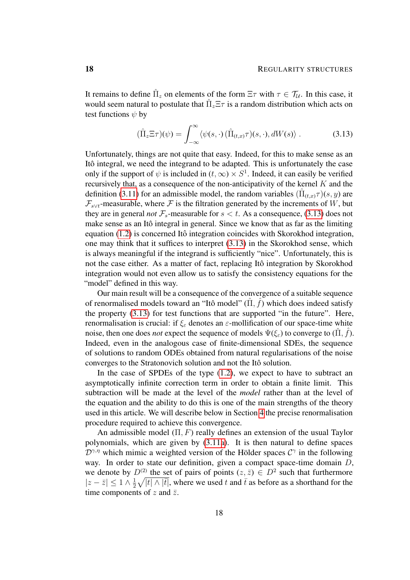It remains to define  $\hat{\Pi}_z$  on elements of the form  $\Xi \tau$  with  $\tau \in \mathcal{T}_\mathcal{U}$ . In this case, it would seem natural to postulate that  $\hat{\Pi}_z \Xi \tau$  is a random distribution which acts on test functions  $\psi$  by

<span id="page-17-0"></span>
$$
(\hat{\Pi}_z \Xi \tau)(\psi) = \int_{-\infty}^{\infty} \langle \psi(s, \cdot) (\hat{\Pi}_{(t,x)} \tau)(s, \cdot), dW(s) \rangle . \tag{3.13}
$$

Unfortunately, things are not quite that easy. Indeed, for this to make sense as an Itô integral, we need the integrand to be adapted. This is unfortunately the case only if the support of  $\psi$  is included in  $(t, \infty) \times S^1$ . Indeed, it can easily be verified recursively that, as a consequence of the non-anticipativity of the kernel  $K$  and the definition [\(3.11\)](#page-15-0) for an admissible model, the random variables  $(\hat{\Pi}_{(t,x)} \tau)(s, y)$  are  $\mathcal{F}_{s\vee t}$ -measurable, where  $\mathcal F$  is the filtration generated by the increments of W, but they are in general *not*  $\mathcal{F}_s$ -measurable for  $s < t$ . As a consequence, [\(3.13\)](#page-17-0) does not make sense as an Itô integral in general. Since we know that as far as the limiting equation  $(1.2)$  is concerned Itô integration coincides with Skorokhod integration, one may think that it suffices to interpret [\(3.13\)](#page-17-0) in the Skorokhod sense, which is always meaningful if the integrand is sufficiently "nice". Unfortunately, this is not the case either. As a matter of fact, replacing Itô integration by Skorokhod integration would not even allow us to satisfy the consistency equations for the "model" defined in this way.

Our main result will be a consequence of the convergence of a suitable sequence of renormalised models toward an "Itô model"  $(\hat{\Pi}, \hat{f})$  which does indeed satisfy the property [\(3.13\)](#page-17-0) for test functions that are supported "in the future". Here, renormalisation is crucial: if  $\xi_{\varepsilon}$  denotes an  $\varepsilon$ -mollification of our space-time white noise, then one does *not* expect the sequence of models  $\Psi(\xi_{\varepsilon})$  to converge to  $(\hat{\Pi}, \hat{f})$ . Indeed, even in the analogous case of finite-dimensional SDEs, the sequence of solutions to random ODEs obtained from natural regularisations of the noise converges to the Stratonovich solution and not the Itô solution.

In the case of SPDEs of the type [\(1.2\)](#page-1-2), we expect to have to subtract an asymptotically infinite correction term in order to obtain a finite limit. This subtraction will be made at the level of the *model* rather than at the level of the equation and the ability to do this is one of the main strengths of the theory used in this article. We will describe below in Section [4](#page-24-0) the precise renormalisation procedure required to achieve this convergence.

An admissible model  $(\Pi, F)$  really defines an extension of the usual Taylor polynomials, which are given by [\(3.11a\)](#page-15-0). It is then natural to define spaces  $\mathcal{D}^{\gamma,\eta}$  which mimic a weighted version of the Hölder spaces  $\mathcal{C}^{\gamma}$  in the following way. In order to state our definition, given a compact space-time domain D, we denote by  $D^{(2)}$  the set of pairs of points  $(z, \bar{z}) \in D^2$  such that furthermore  $|z-\bar{z}|\leq 1\wedge\frac{1}{2}$  $\frac{1}{2}\sqrt{|t|\wedge|\bar{t}|}$ , where we used t and  $\bar{t}$  as before as a shorthand for the time components of z and  $\bar{z}$ .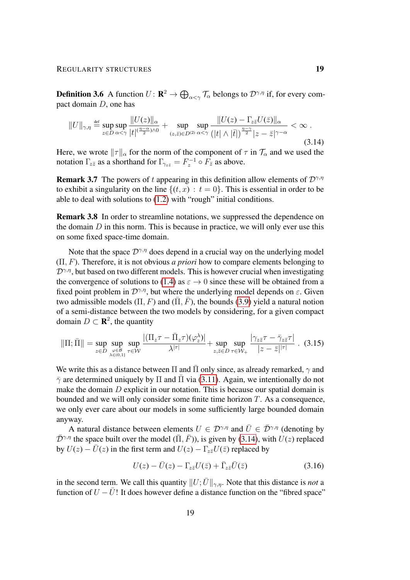**Definition 3.6** A function  $U: \mathbf{R}^2 \to \bigoplus_{\alpha < \gamma} \mathcal{T}_\alpha$  belongs to  $\mathcal{D}^{\gamma,\eta}$  if, for every compact domain D, one has

<span id="page-18-0"></span>
$$
||U||_{\gamma,\eta} \stackrel{\text{def}}{=} \sup_{z \in D} \sup_{\alpha < \gamma} \frac{||U(z)||_{\alpha}}{|t|^{(\frac{\eta-\alpha}{2})\wedge 0}} + \sup_{(z,\bar{z}) \in D^{(2)}} \sup_{\alpha < \gamma} \frac{||U(z) - \Gamma_{z\bar{z}}U(\bar{z})||_{\alpha}}{(|t| \wedge |\bar{t}|)^{\frac{\eta-\gamma}{2}}|z-\bar{z}|^{\gamma-\alpha}} < \infty. \tag{3.14}
$$

Here, we wrote  $||\tau||_{\alpha}$  for the norm of the component of  $\tau$  in  $\mathcal{T}_{\alpha}$  and we used the notation  $\Gamma_{z\bar{z}}$  as a shorthand for  $\Gamma_{\gamma_{z\bar{z}}} = F_z^{-1} \circ F_{\bar{z}}$  as above.

**Remark 3.7** The powers of t appearing in this definition allow elements of  $\mathcal{D}^{\gamma,\eta}$ to exhibit a singularity on the line  $\{(t, x) : t = 0\}$ . This is essential in order to be able to deal with solutions to [\(1.2\)](#page-1-2) with "rough" initial conditions.

Remark 3.8 In order to streamline notations, we suppressed the dependence on the domain  $D$  in this norm. This is because in practice, we will only ever use this on some fixed space-time domain.

Note that the space  $\mathcal{D}^{\gamma,\eta}$  does depend in a crucial way on the underlying model (Π, F). Therefore, it is not obvious *a priori* how to compare elements belonging to  $\mathcal{D}^{\gamma,\eta}$ , but based on two different models. This is however crucial when investigating the convergence of solutions to [\(1.4\)](#page-1-3) as  $\varepsilon \to 0$  since these will be obtained from a fixed point problem in  $\mathcal{D}^{\gamma,\eta}$ , but where the underlying model depends on  $\varepsilon$ . Given two admissible models  $(\Pi, F)$  and  $(\overline{\Pi}, \overline{F})$ , the bounds [\(3.9\)](#page-15-1) yield a natural notion of a semi-distance between the two models by considering, for a given compact domain  $D \subset \mathbf{R}^2$ , the quantity

$$
\|\Pi;\bar{\Pi}\| = \sup_{z \in D} \sup_{\substack{\varphi \in \mathcal{B} \\ \lambda \in (0,1)}} \sup_{\tau \in \mathcal{W}} \frac{|(\Pi_z \tau - \bar{\Pi}_z \tau)(\varphi_z^{\lambda})|}{\lambda^{|\tau|}} + \sup_{z,\bar{z} \in D} \sup_{\tau \in \mathcal{W}_+} \frac{|\gamma_{z\bar{z}} \tau - \bar{\gamma}_{z\bar{z}} \tau|}{|z - \bar{z}|^{|\tau|}} \ . \tag{3.15}
$$

We write this as a distance between  $\Pi$  and  $\Pi$  only since, as already remarked,  $\gamma$  and  $\bar{\gamma}$  are determined uniquely by  $\Pi$  and  $\Pi$  via [\(3.11\)](#page-15-0). Again, we intentionally do not make the domain  $D$  explicit in our notation. This is because our spatial domain is bounded and we will only consider some finite time horizon  $T$ . As a consequence, we only ever care about our models in some sufficiently large bounded domain anyway.

A natural distance between elements  $U \in \mathcal{D}^{\gamma,\eta}$  and  $\overline{U} \in \overline{\mathcal{D}}^{\gamma,\eta}$  (denoting by  $\bar{\mathcal{D}}^{\gamma,\eta}$  the space built over the model ( $\bar{\Pi}, \bar{F}$ )), is given by [\(3.14\)](#page-18-0), with  $U(z)$  replaced by  $U(z) - \overline{U}(z)$  in the first term and  $U(z) - \Gamma_{z\overline{z}}U(\overline{z})$  replaced by

<span id="page-18-2"></span><span id="page-18-1"></span>
$$
U(z) - \bar{U}(z) - \Gamma_{z\bar{z}} U(\bar{z}) + \bar{\Gamma}_{z\bar{z}} \bar{U}(\bar{z})
$$
\n(3.16)

in the second term. We call this quantity  $||U; \bar{U}||_{\gamma,\eta}$ . Note that this distance is *not* a function of  $U - \overline{U}$ ! It does however define a distance function on the "fibred space"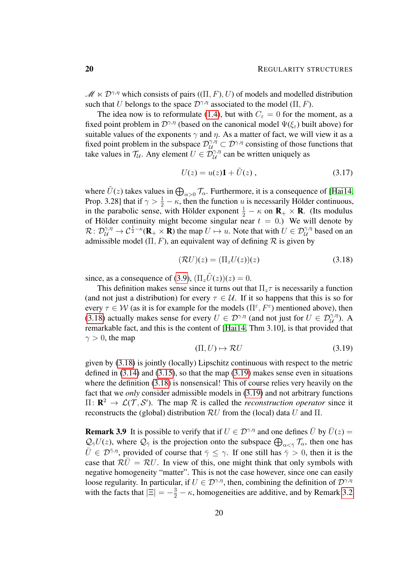$\mathcal{M} \ltimes \mathcal{D}^{\gamma,\eta}$  which consists of pairs  $((\Pi, F), U)$  of models and modelled distribution such that U belongs to the space  $\mathcal{D}^{\gamma,\eta}$  associated to the model (Π, F).

The idea now is to reformulate [\(1.4\)](#page-1-3), but with  $C_{\varepsilon} = 0$  for the moment, as a fixed point problem in  $\mathcal{D}^{\gamma,\eta}$  (based on the canonical model  $\Psi(\xi_{\varepsilon})$  built above) for suitable values of the exponents  $\gamma$  and  $\eta$ . As a matter of fact, we will view it as a fixed point problem in the subspace  $\mathcal{D}_{\mathcal{U}}^{\gamma,\eta} \subset \mathcal{D}^{\gamma,\eta}$  consisting of those functions that take values in  $\mathcal{T}_{\mathcal{U}}$ . Any element  $U \in \mathcal{D}_{\mathcal{U}}^{\gamma,\eta}$  can be written uniquely as

<span id="page-19-2"></span>
$$
U(z) = u(z)\mathbf{1} + \tilde{U}(z) , \qquad (3.17)
$$

where  $\tilde{U}(z)$  takes values in  $\bigoplus_{\alpha>0} \mathcal{T}_{\alpha}$ . Furthermore, it is a consequence of [\[Hai14,](#page-55-5) Prop. 3.28] that if  $\gamma > \frac{1}{2} - \kappa$ , then the function u is necessarily Hölder continuous, in the parabolic sense, with Hölder exponent  $\frac{1}{2} - \kappa$  on  $\mathbf{R}_{+} \times \mathbf{R}$ . (Its modulus of Hölder continuity might become singular near  $t = 0$ .) We will denote by  $\mathcal{R}: \mathcal{D}^{\gamma,\eta}_\mathcal{U} \to \mathcal{C}^{\frac{1}{2}-\kappa}(\mathbf{R}_+ \times \mathbf{R})$  the map  $U \mapsto u$ . Note that with  $U \in \mathcal{D}^{\gamma,\eta}_\mathcal{U}$  based on an admissible model  $(\Pi, F)$ , an equivalent way of defining  $\mathcal R$  is given by

<span id="page-19-0"></span>
$$
(\mathcal{R}U)(z) = (\Pi_z U(z))(z)
$$
\n(3.18)

since, as a consequence of [\(3.9\)](#page-15-1),  $(\Pi_z U(z))(z) = 0$ .

This definition makes sense since it turns out that  $\Pi_z\tau$  is necessarily a function (and not just a distribution) for every  $\tau \in \mathcal{U}$ . If it so happens that this is so for every  $\tau \in W$  (as it is for example for the models  $(\Pi^{\varepsilon}, F^{\varepsilon})$  mentioned above), then [\(3.18\)](#page-19-0) actually makes sense for every  $U \in \mathcal{D}^{\gamma,\eta}$  (and not just for  $U \in \mathcal{D}^{\gamma,\eta}_{\mathcal{U}}$ ). A remarkable fact, and this is the content of [\[Hai14,](#page-55-5) Thm 3.10], is that provided that  $\gamma > 0$ , the map

<span id="page-19-1"></span>
$$
(\Pi, U) \mapsto \mathcal{R}U \tag{3.19}
$$

given by [\(3.18\)](#page-19-0) is jointly (locally) Lipschitz continuous with respect to the metric defined in  $(3.14)$  and  $(3.15)$ , so that the map  $(3.19)$  makes sense even in situations where the definition [\(3.18\)](#page-19-0) is nonsensical! This of course relies very heavily on the fact that we *only* consider admissible models in [\(3.19\)](#page-19-1) and not arbitrary functions  $\Pi: \mathbf{R}^2 \to \mathcal{L}(\mathcal{T}, \mathcal{S}')$ . The map R is called the *reconstruction operator* since it reconstructs the (global) distribution  $\mathcal{R}U$  from the (local) data U and  $\Pi$ .

<span id="page-19-3"></span>**Remark 3.9** It is possible to verify that if  $U \in \mathcal{D}^{\gamma,\eta}$  and one defines  $\overline{U}$  by  $\overline{U}(z) =$  $\mathcal{Q}_{\bar{\gamma}}U(z)$ , where  $\mathcal{Q}_{\bar{\gamma}}$  is the projection onto the subspace  $\bigoplus_{\alpha<\bar{\gamma}}\mathcal{T}_{\alpha}$ , then one has  $\bar{U} \in \mathcal{D}^{\bar{\gamma},\eta}$ , provided of course that  $\bar{\gamma} \leq \gamma$ . If one still has  $\bar{\gamma} > 0$ , then it is the case that  $\mathcal{R}\overline{U} = \mathcal{R}U$ . In view of this, one might think that only symbols with negative homogeneity "matter". This is not the case however, since one can easily loose regularity. In particular, if  $U \in \mathcal{D}^{\gamma,\eta}$ , then, combining the definition of  $\mathcal{D}^{\gamma,\eta}$ with the facts that  $|\Xi| = -\frac{3}{2} - \kappa$ , homogeneities are additive, and by Remark [3.2](#page-13-3)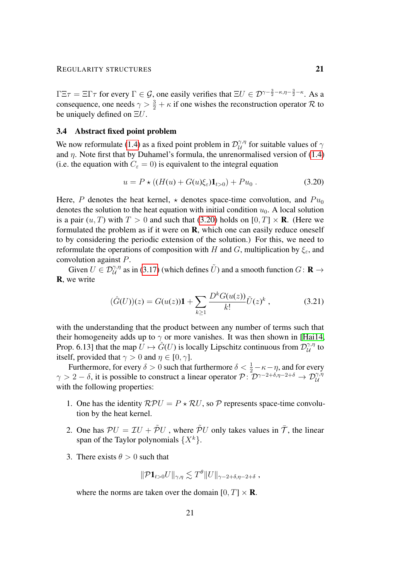$\Gamma \Xi \tau = \Xi \Gamma \tau$  for every  $\Gamma \in \mathcal{G}$ , one easily verifies that  $\Xi U \in \mathcal{D}^{\gamma - \frac{3}{2} - \kappa, \eta - \frac{3}{2} - \kappa}$ . As a consequence, one needs  $\gamma > \frac{3}{2} + \kappa$  if one wishes the reconstruction operator R to be uniquely defined on  $\Xi U$ .

## <span id="page-20-0"></span>3.4 Abstract fixed point problem

We now reformulate [\(1.4\)](#page-1-3) as a fixed point problem in  $\mathcal{D}_{\mathcal{U}}^{\gamma,\eta}$  $\alpha^{\gamma,\eta}$  for suitable values of  $\gamma$ and  $\eta$ . Note first that by Duhamel's formula, the unrenormalised version of [\(1.4\)](#page-1-3) (i.e. the equation with  $C_{\varepsilon} = 0$ ) is equivalent to the integral equation

<span id="page-20-1"></span>
$$
u = P \star ((H(u) + G(u)\xi_{\varepsilon})\mathbf{1}_{t>0}) + Pu_0.
$$
 (3.20)

Here, P denotes the heat kernel,  $\star$  denotes space-time convolution, and  $Pu_0$ denotes the solution to the heat equation with initial condition  $u_0$ . A local solution is a pair  $(u, T)$  with  $T > 0$  and such that [\(3.20\)](#page-20-1) holds on  $[0, T] \times \mathbf{R}$ . (Here we formulated the problem as if it were on R, which one can easily reduce oneself to by considering the periodic extension of the solution.) For this, we need to reformulate the operations of composition with H and G, multiplication by  $\xi_{\varepsilon}$ , and convolution against P.

Given  $U \in \mathcal{D}_{\mathcal{U}}^{\gamma,\eta}$  as in [\(3.17\)](#page-19-2) (which defines  $\tilde{U}$ ) and a smooth function  $G \colon \mathbf{R} \to$ R, we write

<span id="page-20-2"></span>
$$
(\hat{G}(U))(z) = G(u(z))\mathbf{1} + \sum_{k\geq 1} \frac{D^k G(u(z))}{k!} \tilde{U}(z)^k ,\qquad (3.21)
$$

with the understanding that the product between any number of terms such that their homogeneity adds up to  $\gamma$  or more vanishes. It was then shown in [\[Hai14,](#page-55-5) Prop. 6.13] that the map  $\hat{U} \mapsto \hat{G}(U)$  is locally Lipschitz continuous from  $\mathcal{D}_{\hat{U}}^{\gamma,\eta}$  $\overset{\gamma,\eta}{\mathcal{U}}$  to itself, provided that  $\gamma > 0$  and  $\eta \in [0, \gamma]$ .

Furthermore, for every  $\delta > 0$  such that furthermore  $\delta < \frac{1}{2} - \kappa - \eta$ , and for every  $\gamma > 2 - \delta$ , it is possible to construct a linear operator  $\mathcal{P}$ :  $\mathcal{D}^{\gamma-2+\delta,\eta-2+\delta} \to \mathcal{D}^{\gamma,\eta}_{\mathcal{U}}$ with the following properties:

- 1. One has the identity  $RPU = P \star RU$ , so P represents space-time convolution by the heat kernel.
- 2. One has  $PU = TU + \tilde{P}U$ , where  $\tilde{P}U$  only takes values in  $\bar{T}$ , the linear span of the Taylor polynomials  $\{X^k\}.$
- 3. There exists  $\theta > 0$  such that

$$
\|\mathcal{P} \mathbf{1}_{t>0}U\|_{\gamma,\eta} \lesssim T^{\theta} \|U\|_{\gamma-2+\delta,\eta-2+\delta} ,
$$

where the norms are taken over the domain  $[0, T] \times \mathbf{R}$ .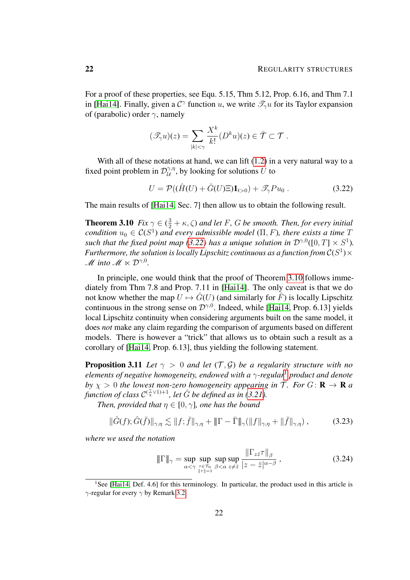For a proof of these properties, see Equ. 5.15, Thm 5.12, Prop. 6.16, and Thm 7.1 in [\[Hai14\]](#page-55-5). Finally, given a  $C^{\gamma}$  function u, we write  $\mathscr{T}_{\gamma}u$  for its Taylor expansion of (parabolic) order  $\gamma$ , namely

$$
(\mathscr{T}_{\gamma}u)(z) = \sum_{|k| < \gamma} \frac{X^k}{k!} (D^k u)(z) \in \overline{\mathcal{T}} \subset \mathcal{T}.
$$

With all of these notations at hand, we can lift  $(1.2)$  in a very natural way to a fixed point problem in  $\mathcal{D}_{\mathcal{U}}^{\gamma,\eta}$  $\mathcal{U}^{\gamma,\eta}$ , by looking for solutions  $U$  to

<span id="page-21-0"></span>
$$
U = \mathcal{P}((\hat{H}(U) + \hat{G}(U)\Xi)\mathbf{1}_{t>0}) + \mathcal{I}_{\gamma}Pu_0.
$$
 (3.22)

<span id="page-21-1"></span>The main results of [\[Hai14,](#page-55-5) Sec. 7] then allow us to obtain the following result.

**Theorem 3.10**  $Fix \gamma \in (\frac{3}{2} + \kappa, \zeta)$  and let F, G be smooth. Then, for every initial *condition*  $u_0 \in C(S^1)$  *and every admissible model* ( $\Pi$ ,  $F$ )*, there exists a time*  $T$ *such that the fixed point map [\(3.22\)](#page-21-0) has a unique solution in*  $\mathcal{D}^{\gamma,0}([0,T] \times S^1)$ . Furthermore, the solution is locally Lipschitz continuous as a function from  $\mathcal{C}(S^1)\times$ *M* into  $M \ltimes D^{\gamma,0}$ .

In principle, one would think that the proof of Theorem [3.10](#page-21-1) follows immediately from Thm 7.8 and Prop. 7.11 in [\[Hai14\]](#page-55-5). The only caveat is that we do not know whether the map  $U \mapsto \hat{G}(U)$  (and similarly for  $\hat{F}$ ) is locally Lipschitz continuous in the strong sense on  $\mathcal{D}^{\gamma,0}$ . Indeed, while [\[Hai14,](#page-55-5) Prop. 6.13] yields local Lipschitz continuity when considering arguments built on the same model, it does *not* make any claim regarding the comparison of arguments based on different models. There is however a "trick" that allows us to obtain such a result as a corollary of [\[Hai14,](#page-55-5) Prop. 6.13], thus yielding the following statement.

<span id="page-21-4"></span>**Proposition 3.11** *Let*  $\gamma > 0$  *and let*  $(T, \mathcal{G})$  *be a regularity structure with no elements of negative homogeneity, endowed with a* γ*-regular*[1](#page-21-2) *product and denote by*  $\chi > 0$  *the lowest non-zero homogeneity appearing in*  $\mathcal{T}$ *. For*  $G: \mathbf{R} \to \mathbf{R}$  *a function of class*  $C^{(\frac{\gamma}{\chi} \vee 1)+1}$ , let  $\hat{G}$  be defined as in [\(3.21\)](#page-20-2).

*Then, provided that*  $\eta \in [0, \gamma]$ *, one has the bound* 

$$
\|\hat{G}(f); \hat{G}(\bar{f})\|_{\gamma,\eta} \lesssim \|f; \bar{f}\|_{\gamma,\eta} + \|\Gamma - \bar{\Gamma}\|_{\gamma} (\|f\|_{\gamma,\eta} + \|\bar{f}\|_{\gamma,\eta}), \tag{3.23}
$$

*where we used the notation*

<span id="page-21-5"></span><span id="page-21-3"></span>
$$
\|\Gamma\|_{\gamma} = \sup_{\alpha < \gamma} \sup_{\substack{\tau \in \mathcal{T}_{\alpha} \\ \|\tau\| = 1}} \sup_{\beta < \alpha} \sup_{z \neq \bar{z}} \frac{\|\Gamma_{z\bar{z}}\tau\|_{\beta}}{|z - \bar{z}|^{\alpha - \beta}} \,, \tag{3.24}
$$

<span id="page-21-2"></span><sup>&</sup>lt;sup>1</sup>See [\[Hai14,](#page-55-5) Def. 4.6] for this terminology. In particular, the product used in this article is  $\gamma$ -regular for every  $\gamma$  by Remark [3.2.](#page-13-3)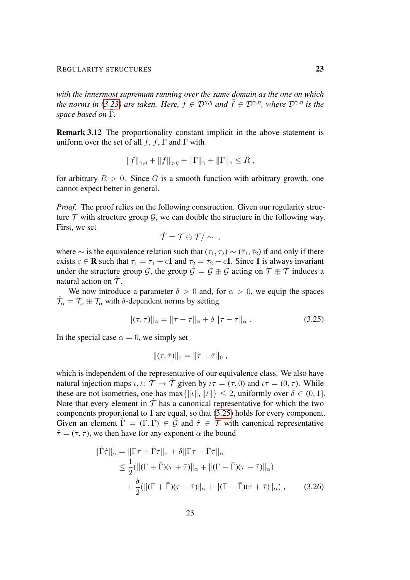*with the innermost supremum running over the same domain as the one on which the norms in* [\(3.23\)](#page-21-3) *are taken. Here,*  $f \in \mathcal{D}^{\gamma,\eta}$  *and*  $\bar{f} \in \bar{\mathcal{D}}^{\gamma,\eta}$ *, where*  $\bar{\mathcal{D}}^{\gamma,\eta}$  *is the space based on*  $\overline{\Gamma}$ *.* 

Remark 3.12 The proportionality constant implicit in the above statement is uniform over the set of all  $f$ ,  $\bar{f}$ ,  $\Gamma$  and  $\bar{\Gamma}$  with

$$
||f||_{\gamma,\eta} + ||f||_{\gamma,\eta} + ||\Gamma||_{\gamma} + ||\overline{\Gamma}||_{\gamma} \leq R,
$$

for arbitrary  $R > 0$ . Since G is a smooth function with arbitrary growth, one cannot expect better in general.

*Proof.* The proof relies on the following construction. Given our regularity structure  $T$  with structure group  $G$ , we can double the structure in the following way. First, we set

$$
\hat{\mathcal{T}} = \mathcal{T} \oplus \mathcal{T} / \sim ,
$$

where  $\sim$  is the equivalence relation such that  $(\tau_1, \tau_2) \sim (\bar{\tau}_1, \bar{\tau}_2)$  if and only if there exists  $c \in \mathbf{R}$  such that  $\bar{\tau}_1 = \tau_1 + c\mathbf{1}$  and  $\bar{\tau}_2 = \tau_2 - c\mathbf{1}$ . Since 1 is always invariant under the structure group  $\mathcal{G}$ , the group  $\mathcal{G} = \mathcal{G} \oplus \mathcal{G}$  acting on  $\mathcal{T} \oplus \mathcal{T}$  induces a natural action on  $\hat{\mathcal{T}}$ .

We now introduce a parameter  $\delta > 0$  and, for  $\alpha > 0$ , we equip the spaces  $\hat{\mathcal{T}}_{\alpha} = \mathcal{T}_{\alpha} \oplus \mathcal{T}_{\alpha}$  with  $\delta$ -dependent norms by setting

$$
\|(\tau,\bar{\tau})\|_{\alpha} = \|\tau + \bar{\tau}\|_{\alpha} + \delta \|\tau - \bar{\tau}\|_{\alpha}.
$$
 (3.25)

In the special case  $\alpha = 0$ , we simply set

<span id="page-22-0"></span>
$$
\|(\tau,\bar{\tau})\|_0 = \|\tau + \bar{\tau}\|_0,
$$

which is independent of the representative of our equivalence class. We also have natural injection maps  $\iota, \bar{\iota}: \mathcal{T} \to \hat{\mathcal{T}}$  given by  $\iota \tau = (\tau, 0)$  and  $\bar{\iota} \tau = (0, \tau)$ . While these are not isometries, one has max $\{\Vert u \Vert, \Vert \overline{u} \Vert\} \leq 2$ , uniformly over  $\delta \in (0, 1]$ . Note that every element in  $\hat{T}$  has a canonical representative for which the two components proportional to 1 are equal, so that [\(3.25\)](#page-22-0) holds for every component. Given an element  $\hat{\Gamma} = (\Gamma, \bar{\Gamma}) \in \hat{\mathcal{G}}$  and  $\hat{\tau} \in \hat{\mathcal{T}}$  with canonical representative  $\hat{\tau} = (\tau, \bar{\tau})$ , we then have for any exponent  $\alpha$  the bound

$$
\|\hat{\Gamma}\hat{\tau}\|_{\alpha} = \|\Gamma\tau + \bar{\Gamma}\bar{\tau}\|_{\alpha} + \delta\|\Gamma\tau - \bar{\Gamma}\bar{\tau}\|_{\alpha}
$$
  
\n
$$
\leq \frac{1}{2}(\|(\Gamma + \bar{\Gamma})(\tau + \bar{\tau})\|_{\alpha} + \|(\Gamma - \bar{\Gamma})(\tau - \bar{\tau})\|_{\alpha})
$$
  
\n
$$
+ \frac{\delta}{2}(\|(\Gamma + \bar{\Gamma})(\tau - \bar{\tau})\|_{\alpha} + \|(\Gamma - \bar{\Gamma})(\tau + \bar{\tau})\|_{\alpha}), \qquad (3.26)
$$

<span id="page-22-1"></span>23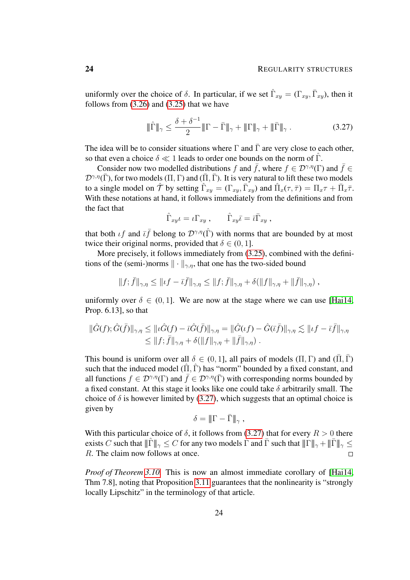uniformly over the choice of  $\delta$ . In particular, if we set  $\hat{\Gamma}_{xy} = (\Gamma_{xy}, \bar{\Gamma}_{xy})$ , then it follows from [\(3.26\)](#page-22-1) and [\(3.25\)](#page-22-0) that we have

<span id="page-23-0"></span>
$$
\|\hat{\Gamma}\|_{\gamma} \le \frac{\delta + \delta^{-1}}{2} \|\Gamma - \bar{\Gamma}\|_{\gamma} + \|\Gamma\|_{\gamma} + \|\bar{\Gamma}\|_{\gamma} . \tag{3.27}
$$

The idea will be to consider situations where  $\Gamma$  and  $\bar{\Gamma}$  are very close to each other, so that even a choice  $\delta \ll 1$  leads to order one bounds on the norm of  $\hat{\Gamma}$ .

Consider now two modelled distributions f and  $\bar{f}$ , where  $f \in \mathcal{D}^{\gamma,\eta}(\Gamma)$  and  $\bar{f} \in$  $\mathcal{D}^{\gamma,\eta}(\bar{\Gamma})$ , for two models  $(\Pi,\Gamma)$  and  $(\bar{\Pi},\bar{\Gamma})$ . It is very natural to lift these two models to a single model on  $\hat{\mathcal{T}}$  by setting  $\hat{\Gamma}_{xy} = (\Gamma_{xy}, \bar{\Gamma}_{xy})$  and  $\hat{\Pi}_x(\tau, \bar{\tau}) = \Pi_x \tau + \bar{\Pi}_x \bar{\tau}$ . With these notations at hand, it follows immediately from the definitions and from the fact that

$$
\hat{\Gamma}_{xy}\iota = \iota \Gamma_{xy} , \qquad \hat{\Gamma}_{xy}\bar{\iota} = \bar{\iota} \bar{\Gamma}_{xy} ,
$$

that both  $\iota f$  and  $\bar{\iota} \bar{f}$  belong to  $\mathcal{D}^{\gamma,\eta}(\hat{\Gamma})$  with norms that are bounded by at most twice their original norms, provided that  $\delta \in (0, 1]$ .

More precisely, it follows immediately from [\(3.25\)](#page-22-0), combined with the definitions of the (semi-)norms  $\|\cdot\|_{\gamma,\eta}$ , that one has the two-sided bound

$$
||f; \bar{f}||_{\gamma,\eta} \leq ||\iota f - \bar{\iota}\bar{f}||_{\gamma,\eta} \leq ||f; \bar{f}||_{\gamma,\eta} + \delta(||f||_{\gamma,\eta} + ||\bar{f}||_{\gamma,\eta}),
$$

uniformly over  $\delta \in (0, 1]$ . We are now at the stage where we can use [\[Hai14,](#page-55-5) Prop. 6.13], so that

$$
\begin{aligned} \|\hat{G}(f); \hat{G}(\bar{f})\|_{\gamma,\eta} &\leq \|\iota \hat{G}(f) - \bar{\iota}\hat{G}(\bar{f})\|_{\gamma,\eta} = \|\hat{G}(\iota f) - \hat{G}(\bar{\iota}\bar{f})\|_{\gamma,\eta} \lesssim \|\iota f - \bar{\iota}\bar{f}\|_{\gamma,\eta} \\ &\leq \|f; \bar{f}\|_{\gamma,\eta} + \delta(\|f\|_{\gamma,\eta} + \|\bar{f}\|_{\gamma,\eta}) \ .\end{aligned}
$$

This bound is uniform over all  $\delta \in (0, 1]$ , all pairs of models  $(\Pi, \Gamma)$  and  $(\overline{\Pi}, \overline{\Gamma})$ such that the induced model  $(\hat{\Pi}, \hat{\Gamma})$  has "norm" bounded by a fixed constant, and all functions  $f \in \mathcal{D}^{\gamma,\eta}(\Gamma)$  and  $\bar{f} \in \mathcal{D}^{\gamma,\eta}(\bar{\Gamma})$  with corresponding norms bounded by a fixed constant. At this stage it looks like one could take  $\delta$  arbitrarily small. The choice of  $\delta$  is however limited by [\(3.27\)](#page-23-0), which suggests that an optimal choice is given by

$$
\delta = \|\Gamma - \bar{\Gamma}\|_{\gamma} ,
$$

With this particular choice of  $\delta$ , it follows from [\(3.27\)](#page-23-0) that for every  $R > 0$  there exists C such that  $||\hat{\Gamma}||_{\gamma} \leq C$  for any two models  $\Gamma$  and  $\bar{\Gamma}$  such that  $||\Gamma||_{\gamma} + ||\bar{\Gamma}||_{\gamma} \leq$ R. The claim now follows at once.  $\Box$ 

*Proof of Theorem [3.10.](#page-21-1)* This is now an almost immediate corollary of [\[Hai14,](#page-55-5) Thm 7.8], noting that Proposition [3.11](#page-21-4) guarantees that the nonlinearity is "strongly locally Lipschitz" in the terminology of that article.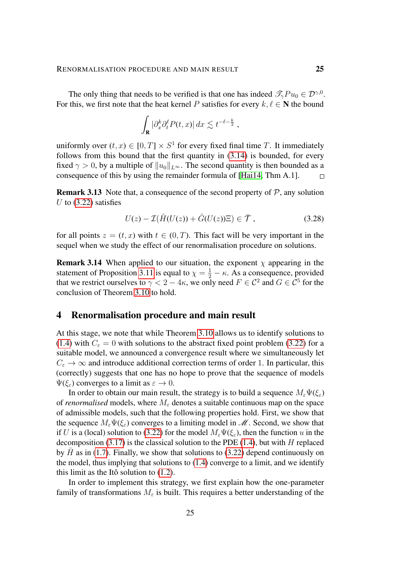The only thing that needs to be verified is that one has indeed  $\mathscr{T}_{\gamma}Pu_0 \in \mathcal{D}^{\gamma,0}$ . For this, we first note that the heat kernel P satisfies for every  $k, \ell \in \mathbb{N}$  the bound

$$
\int_{\mathbf{R}} |\partial_x^k \partial_t^\ell P(t,x)| dx \lesssim t^{-\ell - \frac{k}{2}},
$$

uniformly over  $(t, x) \in [0, T] \times S<sup>1</sup>$  for every fixed final time T. It immediately follows from this bound that the first quantity in [\(3.14\)](#page-18-0) is bounded, for every fixed  $\gamma > 0$ , by a multiple of  $||u_0||_{L^{\infty}}$ . The second quantity is then bounded as a consequence of this by using the remainder formula of [\[Hai14,](#page-55-5) Thm A.1].  $\Box$ 

**Remark 3.13** Note that, a consequence of the second property of  $P$ , any solution U to  $(3.22)$  satisfies

<span id="page-24-1"></span>
$$
U(z) - \mathcal{I}(\hat{H}(U(z)) + \hat{G}(U(z))\Xi) \in \bar{\mathcal{T}}, \qquad (3.28)
$$

for all points  $z = (t, x)$  with  $t \in (0, T)$ . This fact will be very important in the sequel when we study the effect of our renormalisation procedure on solutions.

**Remark 3.14** When applied to our situation, the exponent  $\chi$  appearing in the statement of Proposition [3.11](#page-21-4) is equal to  $\chi = \frac{1}{2} - \kappa$ . As a consequence, provided that we restrict ourselves to  $\gamma < 2 - 4\kappa$ , we only need  $F \in \mathcal{C}^2$  and  $G \in \mathcal{C}^5$  for the conclusion of Theorem [3.10](#page-21-1) to hold.

# <span id="page-24-0"></span>4 Renormalisation procedure and main result

At this stage, we note that while Theorem [3.10](#page-21-1) allows us to identify solutions to [\(1.4\)](#page-1-3) with  $C_{\epsilon} = 0$  with solutions to the abstract fixed point problem [\(3.22\)](#page-21-0) for a suitable model, we announced a convergence result where we simultaneously let  $C_{\varepsilon} \to \infty$  and introduce additional correction terms of order 1. In particular, this (correctly) suggests that one has no hope to prove that the sequence of models  $\Psi(\xi_{\varepsilon})$  converges to a limit as  $\varepsilon \to 0$ .

In order to obtain our main result, the strategy is to build a sequence  $M_{\varepsilon}\Psi(\xi_{\varepsilon})$ of *renormalised* models, where  $M_{\varepsilon}$  denotes a suitable continuous map on the space of admissible models, such that the following properties hold. First, we show that the sequence  $M_{\varepsilon} \Psi(\xi_{\varepsilon})$  converges to a limiting model in  $\mathcal{M}$ . Second, we show that if U is a (local) solution to [\(3.22\)](#page-21-0) for the model  $M_{\varepsilon}\Psi(\xi_{\varepsilon})$ , then the function u in the decomposition [\(3.17\)](#page-19-2) is the classical solution to the PDE [\(1.4\)](#page-1-3), but with  $H$  replaced by  $\bar{H}$  as in [\(1.7\)](#page-2-1). Finally, we show that solutions to [\(3.22\)](#page-21-0) depend continuously on the model, thus implying that solutions to [\(1.4\)](#page-1-3) converge to a limit, and we identify this limit as the Itô solution to  $(1.2)$ .

In order to implement this strategy, we first explain how the one-parameter family of transformations  $M_{\varepsilon}$  is built. This requires a better understanding of the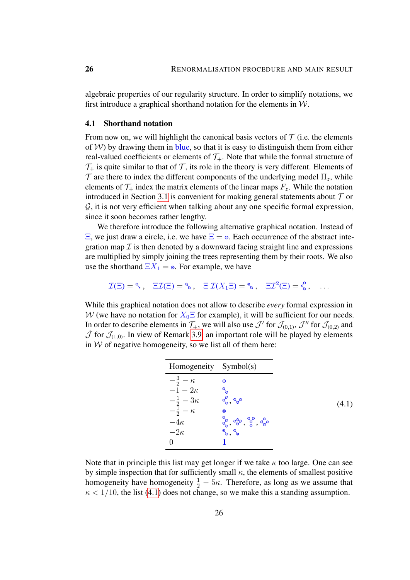algebraic properties of our regularity structure. In order to simplify notations, we first introduce a graphical shorthand notation for the elements in  $W$ .

#### <span id="page-25-0"></span>4.1 Shorthand notation

From now on, we will highlight the canonical basis vectors of  $\mathcal T$  (i.e. the elements of  $W$ ) by drawing them in blue, so that it is easy to distinguish them from either real-valued coefficients or elements of  $\mathcal{T}_+$ . Note that while the formal structure of  $\mathcal{T}_+$  is quite similar to that of  $\mathcal{T}$ , its role in the theory is very different. Elements of  $\mathcal T$  are there to index the different components of the underlying model  $\Pi_z$ , while elements of  $\mathcal{T}_+$  index the matrix elements of the linear maps  $F_z$ . While the notation introduced in Section [3.1](#page-11-1) is convenient for making general statements about  $\mathcal T$  or  $G$ , it is not very efficient when talking about any one specific formal expression, since it soon becomes rather lengthy.

We therefore introduce the following alternative graphical notation. Instead of  $\Xi$ , we just draw a circle, i.e. we have  $\Xi = \circ$ . Each occurrence of the abstract integration map  $\mathcal I$  is then denoted by a downward facing straight line and expressions are multiplied by simply joining the trees representing them by their roots. We also use the shorthand  $\Xi X_1 = \infty$ . For example, we have

$$
\mathcal{I}(\Xi) = \text{R}, \quad \Xi \mathcal{I}(\Xi) = \text{R}, \quad \Xi \mathcal{I}(X_1 \Xi) = \text{R}, \quad \Xi \mathcal{I}^2(\Xi) = \text{R}, \quad \dots
$$

While this graphical notation does not allow to describe *every* formal expression in W (we have no notation for  $X_0 \equiv$  for example), it will be sufficient for our needs. In order to describe elements in  $\mathcal{T}_+$ , we will also use  $\mathcal{J}'$  for  $\mathcal{J}_{(0,1)}$ ,  $\mathcal{J}''$  for  $\mathcal{J}_{(0,2)}$  and  $\dot{\mathcal{J}}$  for  $\mathcal{J}_{(1,0)}$ . In view of Remark [3.9,](#page-19-3) an important role will be played by elements in  $W$  of negative homogeneity, so we list all of them here:

<span id="page-25-1"></span>

| Homogeneity Symbol(s)                                                      |                                            |
|----------------------------------------------------------------------------|--------------------------------------------|
| $-\frac{3}{2}-\kappa$                                                      | ∩                                          |
| $-1-2\kappa$                                                               |                                            |
| $\begin{array}{l} -\frac{1}{2}-3\kappa \\ -\frac{1}{2}-\kappa \end{array}$ | 8,80                                       |
|                                                                            | $^{\circ}$                                 |
| $-4\kappa$                                                                 |                                            |
| $-2\kappa$                                                                 | $\mathcal{R}_{\circ}, \mathcal{R}_{\circ}$ |
|                                                                            |                                            |

Note that in principle this list may get longer if we take  $\kappa$  too large. One can see by simple inspection that for sufficiently small  $\kappa$ , the elements of smallest positive homogeneity have homogeneity  $\frac{1}{2} - 5\kappa$ . Therefore, as long as we assume that  $\kappa$  < 1/10, the list [\(4.1\)](#page-25-1) does not change, so we make this a standing assumption.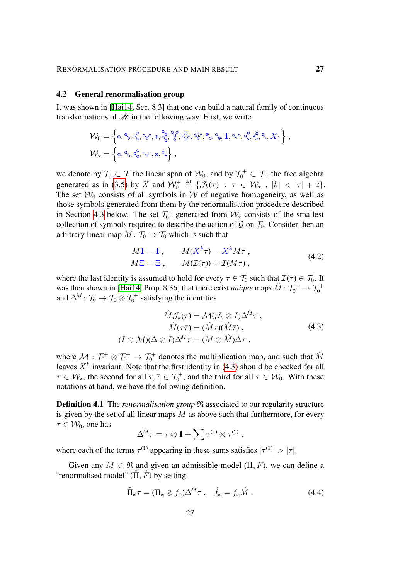#### <span id="page-26-0"></span>4.2 General renormalisation group

It was shown in [\[Hai14,](#page-55-5) Sec. 8.3] that one can build a natural family of continuous transformations of  $\mathcal M$  in the following way. First, we write

$$
\mathcal{W}_0 = \left\{ \circ, \circ, \circ\zeta, \circ\circ, \circ, \circ\zeta, \circ\zeta^c, \circ\zeta^c, \circ\circ, \circ, \circ, \mathbf{1}, \circ\vee, \circ\zeta, \circ\zeta, \circ\cdot, X_1 \right\},
$$
  

$$
\mathcal{W}_\star = \left\{ \circ, \circ, \circ\zeta, \circ\circ, \circ, \circ\cdot\right\},
$$

we denote by  $\mathcal{T}_0 \subset \mathcal{T}$  the linear span of  $\mathcal{W}_0$ , and by  $\mathcal{T}_0^+ \subset \mathcal{T}_+$  the free algebra generated as in [\(3.5\)](#page-12-3) by X and  $\mathcal{W}_0^+ \stackrel{\text{def}}{=} {\{\mathcal{J}_k(\tau) : \tau \in \mathcal{W}_\star , |k| < |\tau| + 2\}}.$ The set  $W_0$  consists of all symbols in W of negative homogeneity, as well as those symbols generated from them by the renormalisation procedure described in Section [4.3](#page-27-0) below. The set  $\mathcal{T}_0^+$  generated from  $\mathcal{W}_*$  consists of the smallest collection of symbols required to describe the action of  $\mathcal G$  on  $\mathcal T_0$ . Consider then an arbitrary linear map  $M: \mathcal{T}_0 \to \mathcal{T}_0$  which is such that

$$
M1 = 1, \qquad M(X^k \tau) = X^k M \tau ,
$$
  
\n
$$
M\Xi = \Xi, \qquad M(\mathcal{I}(\tau)) = \mathcal{I}(M\tau) ,
$$
\n(4.2)

where the last identity is assumed to hold for every  $\tau \in \mathcal{T}_0$  such that  $\mathcal{I}(\tau) \in \mathcal{T}_0$ . It was then shown in [\[Hai14,](#page-55-5) Prop. 8.36] that there exist *unique* maps  $\hat{M}$  :  $\mathcal{T}_0^+ \rightarrow \mathcal{T}_0^+$ and  $\Delta^M$  :  $\mathcal{T}_0 \to \mathcal{T}_0 \otimes \mathcal{T}_0^+$  satisfying the identities

<span id="page-26-1"></span>
$$
\hat{M}\mathcal{J}_k(\tau) = \mathcal{M}(\mathcal{J}_k \otimes I)\Delta^M \tau ,
$$
\n
$$
\hat{M}(\tau \bar{\tau}) = (\hat{M}\tau)(\hat{M}\bar{\tau}) ,
$$
\n
$$
(I \otimes \mathcal{M})(\Delta \otimes I)\Delta^M \tau = (M \otimes \hat{M})\Delta \tau ,
$$
\n(4.3)

where  $\mathcal{M}: \mathcal{T}_0^+ \otimes \mathcal{T}_0^+ \to \mathcal{T}_0^+$  denotes the multiplication map, and such that  $\hat{M}$ leaves  $X^k$  invariant. Note that the first identity in [\(4.3\)](#page-26-1) should be checked for all  $\tau \in \mathcal{W}_{*}$ , the second for all  $\tau, \bar{\tau} \in \mathcal{T}_{0}^{+}$ , and the third for all  $\tau \in \mathcal{W}_{0}$ . With these notations at hand, we have the following definition.

<span id="page-26-2"></span>**Definition 4.1** The *renormalisation group*  $\Re$  associated to our regularity structure is given by the set of all linear maps  $M$  as above such that furthermore, for every  $\tau \in \mathcal{W}_0$ , one has

<span id="page-26-3"></span>
$$
\Delta^M \tau = \tau \otimes \mathbf{1} + \sum \tau^{(1)} \otimes \tau^{(2)}.
$$

where each of the terms  $\tau^{(1)}$  appearing in these sums satisfies  $|\tau^{(1)}| > |\tau|$ .

Given any  $M \in \mathfrak{R}$  and given an admissible model  $(\Pi, F)$ , we can define a "renormalised model"  $(\hat{\Pi}, \hat{F})$  by setting

$$
\hat{\Pi}_x \tau = (\Pi_x \otimes f_x) \Delta^M \tau \ , \quad \hat{f}_x = f_x \hat{M} \ . \tag{4.4}
$$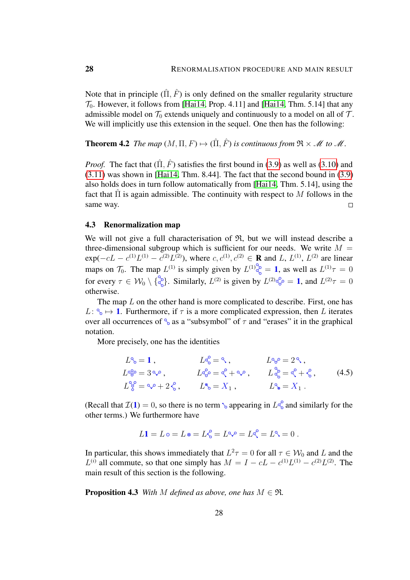Note that in principle  $(\Pi, \hat{F})$  is only defined on the smaller regularity structure  $\mathcal{T}_0$ . However, it follows from [\[Hai14,](#page-55-5) Prop. 4.11] and [Hai14, Thm. 5.14] that any admissible model on  $\mathcal{T}_0$  extends uniquely and continuously to a model on all of  $\mathcal{T}$ . We will implicitly use this extension in the sequel. One then has the following:

**Theorem 4.2** *The map*  $(M, \Pi, F) \mapsto (\hat{\Pi}, \hat{F})$  *is continuous from*  $\mathfrak{R} \times \mathcal{M}$  *to*  $\mathcal{M}$ *.* 

*Proof.* The fact that  $(\hat{\Pi}, \hat{F})$  satisfies the first bound in [\(3.9\)](#page-15-1) as well as [\(3.10\)](#page-15-3) and [\(3.11\)](#page-15-0) was shown in [\[Hai14,](#page-55-5) Thm. 8.44]. The fact that the second bound in [\(3.9\)](#page-15-1) also holds does in turn follow automatically from [\[Hai14,](#page-55-5) Thm. 5.14], using the fact that  $\Pi$  is again admissible. The continuity with respect to M follows in the same way.  $\Box$ 

## <span id="page-27-0"></span>4.3 Renormalization map

We will not give a full characterisation of  $\mathfrak{R}$ , but we will instead describe a three-dimensional subgroup which is sufficient for our needs. We write  $M =$  $exp(-cL - c^{(1)}L^{(1)} - c^{(2)}L^{(2)})$ , where  $c, c^{(1)}, c^{(2)} \in \mathbf{R}$  and L,  $L^{(1)}, L^{(2)}$  are linear maps on  $\mathcal{T}_0$ . The map  $L^{(1)}$  is simply given by  $L^{(1)}{}_{\mathcal{O}_0}^{\infty} = 1$ , as well as  $L^{(1)}\tau = 0$ for every  $\tau \in W_0 \setminus \{ \xi \}$ . Similarly,  $L^{(2)}$  is given by  $L^{(2)} \xi^{\xi} = 1$ , and  $L^{(2)} \tau = 0$ otherwise.

The map  $L$  on the other hand is more complicated to describe. First, one has  $L: \mathcal{P}_{\delta} \mapsto \mathbf{1}$ . Furthermore, if  $\tau$  is a more complicated expression, then L iterates over all occurrences of  $\frac{1}{6}$  as a "subsymbol" of  $\tau$  and "erases" it in the graphical notation.

More precisely, one has the identities

$$
L^{\circ}\circ = 1, \qquad L^{\circ}\circ = \circ, \qquad L^{\circ}\circ = 2^{\circ},
$$
  
\n
$$
L^{\circ}\circ = 3^{\circ}\circ, \qquad L^{\circ}\circ = \circ^{\circ} + \circ^{\circ}, \qquad L^{\circ}\circ = \circ^{\circ} + \circ^{\circ}, \qquad (4.5)
$$
  
\n
$$
L^{\circ}\circ = \circ^{\circ} + 2^{\circ}, \qquad L^{\circ}\circ = X_1, \qquad L^{\circ}\circ = X_1.
$$

(Recall that  $\mathcal{I}(1) = 0$ , so there is no term  $\phi$  appearing in  $L\phi_0^{\circ}$  and similarly for the other terms.) We furthermore have

<span id="page-27-1"></span>
$$
L\mathbf{1} = L \circ = L \circ = L_{\circ}^{\circ} = L \circ \circ = L \circ \circ = L \circ \circ = 0.
$$

In particular, this shows immediately that  $L^2\tau = 0$  for all  $\tau \in W_0$  and L and the  $L^{(i)}$  all commute, so that one simply has  $M = I - cL - c^{(1)}L^{(1)} - c^{(2)}L^{(2)}$ . The main result of this section is the following.

**Proposition 4.3** *With* M *defined as above, one has*  $M \in \mathfrak{R}$ *.*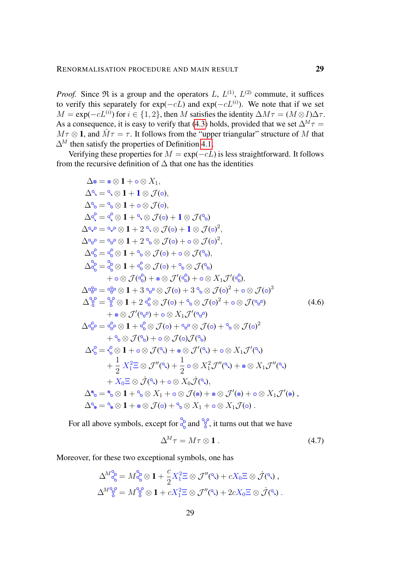*Proof.* Since  $\Re$  is a group and the operators L,  $L^{(1)}$ ,  $L^{(2)}$  commute, it suffices to verify this separately for  $exp(-cL)$  and  $exp(-cL^{(i)})$ . We note that if we set  $M = \exp(-cL^{(i)})$  for  $i \in \{1, 2\}$ , then M satisfies the identity  $\Delta M \tau = (M \otimes I) \Delta \tau$ . As a consequence, it is easy to verify that [\(4.3\)](#page-26-1) holds, provided that we set  $\Delta^M \tau =$  $M\tau \otimes \mathbf{1}$ , and  $\hat{M}\tau = \tau$ . It follows from the "upper triangular" structure of M that  $\Delta^M$  then satisfy the properties of Definition [4.1.](#page-26-2)

Verifying these properties for  $M = \exp(-cL)$  is less straightforward. It follows from the recursive definition of  $\Delta$  that one has the identities

$$
\Delta \circ \delta = \circ \otimes 1 + \circ \otimes X_1,
$$
  
\n
$$
\Delta \circ \delta = \circ \otimes 1 + 1 \otimes \mathcal{J}(\circ),
$$
  
\n
$$
\Delta \circ \delta = \circ \otimes 1 + \circ \otimes \mathcal{J}(\circ),
$$
  
\n
$$
\Delta \circ \delta = \circ \otimes 1 + \circ \otimes \mathcal{J}(\circ) + 1 \otimes \mathcal{J}(\circ)
$$
  
\n
$$
\Delta \circ \phi = \circ \phi \otimes 1 + 2 \circ \otimes \mathcal{J}(\circ) + 1 \otimes \mathcal{J}(\circ)^2,
$$
  
\n
$$
\Delta \circ \phi = \circ \phi \otimes 1 + 2 \circ \otimes \mathcal{J}(\circ) + \circ \otimes \mathcal{J}(\circ)^2,
$$
  
\n
$$
\Delta \circ \delta = \circ \otimes 1 + 2 \circ \otimes \mathcal{J}(\circ) + \circ \otimes \mathcal{J}(\circ),
$$
  
\n
$$
\Delta \circ \delta = \circ \otimes 1 + \circ \otimes \mathcal{J}(\circ) + \circ \otimes \mathcal{J}(\circ),
$$
  
\n
$$
\Delta \circ \delta = \circ \otimes 1 + \circ \otimes \mathcal{J}(\circ) + \circ \otimes \mathcal{J}(\circ),
$$
  
\n
$$
\Delta \circ \delta = \circ \otimes 1 + 3 \circ \otimes \mathcal{J}(\circ) + 3 \circ \otimes \mathcal{J}(\circ)^2 + \circ \otimes \mathcal{J}(\circ)^3
$$
  
\n
$$
\Delta \circ \delta = \circ \otimes 1 + 2 \circ \otimes \mathcal{J}(\circ) + \circ \otimes \mathcal{J}(\circ)^2 + \circ \otimes \mathcal{J}(\circ)^3
$$
  
\n
$$
\Delta \circ \delta = \circ \otimes 1 + 2 \circ \otimes \mathcal{J}(\circ) + \circ \otimes \mathcal{J}(\circ)^2 + \circ \otimes \mathcal{J}(\circ)^3
$$
  
\n
$$
\Delta \circ \delta = \circ \otimes 1 + \circ \otimes \mathcal{J}(\circ) + \circ \otimes \mathcal{J}(\circ)^2 + \circ \otimes \mathcal{J}(\circ)^2
$$
  
\n
$$
+ \circ \otimes \math
$$

For all above symbols, except for  $\frac{1}{\infty}$  and  $\frac{1}{\infty}$ , it turns out that we have

<span id="page-28-1"></span><span id="page-28-0"></span>
$$
\Delta^M \tau = M \tau \otimes \mathbf{1} \,. \tag{4.7}
$$

Moreover, for these two exceptional symbols, one has

$$
\Delta^{M^{\circ}_{\mathcal{C}_{\circ}}}=M^{\circ}_{\mathcal{C}}\otimes \mathbf{1}+\frac{c}{2}X_1^2\Xi\otimes \mathcal{J}''(\mathcal{C}_{\circ})+cX_0\Xi\otimes \dot{\mathcal{J}}(\mathcal{C}_{\circ}),\Delta^{M^{\circ}_{\mathcal{C}}}=M^{\circ}_{\mathcal{E}}\otimes \mathbf{1}+cX_1^2\Xi\otimes \mathcal{J}''(\mathcal{C}_{\circ})+2cX_0\Xi\otimes \dot{\mathcal{J}}(\mathcal{C}_{\circ}).
$$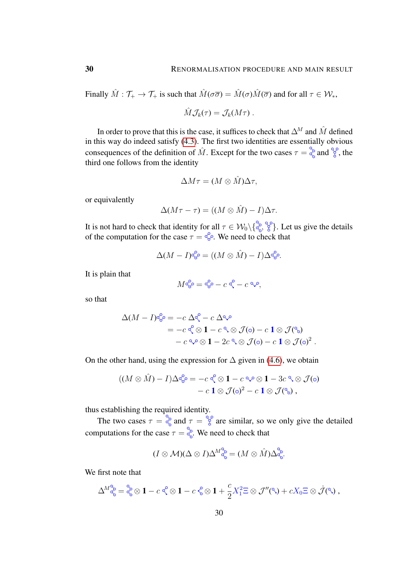Finally  $\hat{M}: \mathcal{T}_+ \to \mathcal{T}_+$  is such that  $\hat{M}(\sigma\overline{\sigma}) = \hat{M}(\sigma)\hat{M}(\overline{\sigma})$  and for all  $\tau \in \mathcal{W}_*$ ,

$$
\hat{M}\mathcal{J}_k(\tau)=\mathcal{J}_k(M\tau)\ .
$$

In order to prove that this is the case, it suffices to check that  $\Delta^M$  and  $\hat{M}$  defined in this way do indeed satisfy [\(4.3\)](#page-26-1). The first two identities are essentially obvious consequences of the definition of  $\hat{M}$ . Except for the two cases  $\tau = \frac{8}{5}$  and  $\frac{8}{5}$ , the third one follows from the identity

$$
\Delta M\tau = (M\otimes \hat{M})\Delta \tau,
$$

or equivalently

$$
\Delta(M\tau-\tau)=((M\otimes \hat{M})-I)\Delta\tau.
$$

It is not hard to check that identity for all  $\tau \in \mathcal{W}_0 \setminus \{\overline{\mathcal{C}}_0, \overline{\mathcal{C}}\}$ . Let us give the details of the computation for the case  $\tau = \xi$ . We need to check that

$$
\Delta(M-I)^{c^{\circ}_{\mathcal{O}}}=((M\otimes \hat{M})-I)\Delta^{c^{\circ}_{\mathcal{O}}}.
$$

It is plain that

 $M$   $\alpha_{\mathcal{F}}^{\mathcal{O}} = \alpha_{\mathcal{F}}^{\mathcal{O}} - c \alpha_{\mathcal{F}}^{\mathcal{O}} - c \alpha_{\mathcal{F}}^{\mathcal{O}},$ 

so that

$$
\Delta(M - I)^{\circledcirc_{\Theta}^{\mathcal{O}}} = -c \Delta^{\mathcal{O}} - c \Delta^{\mathcal{O}} \qquad \qquad
$$
  
=  $-c \sqrt{\mathcal{O}} \otimes 1 - c \sqrt{\mathcal{O}} \otimes \mathcal{J}(\mathcal{O}) - c \mathbf{1} \otimes \mathcal{J}(\mathcal{O})$   
 $-c \sqrt{\mathcal{O}} \otimes 1 - 2c \sqrt{\mathcal{O}} \otimes \mathcal{J}(\mathcal{O}) - c \mathbf{1} \otimes \mathcal{J}(\mathcal{O})^2$ 

.

On the other hand, using the expression for  $\Delta$  given in [\(4.6\)](#page-28-0), we obtain

$$
((M \otimes \hat{M}) - I)\Delta_{\mathbb{G}}^{\mathbb{G}} = -c \stackrel{\mathbb{G}}{\otimes} \mathbb{1} - c \stackrel{\mathbb{Q}}{\otimes} \mathbb{1} - 3c \stackrel{\mathbb{Q}}{\otimes} \mathcal{J}(\mathbb{0})
$$

$$
- c \stackrel{\mathbb{1}}{\otimes} \mathcal{J}(\mathbb{0})^2 - c \stackrel{\mathbb{1}}{\otimes} \mathcal{J}(\mathbb{S}),
$$

thus establishing the required identity.

The two cases  $\tau = \frac{5}{6}$  and  $\tau = \frac{5}{6}$  are similar, so we only give the detailed computations for the case  $\tau = \frac{5}{6}$ . We need to check that

$$
(I\otimes M)(\Delta\otimes I)\Delta^M\overset{\circ}{\underset{\circ}{\circ}}=(M\otimes \hat{M})\Delta^{\circ}_{\varsigma}.
$$

We first note that

$$
\Delta^M{}_{\mathbb{Q}_0}^{\mathbb{Q}} = \mathop{\mathbb{Q}}\limits^{\mathbb{Q}} \otimes \mathbf{1} - c \mathop{\mathbb{Q}}\limits^{\mathbb{Q}} \otimes \mathbf{1} - c \mathop{\mathbb{Q}}\limits^{\mathbb{Q}} \otimes \mathbf{1} + \frac{c}{2} X_1^2 \Xi \otimes \mathcal{J}''(\mathbb{Q}) + c X_0 \Xi \otimes \dot{\mathcal{J}}(\mathbb{Q}),
$$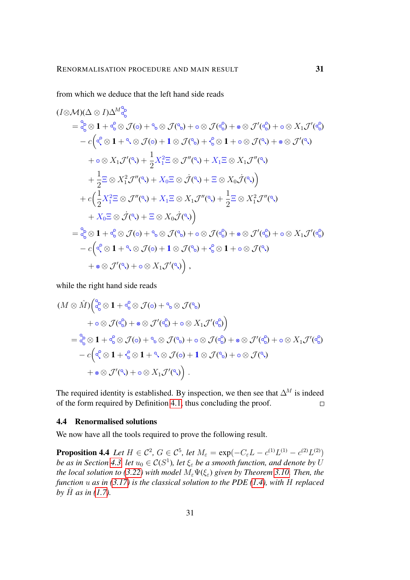from which we deduce that the left hand side reads

$$
(I \otimes M)(\Delta \otimes I)\Delta^{M} \otimes_{\mathbb{S}}^{2}
$$
\n
$$
= \otimes_{\mathbb{S}}^{2} \otimes \mathbf{1} + \otimes_{\mathbb{S}}^{2} \otimes \mathcal{J}(\mathbb{O}) + \otimes \mathcal{J}(\mathbb{S}) + \circ \otimes \mathcal{J}(\mathbb{S}) + \circ \otimes \mathcal{J}'(\mathbb{S}) + \circ \otimes \mathcal{J}'(\mathbb{S})
$$
\n
$$
- c(\mathbb{S} \otimes \mathbf{1} + \mathbb{S} \otimes \mathcal{J}(\mathbb{O}) + \mathbf{1} \otimes \mathcal{J}(\mathbb{S}) + \mathbb{S} \otimes \mathbf{1} + \circ \otimes \mathcal{J}(\mathbb{S}) + \circ \otimes \mathcal{J}'(\mathbb{S})
$$
\n
$$
+ \circ \otimes X_{1} \mathcal{J}'(\mathbb{S}) + \frac{1}{2} X_{1}^{2} \otimes \mathcal{J}''(\mathbb{S}) + X_{1} \otimes \mathbb{S} X_{1} \mathcal{J}''(\mathbb{S})
$$
\n
$$
+ \frac{1}{2} \otimes \mathbb{S} \otimes X_{1}^{2} \mathcal{J}''(\mathbb{S}) + X_{0} \otimes \mathbb{S} \otimes \mathcal{J}(\mathbb{S}) + \mathbb{S} \otimes X_{0} \mathcal{J}(\mathbb{S})
$$
\n
$$
+ c(\frac{1}{2} X_{1}^{2} \otimes \mathcal{J}''(\mathbb{S}) + X_{1} \otimes \mathbb{S} X_{1} \mathcal{J}''(\mathbb{S}) + \frac{1}{2} \otimes X_{1}^{2} \mathcal{J}''(\mathbb{S})
$$
\n
$$
+ X_{0} \otimes \mathcal{J}(\mathbb{S}) + \mathbb{S} \otimes X_{0} \mathcal{J}(\mathbb{S})
$$
\n
$$
= \otimes_{\mathbb{S}}^{2} \otimes \mathbf{1} + \otimes \mathbb{S} \mathcal{J}(\mathbb{O}) + \mathbb{S} \otimes \mathcal{J}(\mathbb{S}) + \circ \otimes \mathcal{J}(\mathbb{S}) + \circ \otimes \mathcal{J}'(\mathbb{S}) + \circ
$$

while the right hand side reads

$$
(M \otimes \hat{M})\begin{pmatrix} \frac{6}{5} \otimes \mathbf{1} + \frac{6}{5} \otimes \mathcal{J}(\circ) + \frac{6}{5} \otimes \mathcal{J}(\frac{6}{5}) \\ + \circ \otimes \mathcal{J}(\frac{6}{5}) + \circ \otimes \mathcal{J}'(\frac{6}{5}) + \circ \otimes X_1 \mathcal{J}'(\frac{6}{5}) \end{pmatrix}
$$
  
=  $\frac{6}{5} \otimes \mathbf{1} + \frac{6}{5} \otimes \mathcal{J}(\circ) + \frac{6}{5} \otimes \mathcal{J}(\frac{6}{5}) + \circ \otimes \mathcal{J}(\frac{6}{5}) + \circ \otimes \mathcal{J}'(\frac{6}{5}) + \circ \otimes X_1 \mathcal{J}'(\frac{6}{5})$   
-  $c(\frac{6}{5} \otimes \mathbf{1} + \frac{6}{5} \otimes \mathbf{1} + \frac{6}{5} \otimes \mathcal{J}(\circ) + \mathbf{1} \otimes \mathcal{J}(\frac{6}{5}) + \circ \otimes \mathcal{J}(\frac{6}{5})$   
+  $\circ \otimes \mathcal{J}'(\frac{6}{5}) + \circ \otimes X_1 \mathcal{J}'(\frac{6}{5})$ .

The required identity is established. By inspection, we then see that  $\Delta^M$  is indeed of the form required by Definition [4.1,](#page-26-2) thus concluding the proof.  $\Box$ 

## <span id="page-30-0"></span>4.4 Renormalised solutions

<span id="page-30-1"></span>We now have all the tools required to prove the following result.

**Proposition 4.4** *Let*  $H \in C^2$ ,  $G \in C^5$ , *let*  $M_{\varepsilon} = \exp(-C_{\varepsilon}L - c^{(1)}L^{(1)} - c^{(2)}L^{(2)})$ *be as in Section [4.3,](#page-27-0) let*  $u_0 \in C(S^1)$ , let  $\xi_{\varepsilon}$  *be a smooth function, and denote by* U *the local solution to [\(3.22\)](#page-21-0)* with model  $M_{\varepsilon}\Psi(\xi_{\varepsilon})$  given by Theorem [3.10.](#page-21-1) Then, the *function* u *as in [\(3.17\)](#page-19-2) is the classical solution to the PDE [\(1.4\)](#page-1-3), with* H *replaced by*  $\bar{H}$  *as in* [\(1.7\)](#page-2-1)*.*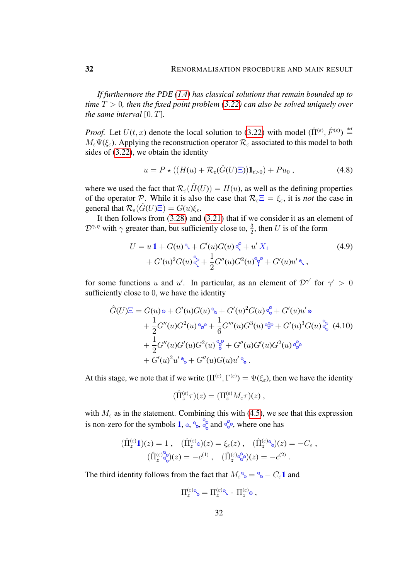*If furthermore the PDE [\(1.4\)](#page-1-3) has classical solutions that remain bounded up to time* T > 0*, then the fixed point problem [\(3.22\)](#page-21-0) can also be solved uniquely over the same interval* [0, T]*.*

*Proof.* Let  $U(t, x)$  denote the local solution to [\(3.22\)](#page-21-0) with model  $(\hat{\Pi}^{(\varepsilon)}, \hat{F}^{(\varepsilon)}) \stackrel{\text{def}}{=}$  $M_{\varepsilon}\Psi(\xi_{\varepsilon})$ . Applying the reconstruction operator  $\mathcal{R}_{\varepsilon}$  associated to this model to both sides of [\(3.22\)](#page-21-0), we obtain the identity

<span id="page-31-2"></span><span id="page-31-1"></span>
$$
u = P \star ((H(u) + \mathcal{R}_{\varepsilon}(\hat{G}(U)\Xi))\mathbf{1}_{t>0}) + Pu_0 , \qquad (4.8)
$$

where we used the fact that  $\mathcal{R}_{\varepsilon}(\hat{H}(U)) = H(u)$ , as well as the defining properties of the operator P. While it is also the case that  $\mathcal{R}_{\varepsilon}\Xi = \xi_{\varepsilon}$ , it is *not* the case in general that  $\mathcal{R}_{\varepsilon}(\hat{G}(U)\Xi) = G(u)\xi_{\varepsilon}$ .

It then follows from [\(3.28\)](#page-24-1) and [\(3.21\)](#page-20-2) that if we consider it as an element of  $\mathcal{D}^{\gamma,\eta}$  with  $\gamma$  greater than, but sufficiently close to,  $\frac{3}{2}$ , then U is of the form

$$
U = u \mathbf{1} + G(u)^{\mathfrak{S}} + G'(u)G(u)^{\mathfrak{S}} + u' X_1
$$
  
+ 
$$
G'(u)^2 G(u)^{\mathfrak{S}} + \frac{1}{2} G''(u)G^2(u)^{\mathfrak{S}} + G'(u)u' \mathfrak{S},
$$
 (4.9)

for some functions u and u'. In particular, as an element of  $\mathcal{D}^{\gamma'}$  for  $\gamma' > 0$ sufficiently close to 0, we have the identity

$$
\hat{G}(U)\Xi = G(u) \circ + G'(u)G(u) \circ + G'(u)^2 G(u) \circ + G'(u)u' \circ
$$
  
+ 
$$
\frac{1}{2}G''(u)G^2(u) \circ + \frac{1}{6}G'''(u)G^3(u) \circ + G'(u)^3 G(u) \circ + \frac{1}{2}G''(u)G'(u)G^2(u) \circ + G''(u)G'(u)G'(u)G^2(u) \circ + G'(u)^2 u' \circ + G''(u)G(u)u' \circ.
$$
 (4.10)

At this stage, we note that if we write  $(\Pi^{(\varepsilon)}, \Gamma^{(\varepsilon)}) = \Psi(\xi_{\varepsilon})$ , then we have the identity

<span id="page-31-0"></span>
$$
(\hat{\Pi}_z^{(\varepsilon)} \tau)(z) = (\Pi_z^{(\varepsilon)} M_{\varepsilon} \tau)(z) ,
$$

with  $M_{\varepsilon}$  as in the statement. Combining this with [\(4.5\)](#page-27-1), we see that this expression is non-zero for the symbols 1,  $\circ$ ,  $\circ$ ,  $\circ$ ,  $\circ$  and  $\circ\circ$ , where one has

$$
(\hat{\Pi}_z^{(\varepsilon)}\mathbf{1})(z) = 1, \quad (\hat{\Pi}_z^{(\varepsilon)}\circ)(z) = \xi_{\varepsilon}(z), \quad (\hat{\Pi}_z^{(\varepsilon)}\circ)(z) = -C_{\varepsilon},
$$

$$
(\hat{\Pi}_z^{(\varepsilon)}\circ\xi)(z) = -c^{(1)}, \quad (\hat{\Pi}_z^{(\varepsilon)}\circ\xi)(z) = -c^{(2)}.
$$

The third identity follows from the fact that  $M_{\varepsilon}^{\circ} = \varepsilon_{\circ} - C_{\varepsilon} \mathbf{1}$  and

$$
\Pi_z^{(\varepsilon)\mathbf{q}}{}_{\mathbf{0}} = \Pi_z^{(\varepsilon)\mathbf{q}} \cdot \Pi_z^{(\varepsilon)} \mathbf{0} ,
$$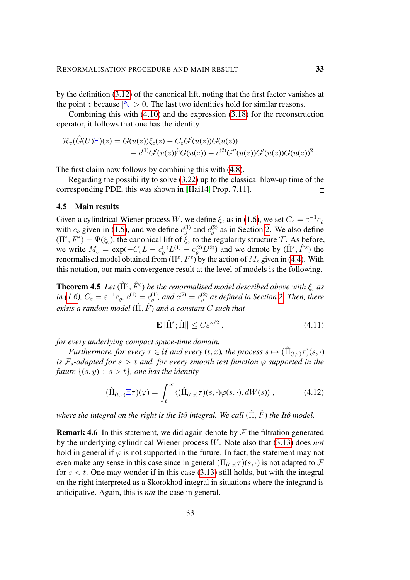by the definition [\(3.12\)](#page-16-0) of the canonical lift, noting that the first factor vanishes at the point z because  $|\Im| > 0$ . The last two identities hold for similar reasons.

Combining this with [\(4.10\)](#page-31-0) and the expression [\(3.18\)](#page-19-0) for the reconstruction operator, it follows that one has the identity

$$
\mathcal{R}_{\varepsilon}(\hat{G}(U)\Xi)(z) = G(u(z))\xi_{\varepsilon}(z) - C_{\varepsilon}G'(u(z))G(u(z)) \n- c^{(1)}G'(u(z))^3G(u(z)) - c^{(2)}G''(u(z))G'(u(z))G(u(z))^2.
$$

The first claim now follows by combining this with [\(4.8\)](#page-31-1).

Regarding the possibility to solve [\(3.22\)](#page-21-0) up to the classical blow-up time of the corresponding PDE, this was shown in [\[Hai14,](#page-55-5) Prop. 7.11].  $\Box$ 

## <span id="page-32-0"></span>4.5 Main results

Given a cylindrical Wiener process W, we define  $\xi_{\varepsilon}$  as in [\(1.6\)](#page-2-2), we set  $C_{\varepsilon} = \varepsilon^{-1} c_{\varrho}$ with  $c_{\varrho}$  given in [\(1.5\)](#page-2-3), and we define  $c_{\varrho}^{(1)}$  and  $c_{\varrho}^{(2)}$  as in Section [2.](#page-7-0) We also define  $(\Pi^{\varepsilon}, F^{\varepsilon}) = \Psi(\xi_{\varepsilon})$ , the canonical lift of  $\xi_{\varepsilon}$  to the regularity structure  $\mathcal{T}$ . As before, we write  $M_{\varepsilon} = \exp(-C_{\varepsilon}L - c_{\varrho}^{(1)}L^{(1)} - c_{\varrho}^{(2)}L^{(2)})$  and we denote by  $(\hat{\Pi}^{\varepsilon}, \hat{F}^{\varepsilon})$  the renormalised model obtained from  $(\Pi^{\varepsilon}, F^{\varepsilon})$  by the action of  $M_{\varepsilon}$  given in [\(4.4\)](#page-26-3). With this notation, our main convergence result at the level of models is the following.

<span id="page-32-1"></span>**Theorem 4.5** Let  $(\hat{\Pi}^{\varepsilon}, \hat{F}^{\varepsilon})$  be the renormalised model described above with  $\xi_{\varepsilon}$  as  $\int$ *in* [\(1.6\)](#page-2-2),  $C_{\varepsilon} = \varepsilon^{-1} c_{\varrho}$ ,  $c^{(1)} = c_{\varrho}^{(1)}$ , and  $c^{(2)} = c_{\varrho}^{(2)}$  as defined in Section [2.](#page-7-0) Then, there *exists a random model*  $(\hat{\Pi}, \hat{F})$  *and a constant* C *such that* 

<span id="page-32-3"></span><span id="page-32-2"></span>
$$
\mathbf{E}\|\hat{\Pi}^{\varepsilon};\hat{\Pi}\| \le C\varepsilon^{\kappa/2} \,,\tag{4.11}
$$

*for every underlying compact space-time domain.*

*Furthermore, for every*  $\tau \in \mathcal{U}$  and every  $(t, x)$ , the process  $s \mapsto (\hat{\Pi}_{(t,x)} \tau)(s, \cdot)$ *is*  $\mathcal{F}_s$ -adapted for  $s > t$  and, for every smooth test function  $\varphi$  supported in the *future*  $\{(s, y) : s > t\}$ *, one has the identity* 

$$
(\hat{\Pi}_{(t,x)}\Xi\tau)(\varphi) = \int_t^\infty \langle (\hat{\Pi}_{(t,x)}\tau)(s,\cdot)\varphi(s,\cdot), dW(s) \rangle, \qquad (4.12)
$$

*where the integral on the right is the Itô integral. We call*  $(\hat{\Pi}, \hat{F})$  *the Itô model.* 

**Remark 4.6** In this statement, we did again denote by  $\mathcal F$  the filtration generated by the underlying cylindrical Wiener process W. Note also that [\(3.13\)](#page-17-0) does *not* hold in general if  $\varphi$  is not supported in the future. In fact, the statement may not even make any sense in this case since in general  $(\Pi_{(t,x)} \tau)(s, \cdot)$  is not adapted to  $\mathcal F$ for  $s < t$ . One may wonder if in this case [\(3.13\)](#page-17-0) still holds, but with the integral on the right interpreted as a Skorokhod integral in situations where the integrand is anticipative. Again, this is *not* the case in general.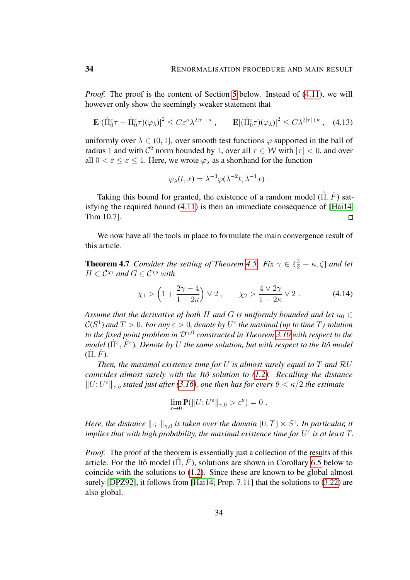*Proof.* The proof is the content of Section [5](#page-35-0) below. Instead of [\(4.11\)](#page-32-2), we will however only show the seemingly weaker statement that

$$
\mathbf{E} |(\hat{\Pi}_0^{\varepsilon} \tau - \hat{\Pi}_0^{\bar{\varepsilon}} \tau)(\varphi_{\lambda})|^2 \le C \varepsilon^{\kappa} \lambda^{2|\tau| + \kappa}, \qquad \mathbf{E} |(\hat{\Pi}_0^{\varepsilon} \tau)(\varphi_{\lambda})|^2 \le C \lambda^{2|\tau| + \kappa}, \quad (4.13)
$$

uniformly over  $\lambda \in (0, 1]$ , over smooth test functions  $\varphi$  supported in the ball of radius 1 and with  $\mathcal{C}^2$  norm bounded by 1, over all  $\tau \in \mathcal{W}$  with  $|\tau| < 0$ , and over all  $0 < \bar{\varepsilon} \leq \varepsilon \leq 1$ . Here, we wrote  $\varphi_{\lambda}$  as a shorthand for the function

<span id="page-33-2"></span>
$$
\varphi_{\lambda}(t,x) = \lambda^{-3} \varphi(\lambda^{-2}t, \lambda^{-1}x) .
$$

Taking this bound for granted, the existence of a random model  $(\hat{\Pi}, \hat{F})$  satisfying the required bound [\(4.11\)](#page-32-2) is then an immediate consequence of [\[Hai14,](#page-55-5) Thm 10.7].  $\Box$ 

We now have all the tools in place to formulate the main convergence result of this article.

<span id="page-33-0"></span>**Theorem 4.7** *Consider the setting of Theorem [4.5.](#page-32-1) Fix*  $\gamma \in (\frac{3}{2} + \kappa, \zeta]$  *and let*  $H \in \mathcal{C}^{\chi_1}$  and  $G \in \mathcal{C}^{\chi_2}$  with

<span id="page-33-1"></span>
$$
\chi_1 > \left(1 + \frac{2\gamma - 4}{1 - 2\kappa}\right) \vee 2
$$
,  $\chi_2 > \frac{4 \vee 2\gamma}{1 - 2\kappa} \vee 2$ . (4.14)

*Assume that the derivative of both* H *and* G *is uniformly bounded and let*  $u_0 \in$  $\mathcal{C}(S^1)$  and  $T > 0$ . For any  $\varepsilon > 0$ , denote by  $U^{\varepsilon}$  the maximal (up to time  $T$ ) solution *to the fixed point problem in* Dγ,<sup>0</sup> *constructed in Theorem [3.10](#page-21-1) with respect to the model* ( $\hat{\Pi}^{\varepsilon}, \hat{F}^{\varepsilon}$ ). Denote by U the same solution, but with respect to the Itô model  $(\Pi, F)$ .

*Then, the maximal existence time for* U *is almost surely equal to* T *and* RU *coincides almost surely with the Itô solution to [\(1.2\)](#page-1-2). Recalling the distance*  $\|U; U^{\varepsilon}\|_{\gamma, \eta}$  stated just after [\(3.16\)](#page-18-2), one then has for every  $\theta < \kappa/2$  the estimate

$$
\lim_{\varepsilon \to 0} \mathbf{P}(\|U;U^{\varepsilon}\|_{\gamma,0} > \varepsilon^{\theta}) = 0.
$$

*Here, the distance*  $\|\cdot;\cdot\|_{\gamma,0}$  *is taken over the domain*  $[0,T] \times S^1$ *. In particular, it implies that with high probability, the maximal existence time for*  $U^{\varepsilon}$  *is at least*  $T$ *.* 

*Proof.* The proof of the theorem is essentially just a collection of the results of this article. For the Itô model  $(\Pi, F)$ , solutions are shown in Corollary [6.5](#page-54-2) below to coincide with the solutions to [\(1.2\)](#page-1-2). Since these are known to be global almost surely [\[DPZ92\]](#page-54-0), it follows from [\[Hai14,](#page-55-5) Prop. 7.11] that the solutions to [\(3.22\)](#page-21-0) are also global.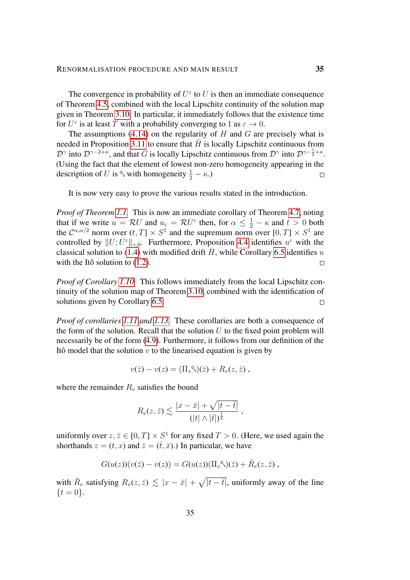The convergence in probability of  $U^{\varepsilon}$  to U is then an immediate consequence of Theorem [4.5,](#page-32-1) combined with the local Lipschitz continuity of the solution map given in Theorem [3.10.](#page-21-1) In particular, it immediately follows that the existence time for  $U^{\varepsilon}$  is at least T with a probability converging to 1 as  $\varepsilon \to 0$ .

The assumptions [\(4.14\)](#page-33-1) on the regularity of  $H$  and  $G$  are precisely what is needed in Proposition [3.11](#page-21-4) to ensure that  $\hat{H}$  is locally Lipschitz continuous from  $\mathcal{D}^{\gamma}$  into  $\mathcal{D}^{\gamma-2+\kappa}$ , and that  $\hat{G}$  is locally Lipschitz continuous from  $\mathcal{D}^{\gamma}$  into  $\mathcal{D}^{\gamma-\frac{1}{2}+\kappa}$ . (Using the fact that the element of lowest non-zero homogeneity appearing in the description of U is  $\sqrt[6]{ }$  with homogeneity  $\frac{1}{2} - \kappa$ .)  $\Box$ 

It is now very easy to prove the various results stated in the introduction.

*Proof of Theorem [1.1.](#page-2-0)* This is now an immediate corollary of Theorem [4.7,](#page-33-0) noting that if we write  $u = \mathcal{R}U$  and  $u_{\varepsilon} = \mathcal{R}U^{\varepsilon}$  then, for  $\alpha \leq \frac{1}{2} - \kappa$  and  $t > 0$  both the  $C^{\alpha,\alpha/2}$  norm over  $(t,T] \times S^1$  and the supremum norm over  $[0,T] \times S^1$  are controlled by  $||U; U^{\varepsilon}||_{\gamma,0}$ . Furthermore, Proposition [4.4](#page-30-1) identifies  $u^{\varepsilon}$  with the classical solution to [\(1.4\)](#page-1-3) with modified drift  $\bar{H}$ , while Corollary [6.5](#page-54-2) identifies u with the Itô solution to  $(1.2)$ .  $\Box$ 

*Proof of Corollary [1.10.](#page-5-0)* This follows immediately from the local Lipschitz continuity of the solution map of Theorem [3.10,](#page-21-1) combined with the identification of solutions given by Corollary [6.5.](#page-54-2)  $\Box$ 

*Proof of corollaries [1.11](#page-5-1) and [1.13.](#page-6-0)* These corollaries are both a consequence of the form of the solution. Recall that the solution  $U$  to the fixed point problem will necessarily be of the form [\(4.9\)](#page-31-2). Furthermore, it follows from our definition of the Itô model that the solution  $v$  to the linearised equation is given by

$$
v(\bar{z}) - v(z) = (\Pi_z \hat{\mathcal{S}})(\bar{z}) + R_v(z, \bar{z}),
$$

where the remainder  $R_v$  satisfies the bound

$$
R_v(z,\bar{z}) \lesssim \frac{|x-\bar{x}| + \sqrt{|t-\bar{t}|}}{(|t| \wedge |\bar{t}|)^{\frac{1}{4}}},
$$

uniformly over  $z, \bar{z} \in [0, T] \times S^1$  for any fixed  $T > 0$ . (Here, we used again the shorthands  $z = (t, x)$  and  $\overline{z} = (\overline{t}, \overline{x})$ .) In particular, we have

$$
G(u(z))(v(\bar{z})-v(z))=G(u(z))(\Pi_z\Im)(\bar{z})+\bar{R}_v(z,\bar{z}),
$$

with  $\bar{R}_v$  satisfying  $R_v(z, \bar{z}) \lesssim |x - \bar{x}| + \sqrt{|t - \bar{t}|}$ , uniformly away of the line  $\{t = 0\}.$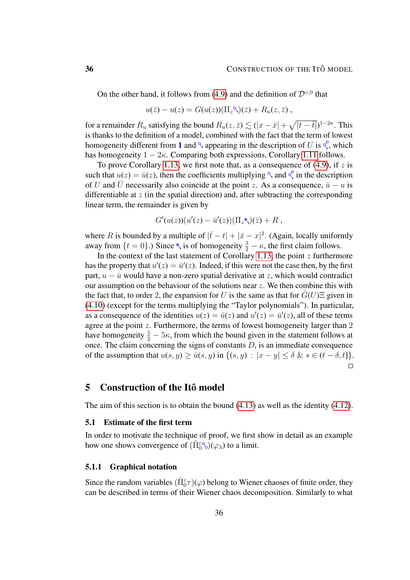On the other hand, it follows from [\(4.9\)](#page-31-2) and the definition of  $\mathcal{D}^{\gamma,0}$  that

$$
u(\bar{z})-u(z)=G(u(z))(\Pi_z\Im)(\bar{z})+R_u(z,\bar{z}),
$$

for a remainder  $R_u$  satisfying the bound  $R_u(z, \bar{z}) \lesssim (|x - \bar{x}| + \sqrt{|t - \bar{t}|})^{1-2\kappa}$ . This is thanks to the definition of a model, combined with the fact that the term of lowest homogeneity different from 1 and  $\alpha$  appearing in the description of U is  $\alpha$ , which has homogeneity  $1 - 2\kappa$ . Comparing both expressions, Corollary [1.11](#page-5-1) follows.

To prove Corollary [1.13,](#page-6-0) we first note that, as a consequence of  $(4.9)$ , if z is such that  $u(z) = \bar{u}(z)$ , then the coefficients multiplying  $\alpha$  and  $\alpha$  in the description of U and  $\bar{U}$  necessarily also coincide at the point z. As a consequence,  $\bar{u} - u$  is differentiable at  $z$  (in the spatial direction) and, after subtracting the corresponding linear term, the remainder is given by

$$
G'(u(z))(u'(z)-\bar{u}'(z))(\Pi_z\mathbf{R})(\bar{z})+R,
$$

where R is bounded by a multiple of  $|\bar{t} - t| + |\bar{x} - x|^2$ . (Again, locally uniformly away from  $\{t = 0\}$ .) Since  $\le$ , is of homogeneity  $\frac{3}{2} - \kappa$ , the first claim follows.

In the context of the last statement of Corollary [1.13,](#page-6-0) the point  $z$  furthermore has the property that  $u'(z) = \bar{u}'(z)$ . Indeed, if this were not the case then, by the first part,  $u - \bar{u}$  would have a non-zero spatial derivative at z, which would contradict our assumption on the behaviour of the solutions near  $z$ . We then combine this with the fact that, to order 2, the expansion for U is the same as that for  $G(U)\Xi$  given in [\(4.10\)](#page-31-0) (except for the terms multiplying the "Taylor polynomials"). In particular, as a consequence of the identities  $u(z) = \bar{u}(z)$  and  $u'(z) = \bar{u}'(z)$ , all of these terms agree at the point z. Furthermore, the terms of lowest homogeneity larger than 2 have homogeneity  $\frac{5}{2} - 5\kappa$ , from which the bound given in the statement follows at once. The claim concerning the signs of constants  $D_i$  is an immediate consequence of the assumption that  $u(s, y) \ge \bar{u}(s, y)$  in  $\{(s, y) : |x - y| \le \delta \& s \in (t - \delta, t]\}.$  $\Box$ 

# <span id="page-35-0"></span>5 Construction of the Itô model

The aim of this section is to obtain the bound [\(4.13\)](#page-33-2) as well as the identity [\(4.12\)](#page-32-3).

### <span id="page-35-1"></span>5.1 Estimate of the first term

In order to motivate the technique of proof, we first show in detail as an example how one shows convergence of  $(\hat{\Pi}_{0}^{\varepsilon\circledcirc})(\varphi_{\lambda})$  to a limit.

#### 5.1.1 Graphical notation

Since the random variables  $(\hat{\Pi}_{0}^{\epsilon}\tau)(\varphi)$  belong to Wiener chaoses of finite order, they can be described in terms of their Wiener chaos decomposition. Similarly to what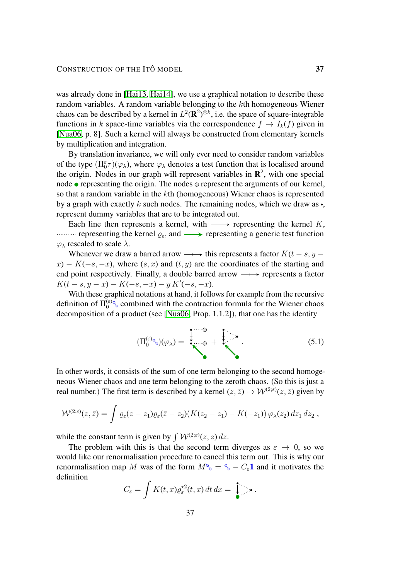was already done in [\[Hai13,](#page-55-7) [Hai14\]](#page-55-5), we use a graphical notation to describe these random variables. A random variable belonging to the kth homogeneous Wiener chaos can be described by a kernel in  $L^2(\mathbf{R}^2)^{\otimes k}$ , i.e. the space of square-integrable functions in k space-time variables via the correspondence  $f \mapsto I_k(f)$  given in [\[Nua06,](#page-55-12) p. 8]. Such a kernel will always be constructed from elementary kernels by multiplication and integration.

By translation invariance, we will only ever need to consider random variables of the type  $(\Pi_0^{\varepsilon} \tau)(\varphi_\lambda)$ , where  $\varphi_\lambda$  denotes a test function that is localised around the origin. Nodes in our graph will represent variables in  $\mathbb{R}^2$ , with one special node  $\bullet$  representing the origin. The nodes  $\circ$  represent the arguments of our kernel, so that a random variable in the kth (homogeneous) Wiener chaos is represented by a graph with exactly k such nodes. The remaining nodes, which we draw as  $\bullet$ , represent dummy variables that are to be integrated out.

Each line then represents a kernel, with  $\longrightarrow$  representing the kernel K, representing the kernel  $\varrho_{\varepsilon}$ , and  $\longrightarrow$  representing a generic test function  $\varphi_{\lambda}$  rescaled to scale  $\lambda$ .

Whenever we draw a barred arrow  $\longrightarrow$  this represents a factor  $K(t - s, y$  $x) - K(-s, -x)$ , where  $(s, x)$  and  $(t, y)$  are the coordinates of the starting and end point respectively. Finally, a double barred arrow  $\longrightarrow$  represents a factor  $K(t-s, y-x) - K(-s, -x) - y K'(-s, -x).$ 

With these graphical notations at hand, it follows for example from the recursive definition of  $\Pi_0^{(\varepsilon)}$  $\binom{\epsilon}{0}$  combined with the contraction formula for the Wiener chaos decomposition of a product (see [\[Nua06,](#page-55-12) Prop. 1.1.2]), that one has the identity

<span id="page-36-0"></span>
$$
(\Pi_0^{(\varepsilon)_0}(\varphi_\lambda) = \begin{matrix} \downarrow & \downarrow \\ \downarrow & \downarrow \\ \downarrow & \downarrow \end{matrix} \tag{5.1}
$$

In other words, it consists of the sum of one term belonging to the second homogeneous Wiener chaos and one term belonging to the zeroth chaos. (So this is just a real number.) The first term is described by a kernel  $(z, \bar{z}) \mapsto W^{(2;\varepsilon)}(z, \bar{z})$  given by

$$
\mathcal{W}^{(2;\varepsilon)}(z,\bar{z})=\int \varrho_\varepsilon(z-z_1)\varrho_\varepsilon(\bar{z}-z_2)(K(z_2-z_1)-K(-z_1))\,\varphi_\lambda(z_2)\,dz_1\,dz_2\;,
$$

while the constant term is given by  $\int W^{(2;\varepsilon)}(z, z) dz$ .

The problem with this is that the second term diverges as  $\varepsilon \to 0$ , so we would like our renormalisation procedure to cancel this term out. This is why our renormalisation map M was of the form  $M^{\circ} = {\circ} - C_{\varepsilon} 1$  and it motivates the definition

$$
C_{\varepsilon} = \int K(t,x) \varrho_{\varepsilon}^{\star 2}(t,x) dt dx = \int_{\bullet}^{\bullet} \cdots
$$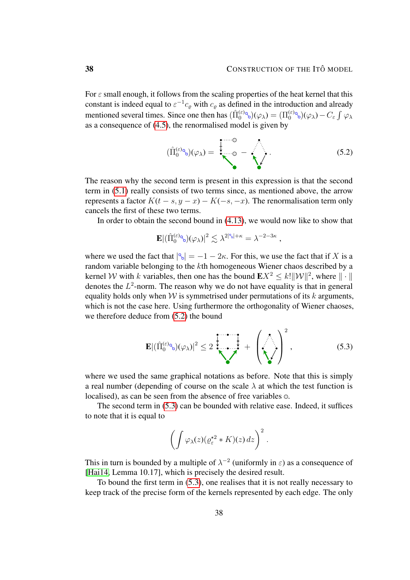For  $\varepsilon$  small enough, it follows from the scaling properties of the heat kernel that this constant is indeed equal to  $\varepsilon^{-1} c_{\varrho}$  with  $c_{\varrho}$  as defined in the introduction and already mentioned several times. Since one then has  $(\hat{\Pi}_0^{(\varepsilon)} \otimes)(\varphi_\lambda) = (\Pi_0^{(\varepsilon)} \otimes)(\varphi_\lambda) - C_{\varepsilon} \int \varphi_\lambda$ as a consequence of [\(4.5\)](#page-27-1), the renormalised model is given by

<span id="page-37-0"></span>
$$
(\hat{\Pi}_0^{(\varepsilon)_0})(\varphi_\lambda) = \begin{matrix} \downarrow & & \\ \downarrow & & \\ \downarrow & & \end{matrix} \qquad (5.2)
$$

The reason why the second term is present in this expression is that the second term in [\(5.1\)](#page-36-0) really consists of two terms since, as mentioned above, the arrow represents a factor  $K(t - s, y - x) - K(-s, -x)$ . The renormalisation term only cancels the first of these two terms.

In order to obtain the second bound in [\(4.13\)](#page-33-2), we would now like to show that

$$
\mathbf{E}\left|\left(\hat{\Pi}_{0}^{(\varepsilon)\circledcirc_{\delta}}\right)(\varphi_{\lambda})\right|^{2} \lesssim \lambda^{2|\circledcirc|+\kappa} = \lambda^{-2-3\kappa} ,
$$

where we used the fact that  $|\mathcal{C}_0| = -1 - 2\kappa$ . For this, we use the fact that if X is a random variable belonging to the kth homogeneous Wiener chaos described by a kernel *W* with *k* variables, then one has the bound  $\mathbf{E} X^2 \leq k! ||\mathcal{W}||^2$ , where  $|| \cdot ||$ denotes the  $L^2$ -norm. The reason why we do not have equality is that in general equality holds only when  $W$  is symmetrised under permutations of its  $k$  arguments, which is not the case here. Using furthermore the orthogonality of Wiener chaoses, we therefore deduce from [\(5.2\)](#page-37-0) the bound

$$
\mathbf{E} |(\hat{\Pi}_0^{(\varepsilon)_0}(\varphi_\lambda)|^2 \le 2 \sum_{\lambda} \frac{1}{\lambda} + \left(\sum_{\lambda} \right)^2, \tag{5.3}
$$

where we used the same graphical notations as before. Note that this is simply a real number (depending of course on the scale  $\lambda$  at which the test function is localised), as can be seen from the absence of free variables  $\circ$ .

The second term in [\(5.3\)](#page-37-1) can be bounded with relative ease. Indeed, it suffices to note that it is equal to

<span id="page-37-1"></span>
$$
\left(\int \varphi_{\lambda}(z)(\varrho^{\star 2}_{\varepsilon} * K)(z) dz\right)^2.
$$

This in turn is bounded by a multiple of  $\lambda^{-2}$  (uniformly in  $\varepsilon$ ) as a consequence of [\[Hai14,](#page-55-5) Lemma 10.17], which is precisely the desired result.

To bound the first term in [\(5.3\)](#page-37-1), one realises that it is not really necessary to keep track of the precise form of the kernels represented by each edge. The only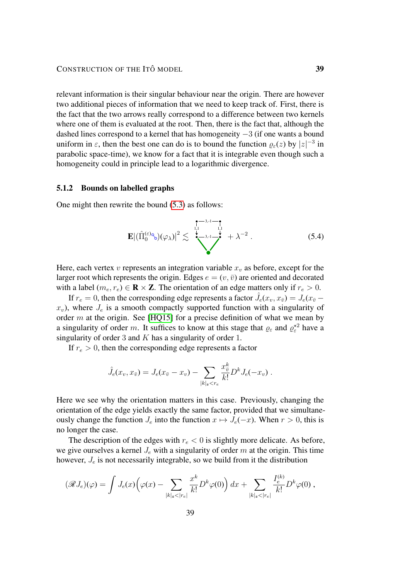relevant information is their singular behaviour near the origin. There are however two additional pieces of information that we need to keep track of. First, there is the fact that the two arrows really correspond to a difference between two kernels where one of them is evaluated at the root. Then, there is the fact that, although the dashed lines correspond to a kernel that has homogeneity −3 (if one wants a bound uniform in  $\varepsilon$ , then the best one can do is to bound the function  $\varrho_{\varepsilon}(z)$  by  $|z|^{-3}$  in parabolic space-time), we know for a fact that it is integrable even though such a homogeneity could in principle lead to a logarithmic divergence.

#### 5.1.2 Bounds on labelled graphs

One might then rewrite the bound [\(5.3\)](#page-37-1) as follows:

<span id="page-38-0"></span>
$$
\mathbf{E} |(\hat{\Pi}_{0}^{(\varepsilon)\circledcirc_{\diamond}})(\varphi_{\lambda})|^{2} \lesssim \sum_{\lambda=1}^{\frac{1}{1,1}} \sum_{\lambda=1}^{\frac{1}{1,1}} + \lambda^{-2} . \tag{5.4}
$$

Here, each vertex  $v$  represents an integration variable  $x<sub>v</sub>$  as before, except for the larger root which represents the origin. Edges  $e = (v, \bar{v})$  are oriented and decorated with a label ( $m_e, r_e$ )  $\in \mathbf{R} \times \mathbf{Z}$ . The orientation of an edge matters only if  $r_e > 0$ .

If  $r_e = 0$ , then the corresponding edge represents a factor  $\hat{J}_e(x_v, x_{\bar{v}}) = J_e(x_{\bar{v}}$  $x_v$ ), where  $J_e$  is a smooth compactly supported function with a singularity of order  $m$  at the origin. See [\[HQ15\]](#page-55-8) for a precise definition of what we mean by a singularity of order m. It suffices to know at this stage that  $\varrho_{\varepsilon}$  and  $\varrho_{\varepsilon}^{\star 2}$  have a singularity of order 3 and  $K$  has a singularity of order 1.

If  $r_e > 0$ , then the corresponding edge represents a factor

$$
\hat{J}_e(x_v, x_{\bar{v}}) = J_e(x_{\bar{v}} - x_v) - \sum_{|k|_{\mathfrak{s}} < r_e} \frac{x_{\bar{v}}^k}{k!} D^k J_e(-x_v) .
$$

Here we see why the orientation matters in this case. Previously, changing the orientation of the edge yields exactly the same factor, provided that we simultaneously change the function  $J_e$  into the function  $x \mapsto J_e(-x)$ . When  $r > 0$ , this is no longer the case.

The description of the edges with  $r_e < 0$  is slightly more delicate. As before, we give ourselves a kernel  $J_e$  with a singularity of order m at the origin. This time however,  $J_e$  is not necessarily integrable, so we build from it the distribution

$$
(\mathscr{R}J_e)(\varphi) = \int J_e(x) \Big(\varphi(x) - \sum_{|k|_{\mathfrak{s}} < |r_e|} \frac{x^k}{k!} D^k \varphi(0) \Big) dx + \sum_{|k|_{\mathfrak{s}} < |r_e|} \frac{I_e^{(k)}}{k!} D^k \varphi(0) ,
$$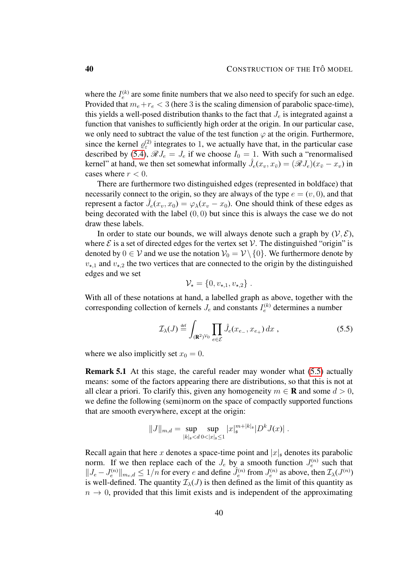where the  $I_e^{(k)}$  are some finite numbers that we also need to specify for such an edge. Provided that  $m_e+r_e < 3$  (here 3 is the scaling dimension of parabolic space-time), this yields a well-posed distribution thanks to the fact that  $J_e$  is integrated against a function that vanishes to sufficiently high order at the origin. In our particular case, we only need to subtract the value of the test function  $\varphi$  at the origin. Furthermore, since the kernel  $\varrho_{\varepsilon}^{(2)}$  integrates to 1, we actually have that, in the particular case described by [\(5.4\)](#page-38-0),  $\mathscr{R}J_e = J_e$  if we choose  $I_0 = 1$ . With such a "renormalised" kernel" at hand, we then set somewhat informally  $\hat{J}_e(x_v, x_{\bar{v}}) = (\mathscr{R}J_e)(x_{\bar{v}} - x_v)$  in cases where  $r < 0$ .

There are furthermore two distinguished edges (represented in boldface) that necessarily connect to the origin, so they are always of the type  $e = (v, 0)$ , and that represent a factor  $\hat{J}_e(x_v, x_0) = \varphi_\lambda(x_v - x_0)$ . One should think of these edges as being decorated with the label (0, 0) but since this is always the case we do not draw these labels.

In order to state our bounds, we will always denote such a graph by  $(V, \mathcal{E})$ , where  $\mathcal E$  is a set of directed edges for the vertex set  $\mathcal V$ . The distinguished "origin" is denoted by  $0 \in V$  and we use the notation  $V_0 = V \setminus \{0\}$ . We furthermore denote by  $v_{\star,1}$  and  $v_{\star,2}$  the two vertices that are connected to the origin by the distinguished edges and we set

<span id="page-39-0"></span>
$$
\mathcal{V}_\star = \{0, v_{\star,1}, v_{\star,2}\}.
$$

With all of these notations at hand, a labelled graph as above, together with the corresponding collection of kernels  $J_e$  and constants  $I_e^{(k)}$  determines a number

$$
\mathcal{I}_{\lambda}(J) \stackrel{\text{def}}{=} \int_{(\mathbf{R}^2)^{\mathcal{V}_0}} \prod_{e \in \mathcal{E}} \hat{J}_e(x_{e_-}, x_{e_+}) dx , \qquad (5.5)
$$

where we also implicitly set  $x_0 = 0$ .

Remark 5.1 At this stage, the careful reader may wonder what [\(5.5\)](#page-39-0) actually means: some of the factors appearing there are distributions, so that this is not at all clear a priori. To clarify this, given any homogeneity  $m \in \mathbf{R}$  and some  $d > 0$ , we define the following (semi)norm on the space of compactly supported functions that are smooth everywhere, except at the origin:

$$
||J||_{m,d} = \sup_{|k|_{\mathfrak{s}} < d} \sup_{0 < |x|_{\mathfrak{s}} \le 1} |x|_{\mathfrak{s}}^{m+|k|_{\mathfrak{s}}}|D^k J(x)|.
$$

Recall again that here x denotes a space-time point and  $|x|_s$  denotes its parabolic norm. If we then replace each of the  $J_e$  by a smooth function  $J_e^{(n)}$  such that  $||J_e - J_e^{(n)}||_{m_e, d} \le 1/n$  for every e and define  $\hat{J}_e^{(n)}$  from  $J_e^{(n)}$  as above, then  $\mathcal{I}_\lambda(J^{(n)})$ is well-defined. The quantity  $\mathcal{I}_{\lambda}(J)$  is then defined as the limit of this quantity as  $n \to 0$ , provided that this limit exists and is independent of the approximating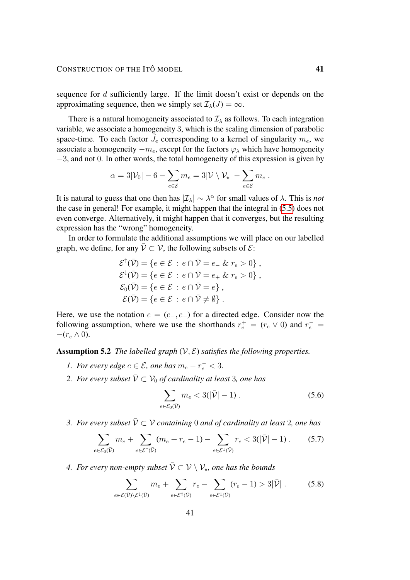## CONSTRUCTION OF THE ITÔ MODEL 41

sequence for  $d$  sufficiently large. If the limit doesn't exist or depends on the approximating sequence, then we simply set  $\mathcal{I}_{\lambda}(J) = \infty$ .

There is a natural homogeneity associated to  $\mathcal{I}_{\lambda}$  as follows. To each integration variable, we associate a homogeneity 3, which is the scaling dimension of parabolic space-time. To each factor  $\tilde{J}_e$  corresponding to a kernel of singularity  $m_e$ , we associate a homogeneity  $-m_e$ , except for the factors  $\varphi_\lambda$  which have homogeneity −3, and not 0. In other words, the total homogeneity of this expression is given by

$$
\alpha = 3|\mathcal{V}_0| - 6 - \sum_{e \in \mathcal{E}} m_e = 3|\mathcal{V} \setminus \mathcal{V}_\star| - \sum_{e \in \mathcal{E}} m_e.
$$

It is natural to guess that one then has  $|\mathcal{I}_\lambda| \sim \lambda^\alpha$  for small values of  $\lambda$ . This is *not* the case in general! For example, it might happen that the integral in [\(5.5\)](#page-39-0) does not even converge. Alternatively, it might happen that it converges, but the resulting expression has the "wrong" homogeneity.

In order to formulate the additional assumptions we will place on our labelled graph, we define, for any  $\overline{V} \subset V$ , the following subsets of  $\mathcal{E}$ :

$$
\mathcal{E}^{\uparrow}(\bar{\mathcal{V}}) = \{ e \in \mathcal{E} : e \cap \bar{\mathcal{V}} = e_{-} \& r_{e} > 0 \},\
$$
  

$$
\mathcal{E}^{\downarrow}(\bar{\mathcal{V}}) = \{ e \in \mathcal{E} : e \cap \bar{\mathcal{V}} = e_{+} \& r_{e} > 0 \},\
$$
  

$$
\mathcal{E}_{0}(\bar{\mathcal{V}}) = \{ e \in \mathcal{E} : e \cap \bar{\mathcal{V}} = e \},\
$$
  

$$
\mathcal{E}(\bar{\mathcal{V}}) = \{ e \in \mathcal{E} : e \cap \bar{\mathcal{V}} \neq \emptyset \}.
$$

Here, we use the notation  $e = (e_-, e_+)$  for a directed edge. Consider now the following assumption, where we use the shorthands  $r_e^+ = (r_e \vee 0)$  and  $r_e^- =$  $-(r_e \wedge 0).$ 

<span id="page-40-0"></span>Assumption 5.2 *The labelled graph*  $(V, E)$  *satisfies the following properties.* 

- *1. For every edge*  $e \in \mathcal{E}$ , one has  $m_e r_e^- < 3$ .
- 2. For every subset  $\bar{\mathcal{V}} \subset \mathcal{V}_0$  of cardinality at least 3, one has

$$
\sum_{e \in \mathcal{E}_0(\bar{\mathcal{V}})} m_e < 3(|\bar{\mathcal{V}}| - 1) \,. \tag{5.6}
$$

*3. For every subset*  $\bar{V} \subset V$  containing 0 and of cardinality at least 2, one has

$$
\sum_{e \in \mathcal{E}_0(\bar{\mathcal{V}})} m_e + \sum_{e \in \mathcal{E}^\uparrow(\bar{\mathcal{V}})} (m_e + r_e - 1) - \sum_{e \in \mathcal{E}^\downarrow(\bar{\mathcal{V}})} r_e < 3(|\bar{\mathcal{V}}| - 1) \,. \tag{5.7}
$$

4. For every non-empty subset  $\bar{\mathcal{V}} \subset \mathcal{V} \setminus \mathcal{V}_{\star}$ , one has the bounds

$$
\sum_{e \in \mathcal{E}(\bar{\mathcal{V}}) \setminus \mathcal{E}^{\downarrow}(\bar{\mathcal{V}})} m_e + \sum_{e \in \mathcal{E}^{\uparrow}(\bar{\mathcal{V}})} r_e - \sum_{e \in \mathcal{E}^{\downarrow}(\bar{\mathcal{V}})} (r_e - 1) > 3|\bar{\mathcal{V}}|.
$$
 (5.8)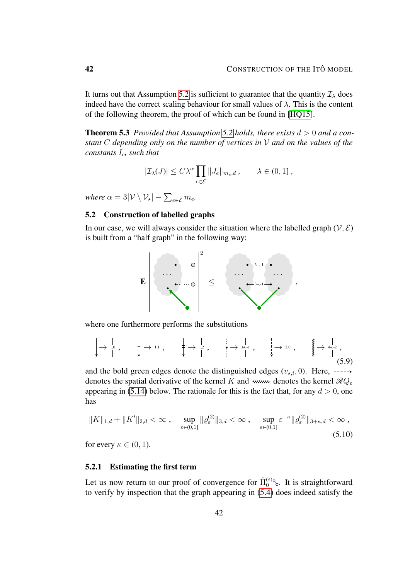It turns out that Assumption [5.2](#page-40-0) is sufficient to guarantee that the quantity  $\mathcal{I}_{\lambda}$  does indeed have the correct scaling behaviour for small values of  $\lambda$ . This is the content of the following theorem, the proof of which can be found in [\[HQ15\]](#page-55-8).

<span id="page-41-1"></span>**Theorem 5.3** *Provided that Assumption [5.2](#page-40-0) holds, there exists*  $d > 0$  *and a constant* C *depending only on the number of vertices in* V *and on the values of the constants*  $I_e$ *, such that* 

$$
|\mathcal{I}_{\lambda}(J)| \leq C\lambda^{\alpha} \prod_{e \in \mathcal{E}} ||J_e||_{m_e,d} , \qquad \lambda \in (0,1] ,
$$

*where*  $\alpha = 3|\mathcal{V} \setminus \mathcal{V}_\star| - \sum_{e \in \mathcal{E}} m_e$ .

# <span id="page-41-0"></span>5.2 Construction of labelled graphs

In our case, we will always consider the situation where the labelled graph  $(V, \mathcal{E})$ is built from a "half graph" in the following way:

<span id="page-41-3"></span>

where one furthermore performs the substitutions

$$
\downarrow \rightarrow \begin{array}{ccc} \downarrow & \downarrow & \downarrow & \downarrow & \downarrow & \downarrow & \downarrow & \downarrow & \downarrow & \downarrow & \downarrow & \downarrow & \downarrow & \downarrow & \downarrow & \downarrow & \downarrow & \downarrow & \downarrow & \downarrow & \downarrow & \downarrow & \downarrow & \downarrow & \downarrow & \downarrow & \downarrow & \downarrow & \downarrow & \downarrow & \downarrow & \downarrow & \downarrow & \downarrow & \downarrow & \downarrow & \downarrow & \downarrow & \downarrow & \downarrow & \downarrow & \downarrow & \downarrow & \downarrow & \downarrow & \downarrow & \downarrow & \downarrow & \downarrow & \downarrow & \downarrow & \downarrow & \downarrow & \downarrow & \downarrow & \downarrow & \downarrow & \downarrow & \downarrow & \downarrow & \downarrow & \downarrow & \downarrow & \downarrow & \downarrow & \downarrow & \downarrow & \downarrow & \downarrow & \downarrow & \downarrow & \downarrow & \downarrow & \downarrow & \downarrow & \downarrow & \downarrow & \downarrow & \downarrow & \downarrow & \downarrow & \downarrow & \downarrow & \downarrow & \downarrow & \downarrow & \downarrow & \downarrow & \downarrow & \downarrow & \downarrow & \downarrow & \downarrow & \downarrow & \downarrow & \downarrow & \downarrow & \downarrow & \downarrow & \downarrow & \downarrow & \downarrow & \downarrow & \downarrow & \downarrow & \downarrow & \downarrow & \downarrow & \downarrow & \downarrow & \downarrow & \downarrow & \downarrow & \downarrow & \downarrow & \downarrow & \downarrow & \downarrow & \downarrow & \downarrow & \downarrow & \downarrow & \downarrow & \downarrow & \downarrow &
$$

and the bold green edges denote the distinguished edges  $(v_{\star,i}, 0)$ . Here, ----denotes the spatial derivative of the kernel K and www. denotes the kernel  $\mathcal{R}Q_{\varepsilon}$ appearing in [\(5.14\)](#page-43-0) below. The rationale for this is the fact that, for any  $d > 0$ , one has

<span id="page-41-2"></span>
$$
||K||_{1,d} + ||K'||_{2,d} < \infty , \quad \sup_{\varepsilon \in (0,1]} ||\varrho_{\varepsilon}^{(2)}||_{3,d} < \infty , \quad \sup_{\varepsilon \in (0,1]} \varepsilon^{-\kappa} ||\varrho_{\varepsilon}^{(2)}||_{3+\kappa,d} < \infty ,
$$
\n(5.10)

for every  $\kappa \in (0, 1)$ .

#### 5.2.1 Estimating the first term

Let us now return to our proof of convergence for  $\hat{\Pi}_0^{(\varepsilon)\circ}$ . It is straightforward to verify by inspection that the graph appearing in [\(5.4\)](#page-38-0) does indeed satisfy the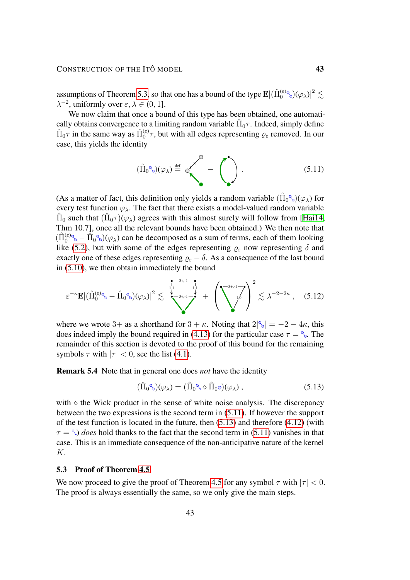assumptions of Theorem [5.3,](#page-41-1) so that one has a bound of the type  $\mathbf{E}|(\hat\Pi_0^{(\varepsilon)_0}\!\!\setminus\!(\varphi_{\lambda})|^2\lesssim$  $\lambda^{-2}$ , uniformly over  $\varepsilon, \lambda \in (0, 1]$ .

We now claim that once a bound of this type has been obtained, one automatically obtains convergence to a limiting random variable  $\hat{\Pi}_0 \tau$ . Indeed, simply define  $\hat{\Pi}_0 \tau$  in the same way as  $\hat{\Pi}_0^{(\varepsilon)} \tau$ , but with all edges representing  $\rho_{\varepsilon}$  removed. In our case, this yields the identity

<span id="page-42-1"></span>
$$
(\hat{\Pi}_0^{\circ}(\varphi_\lambda)) \stackrel{\text{def}}{=} \circ \left(\bigodot^{\circ} - \left(\bigodot^{\bullet}\right)\right). \tag{5.11}
$$

(As a matter of fact, this definition only yields a random variable  $(\hat{\Pi}_0^{\circ}(\varphi_\lambda))$  for every test function  $\varphi_{\lambda}$ . The fact that there exists a model-valued random variable  $\hat{\Pi}_0$  such that  $(\hat{\Pi}_0 \tau)(\varphi_\lambda)$  agrees with this almost surely will follow from [\[Hai14,](#page-55-5) Thm 10.7], once all the relevant bounds have been obtained.) We then note that  $(\hat{\Pi}_0^{(\varepsilon)} \otimes - \hat{\Pi}_0 \otimes)(\varphi_\lambda)$  can be decomposed as a sum of terms, each of them looking like [\(5.2\)](#page-37-0), but with some of the edges representing  $\varrho_{\varepsilon}$  now representing  $\delta$  and exactly one of these edges representing  $\varrho_{\varepsilon} - \delta$ . As a consequence of the last bound in [\(5.10\)](#page-41-2), we then obtain immediately the bound

$$
\varepsilon^{-\kappa} \mathbf{E} |(\hat{\Pi}_{0}^{(\varepsilon)} \otimes - \hat{\Pi}_{0} \otimes)(\varphi_{\lambda})|^{2} \lesssim \sum_{\lambda=3+1}^{\frac{1}{1,1}-\frac{1}{1,1}} + \left(\sum_{j=0}^{-3+1-j} \right)^{2} \lesssim \lambda^{-2-2\kappa}, \quad (5.12)
$$

where we wrote 3+ as a shorthand for  $3 + \kappa$ . Noting that  $2|\Im| = -2 - 4\kappa$ , this does indeed imply the bound required in [\(4.13\)](#page-33-2) for the particular case  $\tau = \frac{6}{6}$ . The remainder of this section is devoted to the proof of this bound for the remaining symbols  $\tau$  with  $|\tau| < 0$ , see the list [\(4.1\)](#page-25-1).

Remark 5.4 Note that in general one does *not* have the identity

<span id="page-42-2"></span>
$$
(\hat{\Pi}_0^{\circ}(\varphi_\lambda)) = (\hat{\Pi}_0^{\circ} \diamond \hat{\Pi}_0^{\circ})(\varphi_\lambda), \qquad (5.13)
$$

with  $\Diamond$  the Wick product in the sense of white noise analysis. The discrepancy between the two expressions is the second term in [\(5.11\)](#page-42-1). If however the support of the test function is located in the future, then  $(5.13)$  and therefore  $(4.12)$  (with  $\tau = \infty$ ) *does* hold thanks to the fact that the second term in [\(5.11\)](#page-42-1) vanishes in that case. This is an immediate consequence of the non-anticipative nature of the kernel K.

#### <span id="page-42-0"></span>5.3 Proof of Theorem [4.5](#page-32-1)

We now proceed to give the proof of Theorem [4.5](#page-32-1) for any symbol  $\tau$  with  $|\tau| < 0$ . The proof is always essentially the same, so we only give the main steps.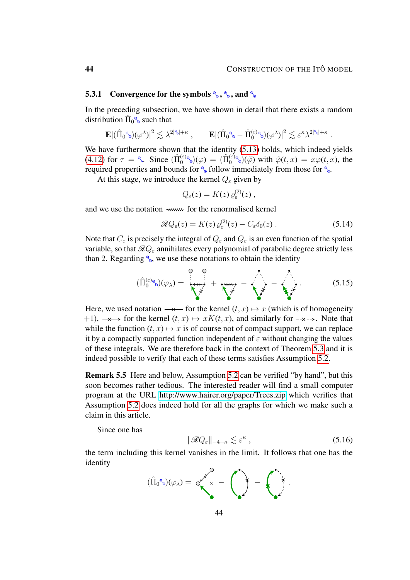## 5.3.1 Convergence for the symbols  $\mathcal{L}, \mathcal{L}, \mathcal{L}$  and  $\mathcal{L}$

In the preceding subsection, we have shown in detail that there exists a random distribution  $\hat{\Pi}_0^{\circ}$  such that

$$
\mathbf{E} |(\hat{\Pi}_0^{\circ} \otimes)(\varphi^{\lambda})|^2 \lesssim \lambda^{2|\mathbb{S}_0|+\kappa} , \qquad \mathbf{E} |(\hat{\Pi}_0^{\circ} \otimes - \hat{\Pi}_0^{(\varepsilon)} \otimes)(\varphi^{\lambda})|^2 \lesssim \varepsilon^{\kappa} \lambda^{2|\mathbb{S}_0|+\kappa} .
$$

We have furthermore shown that the identity [\(5.13\)](#page-42-2) holds, which indeed yields [\(4.12\)](#page-32-3) for  $\tau = \infty$ . Since  $(\hat{\Pi}_0^{(\varepsilon)})(\varphi) = (\hat{\Pi}_0^{(\varepsilon)})(\tilde{\varphi})$  with  $\tilde{\varphi}(t,x) = x\varphi(t,x)$ , the required properties and bounds for  $\frac{1}{6}$  follow immediately from those for  $\frac{1}{6}$ .

At this stage, we introduce the kernel  $Q_{\varepsilon}$  given by

<span id="page-43-0"></span>
$$
Q_{\varepsilon}(z) = K(z) \, \varrho_{\varepsilon}^{(2)}(z) \, ,
$$

and we use the notation www for the renormalised kernel

$$
\mathcal{R}Q_{\varepsilon}(z) = K(z)\,\varrho_{\varepsilon}^{(2)}(z) - C_{\varepsilon}\delta_0(z) \,. \tag{5.14}
$$

Note that  $C_{\varepsilon}$  is precisely the integral of  $Q_{\varepsilon}$  and  $Q_{\varepsilon}$  is an even function of the spatial variable, so that  $\mathcal{R}Q_{\varepsilon}$  annihilates every polynomial of parabolic degree strictly less than 2. Regarding  $\%$ , we use these notations to obtain the identity

$$
(\hat{\Pi}_{0}^{(\varepsilon)\circledast})(\varphi_{\lambda})=\overline{\left(\begin{matrix} \cdot & \cdot & \cdot \\ \cdot & \cdot & \cdot \\ \cdot & \cdot & \cdot \end{matrix}\right)}+\overline{\left(\begin{matrix} \cdot & \cdot & \cdot \\ \cdot & \cdot & \cdot \\ \cdot & \cdot & \cdot \end{matrix}\right)}+\overline{\left(\begin{matrix} \cdot & \cdot & \cdot \\ \cdot & \cdot & \cdot \\ \cdot & \cdot & \cdot \end{matrix}\right)}+\overline{\left(\begin{matrix} \cdot & \cdot & \cdot \\ \cdot & \cdot & \cdot \\ \cdot & \cdot & \cdot \end{matrix}\right)}.
$$
 (5.15)

Here, we used notation  $\rightarrow$  for the kernel  $(t, x) \mapsto x$  (which is of homogeneity  $+1$ ,  $\rightarrow \rightarrow$  for the kernel  $(t, x) \mapsto xK(t, x)$ , and similarly for  $-\rightarrow \rightarrow$ . Note that while the function  $(t, x) \mapsto x$  is of course not of compact support, we can replace it by a compactly supported function independent of  $\varepsilon$  without changing the values of these integrals. We are therefore back in the context of Theorem [5.3](#page-41-1) and it is indeed possible to verify that each of these terms satisfies Assumption [5.2.](#page-40-0)

Remark 5.5 Here and below, Assumption [5.2](#page-40-0) can be verified "by hand", but this soon becomes rather tedious. The interested reader will find a small computer program at the URL<http://www.hairer.org/paper/Trees.zip> which verifies that Assumption [5.2](#page-40-0) does indeed hold for all the graphs for which we make such a claim in this article.

Since one has

<span id="page-43-1"></span>
$$
\|\mathcal{R}Q_{\varepsilon}\|_{-4-\kappa} \lesssim \varepsilon^{\kappa} \;, \tag{5.16}
$$

the term including this kernel vanishes in the limit. It follows that one has the identity

$$
(\hat{\Pi}_0\text{A}_0)(\varphi_{\lambda})=\circ \left(\begin{matrix} 0\\ \vdots\\ 0 \end{matrix}\right)\;=\;\left(\begin{matrix} 0\\ \vdots\\ 0 \end{matrix}\right)\;.
$$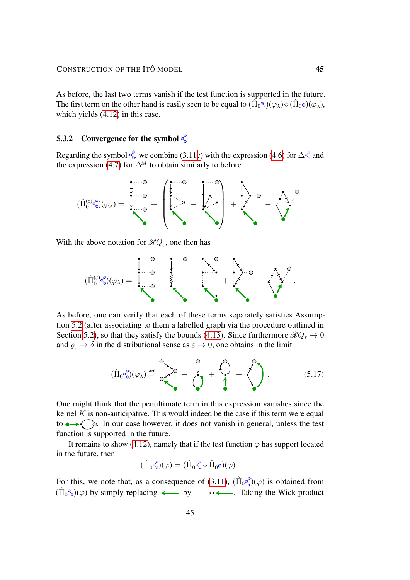As before, the last two terms vanish if the test function is supported in the future. The first term on the other hand is easily seen to be equal to  $(\hat{\Pi}_0^{\bullet})(\varphi_{\lambda}) \diamond (\hat{\Pi}_0 \circ)(\varphi_{\lambda})$ , which yields [\(4.12\)](#page-32-3) in this case.

## 5.3.2 Convergence for the symbol  $\frac{d}{d\Omega}$

Regarding the symbol  $\frac{6}{6}$ , we combine [\(3.11c\)](#page-15-0) with the expression [\(4.6\)](#page-28-0) for  $\Delta \frac{6}{6}$  and the expression [\(4.7\)](#page-28-1) for  $\Delta^M$  to obtain similarly to before

$$
(\hat{\Pi}_0^{(\ominus)}\!\!\!\!{}^{\mathop{}\limits^{\circ}\circ}(\varphi_{\lambda})=\,\underbrace{\,\,\stackrel{\scriptstyle\longrightarrow}{\downarrow}\,\,\stackrel{\scriptstyle\circ}{\circ}\,}_{\raisebox{-1pt}{\oslash}\!\!\!{}^{\bullet}\circ}+\,\underbrace{\,\,\stackrel{\scriptstyle\longrightarrow}{\downarrow}\,\,\stackrel{\scriptstyle\longrightarrow}{\bullet}\,\,\,\stackrel{\scriptstyle\longrightarrow}{\bullet}\,\,\stackrel{\scriptstyle\longrightarrow}{\bullet}\,\,\stackrel{\scriptstyle\longrightarrow}{\bullet}\,\,\stackrel{\scriptstyle\longrightarrow}{\bullet}\,\,\stackrel{\scriptstyle\longrightarrow}{\bullet}\,\,\stackrel{\scriptstyle\longrightarrow}{\bullet}\,\,\stackrel{\scriptstyle\longrightarrow}{\bullet}\,\,\stackrel{\scriptstyle\longrightarrow}{\bullet}\,\,\stackrel{\scriptstyle\longrightarrow}{\bullet}\,\,\stackrel{\scriptstyle\longrightarrow}{\bullet}\,\,\stackrel{\scriptstyle\longrightarrow}{\bullet}\,\,\stackrel{\scriptstyle\longrightarrow}{\bullet}\,\,\stackrel{\scriptstyle\longrightarrow}{\bullet}\,\,\stackrel{\scriptstyle\longrightarrow}{\bullet}\,\,\stackrel{\scriptstyle\longrightarrow}{\bullet}\,\,\stackrel{\scriptstyle\longrightarrow}{\bullet}\,\,\stackrel{\scriptstyle\longrightarrow}{\bullet}\,\,\stackrel{\scriptstyle\longrightarrow}{\bullet}\,\,\stackrel{\scriptstyle\longrightarrow}{\bullet}\,\,\stackrel{\scriptstyle\longrightarrow}{\bullet}\,\,\stackrel{\scriptstyle\longrightarrow}{\bullet}\,\,\stackrel{\scriptstyle\longrightarrow}{\bullet}\,\,\stackrel{\scriptstyle\longrightarrow}{\bullet}\,\,\stackrel{\scriptstyle\longrightarrow}{\bullet}\,\,\stackrel{\scriptstyle\longrightarrow}{\bullet}\,\,\stackrel{\scriptstyle\longrightarrow}{\bullet}\,\,\stackrel{\scriptstyle\longrightarrow}{\bullet}\,\,\stackrel{\scriptstyle\longrightarrow}{\bullet}\,\,\stackrel{\scriptstyle\longrightarrow}{\bullet}\,\,\stackrel{\scriptstyle\longrightarrow}{\bullet}\,\,\stackrel{\scriptstyle\longrightarrow}{\bullet}\,\,\stackrel{\scriptstyle\longrightarrow}{\bullet}\,\,\stackrel{\scriptstyle\longrightarrow}{\bullet}\,\,\stackrel{\scriptstyle\longrightarrow}{\bullet}\,\,\stackrel{\scriptstyle\longrightarrow}{\bullet}\,\,\stackrel{\scriptstyle\longrightarrow}{\bullet}\,\,\stackrel{\scriptstyle\longrightarrow}{\bullet}\,\,\stackrel{\scriptstyle\longrightarrow}{\bullet}\,\,\stackrel{\scriptstyle\longrightarrow}{\bullet}\,\,\stackrel{\scriptstyle\longrightarrow}{\bullet}\,\,\stackrel{\scriptstyle\longrightarrow}{\bullet}\,\,\stackrel{\scriptstyle\longrightarrow}{\bullet}\,\,\stackrel{\scriptstyle\longrightarrow}{\bullet}\,\,\stackrel{\scriptstyle\longrightarrow}{\bullet}\,\,\stackrel{\scriptstyle\longrightarrow}{\bullet}\,\,\stackrel{\scriptstyle\longrightarrow}{\bullet}\,\,\stackrel{\scriptstyle\longrightarrow}{\bullet}\,\,\stackrel{\scriptstyle\longrightarrow}{\bullet}\,\,\stackrel{\scriptstyle\longrightarrow}{\
$$

With the above notation for  $\mathcal{R}Q_{\varepsilon}$ , one then has

$$
(\hat{\Pi}_0^{(\varepsilon)} \circledast)(\varphi_{\lambda}) = \underbrace{\begin{array}{c} \begin{matrix} \begin{matrix} \cdots \end{matrix} & \cdots \end{array}}_{\bullet} & \begin{matrix} \begin{matrix} \begin{matrix} \cdots \end{matrix} & \cdots \end{matrix} & \cdots \end{array} \end{array}}_{\bullet} \leftarrow \underbrace{\begin{array}{c} \begin{matrix} \cdots \end{matrix} & \cdots \end{array}}_{\bullet} \leftarrow \underbrace{\begin{array}{c} \begin{matrix} \cdots \end{matrix} & \cdots \end{array}}_{\bullet} \leftarrow \underbrace{\begin{array}{c} \begin{matrix} \cdots \end{matrix} & \cdots \end{array}}_{\bullet} \leftarrow \underbrace{\begin{array}{c} \begin{matrix} \cdots \end{matrix} & \cdots \end{array}}_{\bullet} \leftarrow \underbrace{\begin{array}{c} \begin{matrix} \cdots \end{matrix} & \cdots \end{array}}_{\bullet} \leftarrow \underbrace{\begin{array}{c} \begin{matrix} \cdots \end{matrix} & \cdots \end{array}}_{\bullet} \leftarrow \underbrace{\begin{array}{c} \begin{matrix} \cdots \end{matrix} & \cdots \end{array}}_{\bullet} \leftarrow \underbrace{\begin{array}{c} \begin{matrix} \cdots \end{matrix} & \cdots \end{array}}_{\bullet} \leftarrow \underbrace{\begin{array}{c} \begin{matrix} \cdots \end{matrix} & \cdots \end{array}}_{\bullet} \leftarrow \underbrace{\begin{array}{c} \begin{matrix} \cdots \end{matrix} & \cdots \end{array}}_{\bullet} \leftarrow \underbrace{\begin{array}{c} \begin{matrix} \cdots \end{matrix} & \cdots \end{array}}_{\bullet} \leftarrow \underbrace{\begin{array}{c} \begin{matrix} \cdots \end{matrix} & \cdots \end{array}}_{\bullet} \leftarrow \underbrace{\begin{array}{c} \begin{matrix} \cdots \end{matrix} & \cdots \end{array}}_{\bullet} \leftarrow \underbrace{\begin{array}{c} \begin{matrix} \cdots \end{matrix} & \cdots \end{array}}_{\bullet} \leftarrow \underbrace{\begin{array}{c} \begin{matrix} \cdots \end{matrix} & \cdots \end{array}}_{\bullet} \leftarrow \underbrace{\begin{array}{c} \begin{matrix} \cdots \end{matrix} & \cdots \end{array}}_{\bullet} \leftarrow \underbrace{\begin{array}{c} \begin{matrix}
$$

As before, one can verify that each of these terms separately satisfies Assumption [5.2](#page-40-0) (after associating to them a labelled graph via the procedure outlined in Section [5.2\)](#page-41-0), so that they satisfy the bounds [\(4.13\)](#page-33-2). Since furthermore  $\mathcal{R}Q_{\varepsilon} \to 0$ and  $\varrho_{\varepsilon} \to \delta$  in the distributional sense as  $\varepsilon \to 0$ , one obtains in the limit

$$
(\hat{\Pi}_0 \circ_{\circ}^{\circ})(\varphi_{\lambda}) \stackrel{\text{def}}{=} \circ_{\bullet}^{\circ} \circ_{\bullet}^{\circ} - \left(\bigcirc_{\bullet}^{\circ}\right) + \left(\bigcirc_{\bullet}^{\circ}\right) - \left(\bigcirc_{\bullet}^{\circ}\right). \tag{5.17}
$$

One might think that the penultimate term in this expression vanishes since the kernel  $K$  is non-anticipative. This would indeed be the case if this term were equal to  $\rightarrow \sim$   $\sim$   $\sim$   $\sim$   $\sim$  In our case however, it does not vanish in general, unless the test function is supported in the future.

It remains to show [\(4.12\)](#page-32-3), namely that if the test function  $\varphi$  has support located in the future, then

<span id="page-44-0"></span>
$$
(\hat{\Pi}_0 \textbf{C}^{\circ}_{\textbf{o}})(\varphi) = (\hat{\Pi}_0 \textbf{C}^{\circ} \diamond \hat{\Pi}_0 \textbf{o})(\varphi) .
$$

For this, we note that, as a consequence of [\(3.11\)](#page-15-0),  $(\hat{\Pi}_0 \hat{\zeta})(\varphi)$  is obtained from  $(\hat{\Pi}_0^{\circ\circ})(\varphi)$  by simply replacing  $\longleftarrow$  by  $\longrightarrow \longleftarrow$ . Taking the Wick product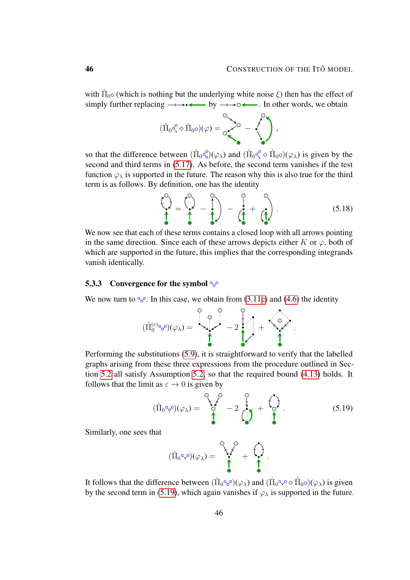with  $\hat{\Pi}_0$  (which is nothing but the underlying white noise  $\xi$ ) then has the effect of simply further replacing by . In other words, we obtain

$$
(\hat{\Pi}_0\zeta\diamond\hat{\Pi}_0\circ)(\varphi)=\overset{\circ}{\underset{\circ}{\circ}\raisebox{1.5pt}{\text{\circle*{1.5}}}}\hspace*{-3mm}\circ\hspace*{-2mm}\bullet\hspace*{-2mm}\bullet\hspace*{-2mm}\bullet\hspace*{-2mm}\bullet\hspace*{-2mm}\bullet\hspace*{-2mm}\bullet\hspace*{-2mm}\bullet\hspace*{-2mm}\bullet\hspace*{-2mm}\bullet\hspace*{-2mm}\bullet\hspace*{-2mm}\bullet\hspace*{-2mm}\bullet\hspace*{-2mm}\bullet\hspace*{-2mm}\bullet\hspace*{-2mm}\bullet\hspace*{-2mm}\bullet\hspace*{-2mm}\bullet\hspace*{-2mm}\bullet\hspace*{-2mm}\bullet\hspace*{-2mm}\bullet\hspace*{-2mm}\bullet\hspace*{-2mm}\bullet\hspace*{-2mm}\bullet\hspace*{-2mm}\bullet\hspace*{-2mm}\bullet\hspace*{-2mm}\bullet\hspace*{-2mm}\bullet\hspace*{-2mm}\bullet\hspace*{-2mm}\bullet\hspace*{-2mm}\bullet\hspace*{-2mm}\bullet\hspace*{-2mm}\bullet\hspace*{-2mm}\bullet\hspace*{-2mm}\bullet\hspace*{-2mm}\bullet\hspace*{-2mm}\bullet\hspace*{-2mm}\bullet\hspace*{-2mm}\bullet\hspace*{-2mm}\bullet\hspace*{-2mm}\bullet\hspace*{-2mm}\bullet\hspace*{-2mm}\bullet\hspace*{-2mm}\bullet\hspace*{-2mm}\bullet\hspace*{-2mm}\bullet\hspace*{-2mm}\bullet\hspace*{-2mm}\bullet\hspace*{-2mm}\bullet\hspace*{-2mm}\bullet\hspace*{-2mm}\bullet\hspace*{-2mm}\bullet\hspace*{-2mm}\bullet\hspace*{-2mm}\bullet\hspace*{-2mm}\bullet\hspace*{-2mm}\bullet\hspace*{-2mm}\bullet\hspace*{-2mm}\bullet\hspace*{-2mm}\bullet\hspace*{-2mm}\bullet\hspace*{-2mm}\bullet\hspace*{-2mm}\bullet\hspace*{-2mm}\bullet\hspace*{-2mm}\bullet\hspace*{-2mm}\bullet\hspace*{-2mm}\bullet\hspace*{-2mm}\bullet\hspace*{-2mm}\bullet\hspace*{-2mm}\bullet\hspace*{-2mm}\bullet\hspace*{-2mm}\bullet\hspace*{-2mm}\bullet\hspace*{-2mm}\bullet\hspace*{-2mm}\bullet\hspace*{-2mm}\bullet\hspace*{-2mm}\bullet\hspace*{-2mm}\bullet\hspace*{-2mm}\
$$

so that the difference between  $(\hat{\Pi}_0 \hat{\mathcal{C}})(\varphi_\lambda)$  and  $(\hat{\Pi}_0 \hat{\mathcal{C}} \diamond \hat{\Pi}_0 \circ)(\varphi_\lambda)$  is given by the second and third terms in [\(5.17\)](#page-44-0). As before, the second term vanishes if the test function  $\varphi_{\lambda}$  is supported in the future. The reason why this is also true for the third term is as follows. By definition, one has the identity

<span id="page-45-1"></span>
$$
\begin{pmatrix} 0 \\ \mathbf{r} \\ \mathbf{r} \end{pmatrix} = \begin{pmatrix} 0 \\ \mathbf{r} \\ \mathbf{r} \end{pmatrix} - \begin{pmatrix} 0 \\ \mathbf{r} \\ \mathbf{r} \end{pmatrix} - \begin{pmatrix} 0 \\ \mathbf{r} \\ \mathbf{r} \end{pmatrix} + \begin{pmatrix} 0 \\ \mathbf{r} \\ \mathbf{r} \end{pmatrix}.
$$
 (5.18)

We now see that each of these terms contains a closed loop with all arrows pointing in the same direction. Since each of these arrows depicts either K or  $\varphi$ , both of which are supported in the future, this implies that the corresponding integrands vanish identically.

## 5.3.3 Convergence for the symbol  $\mathcal{C}^{\circ}$

We now turn to  $\mathcal{C}_{\mathcal{C}}$ . In this case, we obtain from [\(3.11c\)](#page-15-0) and [\(4.6\)](#page-28-0) the identity

$$
(\hat{\Pi}_0^{(\varepsilon)_{{\mathbb Q},{\mathbb Q}}})(\varphi_{\lambda})=\left\{\begin{matrix}0\\{\mathbb Q}\\\lambda\end{matrix}\right\}^{\mathbb Q}-2\left\{\begin{matrix}0\\{\mathbb Q}\\\lambda\end{matrix}\right\}+\left\{\begin{matrix}0\\{\mathbb Q}\\\lambda\end{matrix}\right\}.
$$

Performing the substitutions [\(5.9\)](#page-41-3), it is straightforward to verify that the labelled graphs arising from these three expressions from the procedure outlined in Section [5.2](#page-41-0) all satisfy Assumption [5.2,](#page-40-0) so that the required bound [\(4.13\)](#page-33-2) holds. It follows that the limit as  $\varepsilon \to 0$  is given by

$$
(\hat{\Pi}_0 \circ \mathcal{S}) (\varphi_\lambda) = \begin{pmatrix} \circ & \circ & \circ \\ \circ & \circ & \circ \\ \circ & \circ & \circ \end{pmatrix} - 2 \begin{pmatrix} \circ & \circ & \circ \\ \circ & \circ & \circ \\ \circ & \circ & \circ \end{pmatrix} . \tag{5.19}
$$

Similarly, one sees that

<span id="page-45-0"></span>
$$
(\hat{\Pi}_0 \diamond \mathcal{P})(\varphi_\lambda) = \begin{pmatrix} \diamond & \diamond & \diamond \\ \diamond & \diamond & \diamond \\ \bullet & \bullet & \bullet \end{pmatrix}.
$$

It follows that the difference between  $(\hat{\Pi}_0 \otimes \hat{\theta})(\varphi_\lambda)$  and  $(\hat{\Pi}_0 \otimes \hat{\theta} \otimes \hat{\Pi}_0 \otimes)(\varphi_\lambda)$  is given by the second term in [\(5.19\)](#page-45-0), which again vanishes if  $\varphi_{\lambda}$  is supported in the future.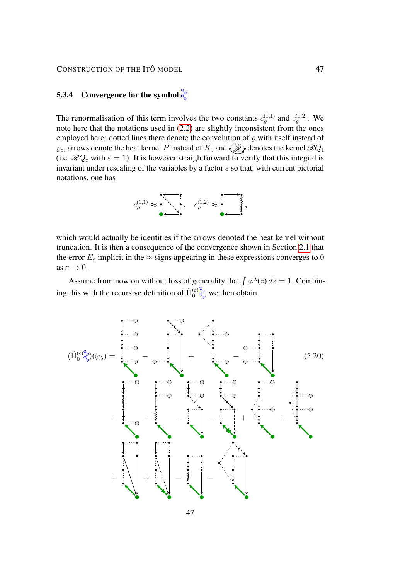CONSTRUCTION OF THE ITÔ MODEL **47** 

# 5.3.4 Convergence for the symbol  $\frac{5}{5}$

The renormalisation of this term involves the two constants  $c_{\varrho}^{(1,1)}$  and  $c_{\varrho}^{(1,2)}$ . We note here that the notations used in [\(2.2\)](#page-7-2) are slightly inconsistent from the ones employed here: dotted lines there denote the convolution of  $\rho$  with itself instead of  $\varrho_{\varepsilon}$ , arrows denote the heat kernel P instead of K, and  $\mathscr{R}_{\mathscr{R}}$  denotes the kernel  $\mathscr{R}Q_1$ (i.e.  $\mathcal{R}Q_{\varepsilon}$  with  $\varepsilon = 1$ ). It is however straightforward to verify that this integral is invariant under rescaling of the variables by a factor  $\varepsilon$  so that, with current pictorial notations, one has

<span id="page-46-0"></span>

which would actually be identities if the arrows denoted the heat kernel without truncation. It is then a consequence of the convergence shown in Section [2.1](#page-8-0) that the error  $E_{\varepsilon}$  implicit in the  $\approx$  signs appearing in these expressions converges to 0 as  $\varepsilon \to 0$ .

Assume from now on without loss of generality that  $\int \varphi^{\lambda}(z) dz = 1$ . Combining this with the recursive definition of  $\hat{\Pi}_0^{(\varepsilon)}$  we then obtain

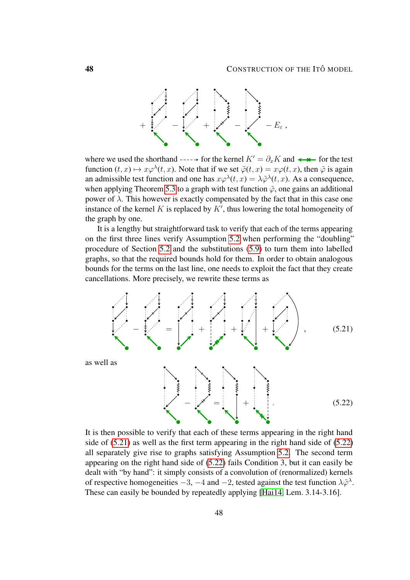

where we used the shorthand  $-\rightarrow$  for the kernel  $K' = \partial_x K$  and  $\leftarrow$  for the test function  $(t, x) \mapsto x\varphi^{\lambda}(t, x)$ . Note that if we set  $\tilde{\varphi}(t, x) = x\varphi(t, x)$ , then  $\tilde{\varphi}$  is again an admissible test function and one has  $x\varphi^{\lambda}(t, x) = \lambda \tilde{\varphi}^{\lambda}(t, x)$ . As a consequence, when applying Theorem [5.3](#page-41-1) to a graph with test function  $\tilde{\varphi}$ , one gains an additional power of  $λ$ . This however is exactly compensated by the fact that in this case one instance of the kernel  $K$  is replaced by  $K'$ , thus lowering the total homogeneity of the graph by one.

It is a lengthy but straightforward task to verify that each of the terms appearing on the first three lines verify Assumption [5.2](#page-40-0) when performing the "doubling" procedure of Section [5.2](#page-41-0) and the substitutions [\(5.9\)](#page-41-3) to turn them into labelled graphs, so that the required bounds hold for them. In order to obtain analogous bounds for the terms on the last line, one needs to exploit the fact that they create cancellations. More precisely, we rewrite these terms as

<span id="page-47-0"></span>

<span id="page-47-1"></span>It is then possible to verify that each of these terms appearing in the right hand side of [\(5.21\)](#page-47-0) as well as the first term appearing in the right hand side of [\(5.22\)](#page-47-1) all separately give rise to graphs satisfying Assumption [5.2.](#page-40-0) The second term appearing on the right hand side of [\(5.22\)](#page-47-1) fails Condition 3, but it can easily be dealt with "by hand": it simply consists of a convolution of (renormalized) kernels of respective homogeneities  $-3$ ,  $-4$  and  $-2$ , tested against the test function  $\lambda \tilde{\varphi}^{\lambda}$ . These can easily be bounded by repeatedly applying [\[Hai14,](#page-55-5) Lem. 3.14-3.16].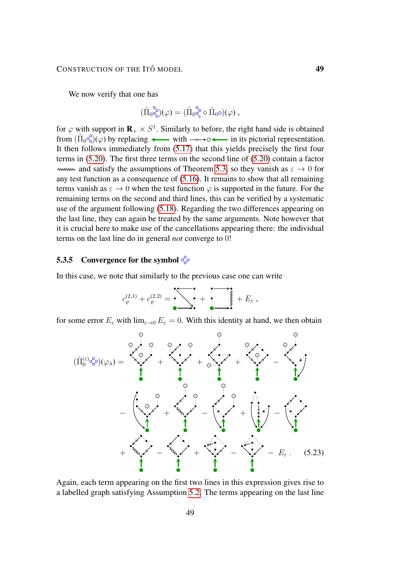We now verify that one has

$$
(\hat{\Pi}_{0}\overset{\circ}{\mathbb{Q}})(\varphi)=(\hat{\Pi}_{0}\overset{\circ}{\mathbb{Q}}\diamond\hat{\Pi}_{0}\circ)(\varphi)\;,
$$

for  $\varphi$  with support in  $\mathbf{R}_{+} \times S^{1}$ . Similarly to before, the right hand side is obtained from  $(\hat{\Pi}_0 \circ \hat{\circ})(\varphi)$  by replacing  $\longleftarrow$  with  $\dots \circ \longleftarrow$  in its pictorial representation. It then follows immediately from [\(5.17\)](#page-44-0) that this yields precisely the first four terms in [\(5.20\)](#page-46-0). The first three terms on the second line of [\(5.20\)](#page-46-0) contain a factor www. and satisfy the assumptions of Theorem [5.3,](#page-41-1) so they vanish as  $\varepsilon \to 0$  for any test function as a consequence of [\(5.16\)](#page-43-1). It remains to show that all remaining terms vanish as  $\varepsilon \to 0$  when the test function  $\varphi$  is supported in the future. For the remaining terms on the second and third lines, this can be verified by a systematic use of the argument following [\(5.18\)](#page-45-1). Regarding the two differences appearing on the last line, they can again be treated by the same arguments. Note however that it is crucial here to make use of the cancellations appearing there: the individual terms on the last line do in general *not* converge to 0!

## 5.3.5 Convergence for the symbol  $\mathbb{S}_{\mathbb{P}}$

In this case, we note that similarly to the previous case one can write

<span id="page-48-0"></span>
$$
c_{\varrho}^{(2,1)}+c_{\varrho}^{(2,2)}=\underbrace{\qquad \qquad}_{\bullet}\qquad \qquad}_{\bullet}\qquad \qquad +\overbrace{\qquad \qquad}_{\bullet}\qquad \qquad}_{\bullet}\qquad \qquad +\ E_{\varepsilon}\ ,
$$

for some error  $E_{\varepsilon}$  with  $\lim_{\varepsilon \to 0} E_{\varepsilon} = 0$ . With this identity at hand, we then obtain



Again, each term appearing on the first two lines in this expression gives rise to a labelled graph satisfying Assumption [5.2.](#page-40-0) The terms appearing on the last line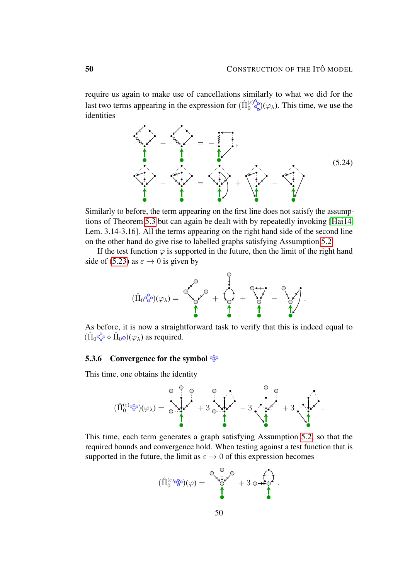require us again to make use of cancellations similarly to what we did for the last two terms appearing in the expression for  $(\hat{\Pi}_0^{(\varepsilon)} \overset{\circ}{\underset{\infty}{\otimes}})(\varphi_\lambda)$ . This time, we use the identities

<span id="page-49-0"></span>

Similarly to before, the term appearing on the first line does not satisfy the assumptions of Theorem [5.3](#page-41-1) but can again be dealt with by repeatedly invoking [\[Hai14,](#page-55-5) Lem. 3.14-3.16]. All the terms appearing on the right hand side of the second line on the other hand do give rise to labelled graphs satisfying Assumption [5.2.](#page-40-0)

If the test function  $\varphi$  is supported in the future, then the limit of the right hand side of [\(5.23\)](#page-48-0) as  $\varepsilon \to 0$  is given by



As before, it is now a straightforward task to verify that this is indeed equal to  $(\hat{\Pi}_0 \hat{\ll} \diamond \hat{\Pi}_0 \circ)(\varphi_\lambda)$  as required.

#### 5.3.6 Convergence for the symbol  $\frac{Q}{Q}$

This time, one obtains the identity



This time, each term generates a graph satisfying Assumption [5.2,](#page-40-0) so that the required bounds and convergence hold. When testing against a test function that is supported in the future, the limit as  $\varepsilon \to 0$  of this expression becomes

$$
(\hat{\Pi}_0^{(\varepsilon)\circledcirc\circledcirc})(\varphi) = \underbrace{\overset{\mathbb{Q}}{\underset{\mathbf{A}}{\otimes}\mathbf{L}}\overset{\mathbb{Q}}{\underset{\mathbf{A}}{\otimes}\mathbf{L}}}_{\bullet} + 3 \circ \underset{\mathbf{A}}{\overset{\mathbf{A}}{\otimes}\mathbf{L}}.
$$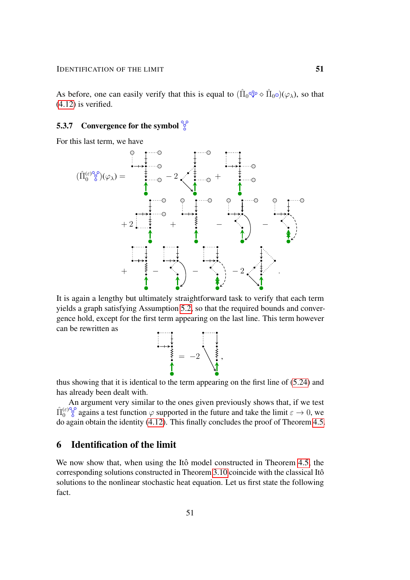As before, one can easily verify that this is equal to  $( \hat{\Pi}_0^{\alpha\beta} \diamond \hat{\Pi}_0 \diamond)(\varphi_\lambda)$ , so that  $(4.12)$  is verified.

# **5.3.7** Convergence for the symbol  $\frac{100}{6}$

For this last term, we have



It is again a lengthy but ultimately straightforward task to verify that each term yields a graph satisfying Assumption [5.2,](#page-40-0) so that the required bounds and convergence hold, except for the first term appearing on the last line. This term however can be rewritten as

= −2 ,

thus showing that it is identical to the term appearing on the first line of [\(5.24\)](#page-49-0) and has already been dealt with.

An argument very similar to the ones given previously shows that, if we test  $\hat{\Pi}_0^{(\varepsilon)^\mathbb{Q} \circ}$  agains a test function  $\varphi$  supported in the future and take the limit  $\varepsilon \to 0$ , we do again obtain the identity [\(4.12\)](#page-32-3). This finally concludes the proof of Theorem [4.5.](#page-32-1)

# <span id="page-50-0"></span>6 Identification of the limit

<span id="page-50-1"></span>We now show that, when using the Itô model constructed in Theorem [4.5,](#page-32-1) the corresponding solutions constructed in Theorem [3.10](#page-21-1) coincide with the classical Itô solutions to the nonlinear stochastic heat equation. Let us first state the following fact.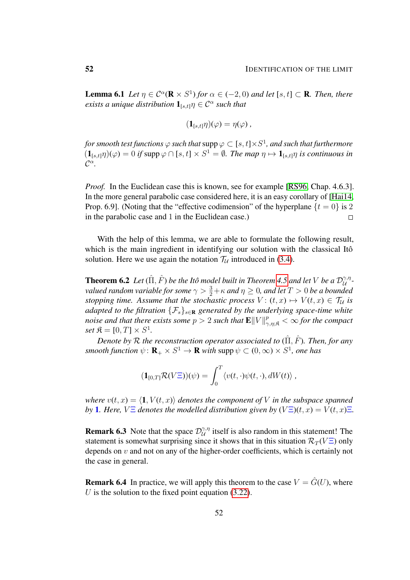**Lemma 6.1** *Let*  $\eta \in C^{\alpha}(\mathbf{R} \times S^1)$  *for*  $\alpha \in (-2,0)$  *and let*  $[s, t] \subset \mathbf{R}$ *. Then, there exists a unique distribution*  $\mathbf{1}_{[s,t]}\eta \in \mathcal{C}^{\alpha}$  such that

$$
(\mathbf{1}_{[s,t]}\eta)(\varphi)=\eta(\varphi)\,
$$

for smooth test functions  $\varphi$  such that  $\mathsf{supp} \, \varphi \subset [s,t] {\times} S^1$ , and such that furthermore  $(1_{[s,t]}\eta)(\varphi) = 0$  if supp  $\varphi \cap [s,t] \times S^1 = \emptyset$ . The map  $\eta \mapsto 1_{[s,t]}\eta$  is continuous in  $\mathcal{C}^{\alpha}$ .

*Proof.* In the Euclidean case this is known, see for example [\[RS96,](#page-55-13) Chap. 4.6.3]. In the more general parabolic case considered here, it is an easy corollary of [\[Hai14,](#page-55-5) Prop. 6.9]. (Noting that the "effective codimension" of the hyperplane  $\{t = 0\}$  is 2 in the parabolic case and 1 in the Euclidean case.)  $\Box$ 

With the help of this lemma, we are able to formulate the following result, which is the main ingredient in identifying our solution with the classical Itô solution. Here we use again the notation  $\mathcal{T}_U$  introduced in [\(3.4\)](#page-12-2).

<span id="page-51-0"></span>**Theorem 6.2** Let  $(\hat{\Pi}, \hat{F})$  be the Itô model built in Theorem [4.5](#page-32-1) and let V be a  $\mathcal{D}_{\mathcal{U}}^{\gamma, \eta}$ U  *valued random variable for some*  $\gamma > \frac{3}{2} + \kappa$  *and*  $\eta \geq 0$ *, and let*  $T > 0$  *be a bounded stopping time. Assume that the stochastic process*  $V: (t, x) \mapsto V(t, x) \in \mathcal{T}_\mathcal{U}$  *is adapted to the filtration*  $\{\mathcal{F}_s\}_{s\in\mathbb{R}}$  *generated by the underlying space-time white* noise and that there exists some  $p > 2$  such that  $\mathbf{E} \|V\|_{\gamma,\eta;\mathfrak{K}}^p < \infty$  for the compact  $set \mathfrak{K} = [0, T] \times S^1.$ 

*Denote by*  $R$  *the reconstruction operator associated to*  $(\hat{\Pi}, \hat{F})$ *. Then, for any smooth function*  $\psi \colon \mathbf{R}_{+} \times S^{1} \to \mathbf{R}$  *with* supp  $\psi \subset (0, \infty) \times S^{1}$ *, one has* 

$$
(\mathbf{1}_{[0,T]}\mathcal{R}(V\Xi))(\psi) = \int_0^T \langle v(t,\cdot)\psi(t,\cdot), dW(t)\rangle,
$$

*where*  $v(t, x) = \langle 1, V(t, x) \rangle$  *denotes the component of* V *in the subspace spanned by* **1***. Here,*  $V \Xi$  *denotes the modelled distribution given by*  $(V \Xi)(t, x) = V(t, x)\Xi$ *.* 

**Remark 6.3** Note that the space  $\mathcal{D}_{\mathcal{U}}^{\gamma,\eta}$  $\mathcal{U}^{\gamma,\eta}_{\mathcal{U}}$  itself is also random in this statement! The statement is somewhat surprising since it shows that in this situation  $\mathcal{R}_T(V\Xi)$  only depends on  $v$  and not on any of the higher-order coefficients, which is certainly not the case in general.

**Remark 6.4** In practice, we will apply this theorem to the case  $V = \hat{G}(U)$ , where U is the solution to the fixed point equation  $(3.22)$ .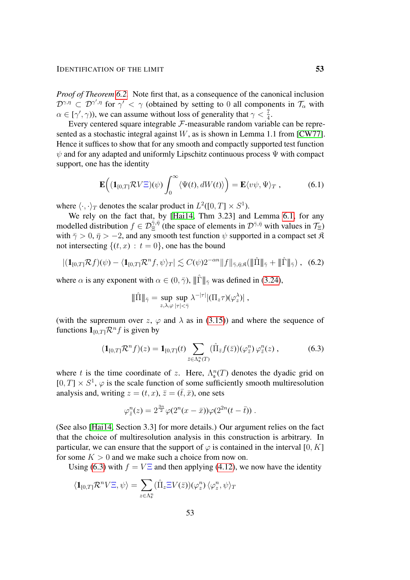*Proof of Theorem [6.2.](#page-51-0)* Note first that, as a consequence of the canonical inclusion  $\mathcal{D}^{\gamma,\eta} \subset \mathcal{D}^{\gamma',\eta}$  for  $\gamma' < \gamma$  (obtained by setting to 0 all components in  $\mathcal{T}_{\alpha}$  with  $\alpha \in [\gamma', \gamma)$ ), we can assume without loss of generality that  $\gamma < \frac{7}{4}$ .

Every centered square integrable  $\mathcal F$ -measurable random variable can be repre-sented as a stochastic integral against W, as is shown in Lemma 1.1 from [\[CW77\]](#page-54-3). Hence it suffices to show that for any smooth and compactly supported test function  $\psi$  and for any adapted and uniformly Lipschitz continuous process  $\Psi$  with compact support, one has the identity

<span id="page-52-2"></span>
$$
\mathbf{E}\Big((\mathbf{1}_{[0,T]}\mathcal{R}V\Xi)(\psi)\int_0^\infty \langle\Psi(t),dW(t)\rangle\Big)=\mathbf{E}\langle v\psi,\Psi\rangle_T\,,\qquad(6.1)
$$

where  $\langle \cdot, \cdot \rangle_T$  denotes the scalar product in  $L^2([0, T] \times S^1)$ .

We rely on the fact that, by [\[Hai14,](#page-55-5) Thm 3.23] and Lemma [6.1,](#page-50-1) for any modelled distribution  $f \in \mathcal{D}_{\Xi}^{\bar{\gamma},\bar{\eta}}$  (the space of elements in  $\mathcal{D}^{\bar{\gamma},\bar{\eta}}$  with values in  $\mathcal{T}_{\Xi}$ ) with  $\bar{\gamma} > 0$ ,  $\bar{\eta} > -2$ , and any smooth test function  $\psi$  supported in a compact set  $\hat{\mathcal{R}}$ not intersecting  $\{(t, x) : t = 0\}$ , one has the bound

$$
|(\mathbf{1}_{[0,T]}\mathcal{R}f)(\psi) - \langle \mathbf{1}_{[0,T]}\mathcal{R}^n f, \psi \rangle_T| \lesssim C(\psi)2^{-\alpha n} \|f\|_{\bar{\gamma},\bar{\eta};\mathfrak{K}} (\|\hat{\Pi}\|_{\bar{\gamma}} + \|\hat{\Gamma}\|_{\bar{\gamma}}), \quad (6.2)
$$

where  $\alpha$  is any exponent with  $\alpha \in (0, \bar{\gamma})$ ,  $\|\hat{\Gamma}\|_{\bar{\gamma}}$  was defined in [\(3.24\)](#page-21-5),

<span id="page-52-1"></span><span id="page-52-0"></span>
$$
\|\hat{\Pi}\|_{\bar{\gamma}} = \sup_{z,\lambda,\varphi} \sup_{|\tau|<\bar{\gamma}} \lambda^{-|\tau|} |(\Pi_z \tau)(\varphi_z^{\lambda})|,
$$

(with the supremum over z,  $\varphi$  and  $\lambda$  as in [\(3.15\)](#page-18-1)) and where the sequence of functions  $\mathbf{1}_{[0,T]} \mathcal{R}^n f$  is given by

$$
(\mathbf{1}_{[0,T]}\mathcal{R}^n f)(z) = \mathbf{1}_{[0,T]}(t) \sum_{\bar{z} \in \Lambda_{\bar{z}}^n(T)} (\hat{\Pi}_{\bar{z}}f(\bar{z}))(\varphi_{\bar{z}}^n) \varphi_{\bar{z}}^n(z) , \qquad (6.3)
$$

where t is the time coordinate of z. Here,  $\Lambda_{\mathfrak{s}}^n(T)$  denotes the dyadic grid on  $[0, T] \times S<sup>1</sup>$ ,  $\varphi$  is the scale function of some sufficiently smooth multiresolution analysis and, writing  $z = (t, x)$ ,  $\overline{z} = (\overline{t}, \overline{x})$ , one sets

$$
\varphi_{\bar{z}}^n(z) = 2^{\frac{3n}{2}} \varphi(2^n(x-\bar{x})) \varphi(2^{2n}(t-\bar{t})) .
$$

(See also [\[Hai14,](#page-55-5) Section 3.3] for more details.) Our argument relies on the fact that the choice of multiresolution analysis in this construction is arbitrary. In particular, we can ensure that the support of  $\varphi$  is contained in the interval [0, K] for some  $K > 0$  and we make such a choice from now on.

Using [\(6.3\)](#page-52-0) with  $f = V\Xi$  and then applying [\(4.12\)](#page-32-3), we now have the identity

$$
\langle \mathbf{1}_{[0,T]}\mathcal{R}^n V \Xi, \psi \rangle = \sum_{z \in \Lambda_s^n} (\hat{\Pi}_z \Xi V(\bar{z})) (\varphi_z^n) \langle \varphi_z^n, \psi \rangle_T
$$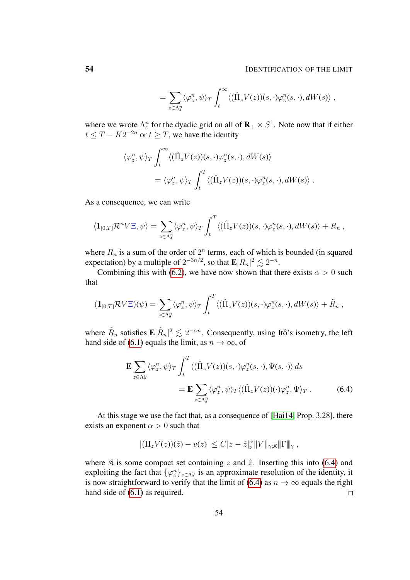#### 54 IDENTIFICATION OF THE LIMIT

$$
= \sum_{z \in \Lambda_s^n} \langle \varphi_z^n, \psi \rangle_T \int_t^\infty \langle (\hat{\Pi}_z V(z))(s, \cdot) \varphi_z^n(s, \cdot), dW(s) \rangle,
$$

where we wrote  $\Lambda_s^n$  for the dyadic grid on all of  $\mathbf{R}_+ \times S^1$ . Note now that if either  $t \leq T - K2^{-2n}$  or  $t \geq T$ , we have the identity

$$
\langle \varphi_z^n, \psi \rangle_T \int_t^\infty \langle (\hat{\Pi}_z V(z))(s, \cdot) \varphi_z^n(s, \cdot), dW(s) \rangle
$$
  
=  $\langle \varphi_z^n, \psi \rangle_T \int_t^T \langle (\hat{\Pi}_z V(z))(s, \cdot) \varphi_z^n(s, \cdot), dW(s) \rangle$ .

As a consequence, we can write

$$
\langle \mathbf{1}_{[0,T]}\mathcal{R}^n V\Xi, \psi \rangle = \sum_{z \in \Lambda_s^n} \langle \varphi_z^n, \psi \rangle_T \int_t^T \langle (\hat{\Pi}_z V(z))(s, \cdot) \varphi_z^n(s, \cdot), dW(s) \rangle + R_n,
$$

where  $R_n$  is a sum of the order of  $2^n$  terms, each of which is bounded (in squared expectation) by a multiple of  $2^{-3n/2}$ , so that  $\mathbf{E}|R_n|^2 \lesssim 2^{-n}$ .

Combining this with [\(6.2\)](#page-52-1), we have now shown that there exists  $\alpha > 0$  such that

$$
(\mathbf{1}_{[0,T]}\mathcal{R}V\Xi)(\psi)=\sum_{z\in\Lambda_{s}^{n}}\langle\varphi_{z}^{n},\psi\rangle_{T}\int_{t}^{T}\langle(\hat{\Pi}_{z}V(z))(s,\cdot)\varphi_{z}^{n}(s,\cdot),dW(s)\rangle+\tilde{R}_{n},
$$

where  $\tilde{R}_n$  satisfies  $\mathbf{E}|\tilde{R}_n|^2 \lesssim 2^{-\alpha n}$ . Consequently, using Itô's isometry, the left hand side of [\(6.1\)](#page-52-2) equals the limit, as  $n \to \infty$ , of

$$
\mathbf{E} \sum_{z \in \Lambda_s^n} \langle \varphi_z^n, \psi \rangle_T \int_t^T \langle (\hat{\Pi}_z V(z))(s, \cdot) \varphi_z^n(s, \cdot), \Psi(s, \cdot) \rangle ds \n= \mathbf{E} \sum_{z \in \Lambda_s^n} \langle \varphi_z^n, \psi \rangle_T \langle (\hat{\Pi}_z V(z)) (\cdot) \varphi_z^n, \Psi \rangle_T .
$$
\n(6.4)

At this stage we use the fact that, as a consequence of [\[Hai14,](#page-55-5) Prop. 3.28], there exists an exponent  $\alpha > 0$  such that

<span id="page-53-0"></span>
$$
|(\Pi_z V(z))(\hat{z}) - v(z)| \leq C |z - \hat{z}|_{\mathfrak{s}}^{\alpha} ||V||_{\gamma, \mathfrak{K}} ||\Gamma||_{\gamma},
$$

where  $\hat{\mathcal{R}}$  is some compact set containing z and  $\hat{z}$ . Inserting this into [\(6.4\)](#page-53-0) and exploiting the fact that  $\{\varphi_{z}^{n}\}_{z \in \Lambda_{s}^{n}}$  is an approximate resolution of the identity, it is now straightforward to verify that the limit of [\(6.4\)](#page-53-0) as  $n \to \infty$  equals the right hand side of [\(6.1\)](#page-52-2) as required.  $\Box$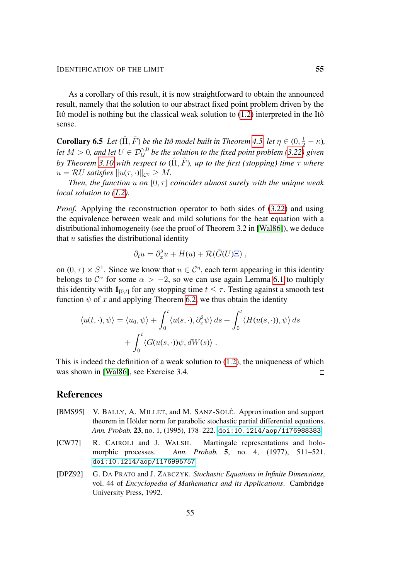As a corollary of this result, it is now straightforward to obtain the announced result, namely that the solution to our abstract fixed point problem driven by the Itô model is nothing but the classical weak solution to  $(1.2)$  interpreted in the Itô sense.

<span id="page-54-2"></span>**Corollary 6.5** Let  $(\hat{\Pi}, \hat{F})$  be the Itô model built in Theorem [4.5,](#page-32-1) let  $\eta \in (0, \frac{1}{2} - \kappa)$ , let  $M > 0$ , and let  $U \in \mathcal{D}^{\gamma,0}_{\mathcal{U}}$  be the solution to the fixed point problem [\(3.22\)](#page-21-0) given *by Theorem [3.10](#page-21-1) with respect to*  $(\hat{\Pi}, \hat{F})$ *, up to the first (stopping) time*  $\tau$  *where*  $u = \mathcal{R}U$  satisfies  $||u(\tau, \cdot)||_{\mathcal{C}^{\eta}} \geq M$ .

*Then, the function*  $u$  *on*  $[0, \tau]$  *coincides almost surely with the unique weak local solution to [\(1.2\)](#page-1-2).*

*Proof.* Applying the reconstruction operator to both sides of [\(3.22\)](#page-21-0) and using the equivalence between weak and mild solutions for the heat equation with a distributional inhomogeneity (see the proof of Theorem 3.2 in [\[Wal86\]](#page-56-2)), we deduce that  $u$  satisfies the distributional identity

$$
\partial_t u = \partial_x^2 u + H(u) + \mathcal{R}(\hat{G}(U)\Xi) ,
$$

on  $(0, \tau) \times S^1$ . Since we know that  $u \in \mathcal{C}^{\eta}$ , each term appearing in this identity belongs to  $\mathcal{C}^{\alpha}$  for some  $\alpha > -2$ , so we can use again Lemma [6.1](#page-50-1) to multiply this identity with  $\mathbf{1}_{[0,t]}$  for any stopping time  $t \leq \tau$ . Testing against a smooth test function  $\psi$  of x and applying Theorem [6.2,](#page-51-0) we thus obtain the identity

$$
\langle u(t,\cdot),\psi\rangle = \langle u_0,\psi\rangle + \int_0^t \langle u(s,\cdot),\partial_x^2\psi\rangle ds + \int_0^t \langle H(u(s,\cdot)),\psi\rangle ds + \int_0^t \langle G(u(s,\cdot))\psi,dW(s)\rangle .
$$

This is indeed the definition of a weak solution to [\(1.2\)](#page-1-2), the uniqueness of which was shown in [\[Wal86\]](#page-56-2), see Exercise 3.4.  $\Box$ 

# References

- <span id="page-54-1"></span>[BMS95] V. BALLY, A. MILLET, and M. SANZ-SOLÉ. Approximation and support theorem in Hölder norm for parabolic stochastic partial differential equations. *Ann. Probab.* 23, no. 1, (1995), 178–222. [doi:10.1214/aop/1176988383](http://dx.doi.org/10.1214/aop/1176988383).
- <span id="page-54-3"></span>[CW77] R. CAIROLI and J. WALSH. Martingale representations and holomorphic processes. *Ann. Probab.* 5, no. 4, (1977), 511–521. [doi:10.1214/aop/1176995757](http://dx.doi.org/10.1214/aop/1176995757).
- <span id="page-54-0"></span>[DPZ92] G. DA PRATO and J. ZABCZYK. *Stochastic Equations in Infinite Dimensions*, vol. 44 of *Encyclopedia of Mathematics and its Applications*. Cambridge University Press, 1992.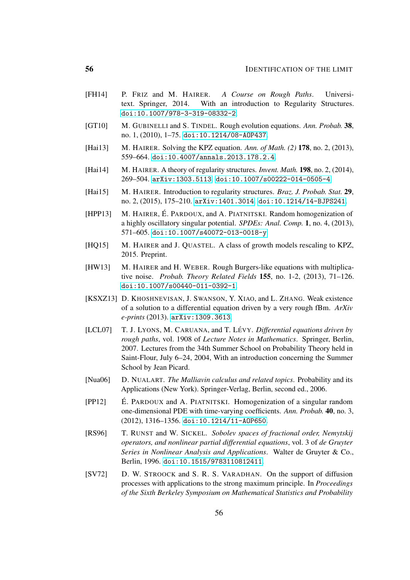- <span id="page-55-11"></span>[FH14] P. FRIZ and M. HAIRER. *A Course on Rough Paths*. Universitext. Springer, 2014. With an introduction to Regularity Structures. [doi:10.1007/978-3-319-08332-2](http://dx.doi.org/10.1007/978-3-319-08332-2).
- <span id="page-55-2"></span>[GT10] M. GUBINELLI and S. TINDEL. Rough evolution equations. *Ann. Probab.* 38, no. 1, (2010), 1–75. [doi:10.1214/08-AOP437](http://dx.doi.org/10.1214/08-AOP437).
- <span id="page-55-7"></span>[Hai13] M. HAIRER. Solving the KPZ equation. *Ann. of Math. (2)* 178, no. 2, (2013), 559–664. [doi:10.4007/annals.2013.178.2.4](http://dx.doi.org/10.4007/annals.2013.178.2.4).
- <span id="page-55-5"></span>[Hai14] M. HAIRER. A theory of regularity structures. *Invent. Math.* 198, no. 2, (2014), 269–504. [arXiv:1303.5113](http://arxiv.org/abs/1303.5113). [doi:10.1007/s00222-014-0505-4](http://dx.doi.org/10.1007/s00222-014-0505-4).
- <span id="page-55-10"></span>[Hai15] M. HAIRER. Introduction to regularity structures. *Braz. J. Probab. Stat.* 29, no. 2, (2015), 175–210. [arXiv:1401.3014](http://arxiv.org/abs/1401.3014). [doi:10.1214/14-BJPS241](http://dx.doi.org/10.1214/14-BJPS241).
- <span id="page-55-9"></span>[HPP13] M. HAIRER, É. PARDOUX, and A. PIATNITSKI. Random homogenization of a highly oscillatory singular potential. *SPDEs: Anal. Comp.* 1, no. 4, (2013), 571–605. [doi:10.1007/s40072-013-0018-y](http://dx.doi.org/10.1007/s40072-013-0018-y).
- <span id="page-55-8"></span>[HQ15] M. HAIRER and J. QUASTEL. A class of growth models rescaling to KPZ, 2015. Preprint.
- <span id="page-55-4"></span>[HW13] M. HAIRER and H. WEBER. Rough Burgers-like equations with multiplicative noise. *Probab. Theory Related Fields* 155, no. 1-2, (2013), 71–126. [doi:10.1007/s00440-011-0392-1](http://dx.doi.org/10.1007/s00440-011-0392-1).
- <span id="page-55-6"></span>[KSXZ13] D. KHOSHNEVISAN, J. SWANSON, Y. XIAO, and L. ZHANG. Weak existence of a solution to a differential equation driven by a very rough fBm. *ArXiv e-prints* (2013). [arXiv:1309.3613](http://arxiv.org/abs/1309.3613).
- <span id="page-55-1"></span>[LCL07] T. J. LYONS, M. CARUANA, and T. LÉVY. *Differential equations driven by rough paths*, vol. 1908 of *Lecture Notes in Mathematics*. Springer, Berlin, 2007. Lectures from the 34th Summer School on Probability Theory held in Saint-Flour, July 6–24, 2004, With an introduction concerning the Summer School by Jean Picard.
- <span id="page-55-12"></span>[Nua06] D. NUALART. *The Malliavin calculus and related topics*. Probability and its Applications (New York). Springer-Verlag, Berlin, second ed., 2006.
- <span id="page-55-3"></span> $[PP12]$  E. PARDOUX and A. PIATNITSKI. Homogenization of a singular random one-dimensional PDE with time-varying coefficients. *Ann. Probab.* 40, no. 3, (2012), 1316–1356. [doi:10.1214/11-AOP650](http://dx.doi.org/10.1214/11-AOP650).
- <span id="page-55-13"></span>[RS96] T. RUNST and W. SICKEL. *Sobolev spaces of fractional order, Nemytskij operators, and nonlinear partial differential equations*, vol. 3 of *de Gruyter Series in Nonlinear Analysis and Applications*. Walter de Gruyter & Co., Berlin, 1996. [doi:10.1515/9783110812411](http://dx.doi.org/10.1515/9783110812411).
- <span id="page-55-0"></span>[SV72] D. W. STROOCK and S. R. S. VARADHAN. On the support of diffusion processes with applications to the strong maximum principle. In *Proceedings of the Sixth Berkeley Symposium on Mathematical Statistics and Probability*